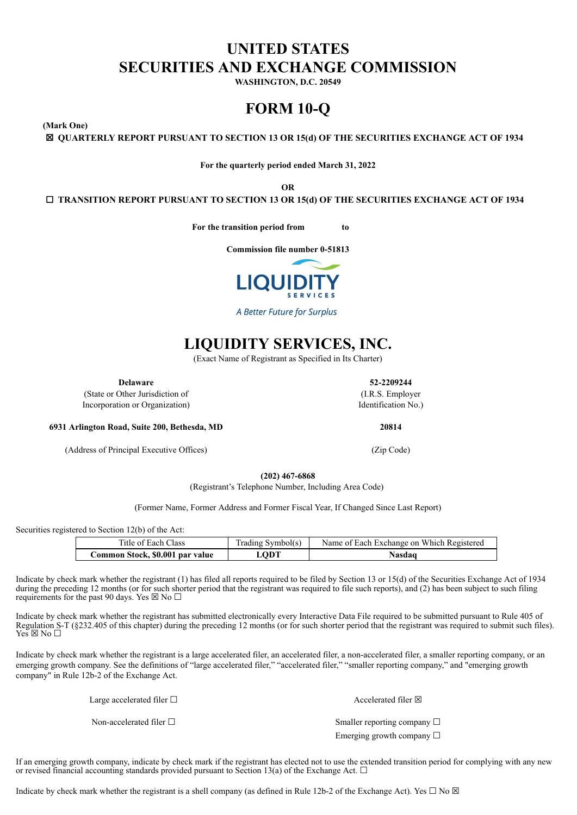# **UNITED STATES SECURITIES AND EXCHANGE COMMISSION**

**WASHINGTON, D.C. 20549**

# **FORM 10-Q**

☒ **QUARTERLY REPORT PURSUANT TO SECTION 13 OR 15(d) OF THE SECURITIES EXCHANGE ACT OF 1934**

**For the quarterly period ended March 31, 2022**

**OR**

☐ **TRANSITION REPORT PURSUANT TO SECTION 13 OR 15(d) OF THE SECURITIES EXCHANGE ACT OF 1934**

**For the transition period from to**

**Commission file number 0-51813**



A Better Future for Surplus

# **LIQUIDITY SERVICES, INC.**

(Exact Name of Registrant as Specified in Its Charter)

**Delaware 52-2209244**

(State or Other Jurisdiction of (I.R.S. Employer Incorporation or Organization) Identification No.

**6931 Arlington Road, Suite 200, Bethesda, MD 20814**

(Address of Principal Executive Offices) (Zip Code)

**(202) 467-6868**

(Registrant's Telephone Number, Including Area Code)

(Former Name, Former Address and Former Fiscal Year, If Changed Since Last Report)

Securities registered to Section 12(b) of the Act:

**(Mark One)**

| Title of Each Class             | Trading Symbol(s) | Name of Each Exchange on Which Registered |
|---------------------------------|-------------------|-------------------------------------------|
| Common Stock, \$0.001 par value | _ODT              | Nasdaa                                    |

Indicate by check mark whether the registrant (1) has filed all reports required to be filed by Section 13 or 15(d) of the Securities Exchange Act of 1934 during the preceding 12 months (or for such shorter period that the registrant was required to file such reports), and (2) has been subject to such filing requirements for the past 90 days. Yes  $\boxtimes$  No  $\Box$ 

Indicate by check mark whether the registrant has submitted electronically every Interactive Data File required to be submitted pursuant to Rule 405 of Regulation S-T (§232.405 of this chapter) during the preceding 12 months (or for such shorter period that the registrant was required to submit such files).  $Yes \boxtimes No \square$ 

Indicate by check mark whether the registrant is a large accelerated filer, an accelerated filer, a non-accelerated filer, a smaller reporting company, or an emerging growth company. See the definitions of "large accelerated filer," "accelerated filer," "smaller reporting company," and "emerging growth company" in Rule 12b-2 of the Exchange Act.

| Large accelerated filer $\Box$  | Accelerated filer $\boxtimes$    |
|---------------------------------|----------------------------------|
| Non-accelerated filer $\square$ | Smaller reporting company $\Box$ |
|                                 | Emerging growth company $\Box$   |

If an emerging growth company, indicate by check mark if the registrant has elected not to use the extended transition period for complying with any new or revised financial accounting standards provided pursuant to Section 13(a) of the Exchange Act.  $\Box$ 

Indicate by check mark whether the registrant is a shell company (as defined in Rule 12b-2 of the Exchange Act). Yes  $\Box$  No  $\boxtimes$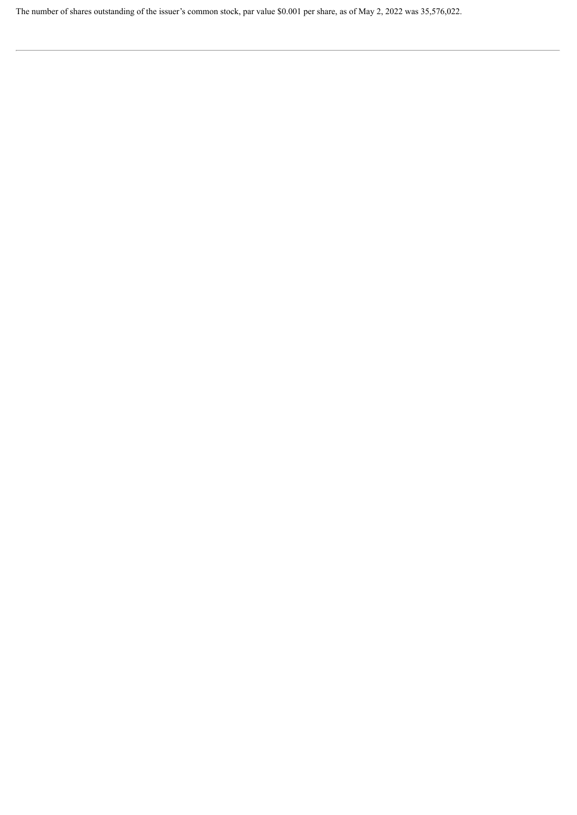<span id="page-1-0"></span>The number of shares outstanding of the issuer's common stock, par value \$0.001 per share, as of May 2, 2022 was 35,576,022.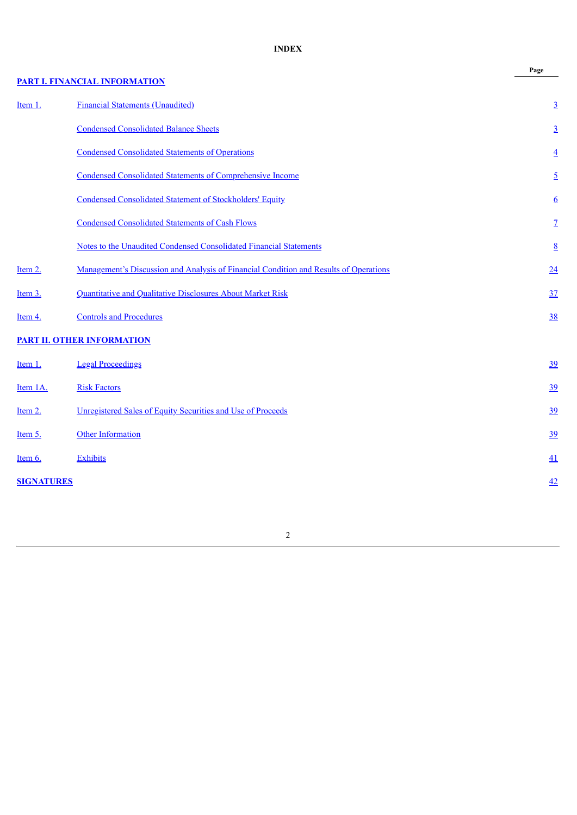### **INDEX**

|                   | <b>PART I. FINANCIAL INFORMATION</b>                                                  | Page            |
|-------------------|---------------------------------------------------------------------------------------|-----------------|
| Item 1.           | <b>Financial Statements (Unaudited)</b>                                               | $\overline{3}$  |
|                   | <b>Condensed Consolidated Balance Sheets</b>                                          | $\overline{3}$  |
|                   | <b>Condensed Consolidated Statements of Operations</b>                                | $\overline{4}$  |
|                   | <b>Condensed Consolidated Statements of Comprehensive Income</b>                      | $\overline{5}$  |
|                   | <b>Condensed Consolidated Statement of Stockholders' Equity</b>                       | $6\overline{6}$ |
|                   | <b>Condensed Consolidated Statements of Cash Flows</b>                                | $\overline{1}$  |
|                   | Notes to the Unaudited Condensed Consolidated Financial Statements                    | 8               |
| Item 2.           | Management's Discussion and Analysis of Financial Condition and Results of Operations | 24              |
| Item 3.           | Quantitative and Qualitative Disclosures About Market Risk                            | 37              |
| Item 4.           | <b>Controls and Procedures</b>                                                        | 38              |
|                   | <b>PART II. OTHER INFORMATION</b>                                                     |                 |
| Item 1.           | <b>Legal Proceedings</b>                                                              | <u>39</u>       |
| Item 1A.          | <b>Risk Factors</b>                                                                   | 39              |
| Item 2.           | Unregistered Sales of Equity Securities and Use of Proceeds                           | 39              |
| Item 5.           | Other Information                                                                     | 39              |
| Item 6.           | <b>Exhibits</b>                                                                       | 41              |
| <b>SIGNATURES</b> |                                                                                       | 42              |
|                   |                                                                                       |                 |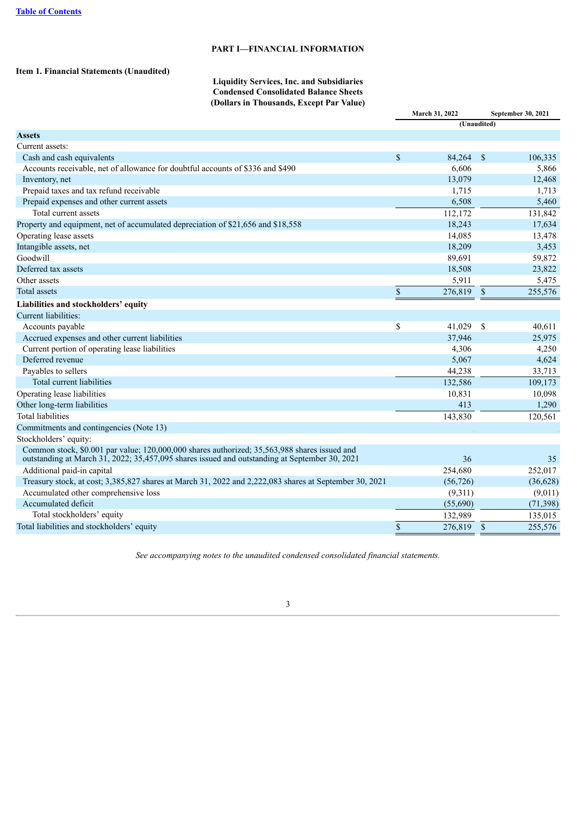### **PART I—FINANCIAL INFORMATION**

### <span id="page-3-1"></span><span id="page-3-0"></span>**Item 1. Financial Statements (Unaudited)**

#### **Liquidity Services, Inc. and Subsidiaries Condensed Consolidated Balance Sheets (Dollars in Thousands, Except Par Value)**

|                                                                                                                                                                                               |             | March 31, 2022 |               | <b>September 30, 2021</b> |
|-----------------------------------------------------------------------------------------------------------------------------------------------------------------------------------------------|-------------|----------------|---------------|---------------------------|
|                                                                                                                                                                                               |             | (Unaudited)    |               |                           |
| <b>Assets</b>                                                                                                                                                                                 |             |                |               |                           |
| Current assets:                                                                                                                                                                               |             |                |               |                           |
| Cash and cash equivalents                                                                                                                                                                     | $\mathbf S$ | 84.264         | <sup>\$</sup> | 106,335                   |
| Accounts receivable, net of allowance for doubtful accounts of \$336 and \$490                                                                                                                |             | 6,606          |               | 5,866                     |
| Inventory, net                                                                                                                                                                                |             | 13,079         |               | 12,468                    |
| Prepaid taxes and tax refund receivable                                                                                                                                                       |             | 1,715          |               | 1,713                     |
| Prepaid expenses and other current assets                                                                                                                                                     |             | 6,508          |               | 5,460                     |
| Total current assets                                                                                                                                                                          |             | 112,172        |               | 131,842                   |
| Property and equipment, net of accumulated depreciation of \$21,656 and \$18,558                                                                                                              |             | 18,243         |               | 17,634                    |
| Operating lease assets                                                                                                                                                                        |             | 14,085         |               | 13,478                    |
| Intangible assets, net                                                                                                                                                                        |             | 18,209         |               | 3,453                     |
| Goodwill                                                                                                                                                                                      |             | 89,691         |               | 59,872                    |
| Deferred tax assets                                                                                                                                                                           |             | 18,508         |               | 23,822                    |
| Other assets                                                                                                                                                                                  |             | 5,911          |               | 5,475                     |
| <b>Total assets</b>                                                                                                                                                                           | \$          | 276,819        | $\mathcal{S}$ | 255,576                   |
| Liabilities and stockholders' equity                                                                                                                                                          |             |                |               |                           |
| Current liabilities:                                                                                                                                                                          |             |                |               |                           |
| Accounts payable                                                                                                                                                                              | \$          | 41,029         | \$            | 40,611                    |
| Accrued expenses and other current liabilities                                                                                                                                                |             | 37,946         |               | 25,975                    |
| Current portion of operating lease liabilities                                                                                                                                                |             | 4,306          |               | 4,250                     |
| Deferred revenue                                                                                                                                                                              |             | 5,067          |               | 4,624                     |
| Payables to sellers                                                                                                                                                                           |             | 44,238         |               | 33,713                    |
| <b>Total current liabilities</b>                                                                                                                                                              |             | 132,586        |               | 109,173                   |
| Operating lease liabilities                                                                                                                                                                   |             | 10,831         |               | 10,098                    |
| Other long-term liabilities                                                                                                                                                                   |             | 413            |               | 1,290                     |
| <b>Total liabilities</b>                                                                                                                                                                      |             | 143,830        |               | 120,561                   |
| Commitments and contingencies (Note 13)                                                                                                                                                       |             |                |               |                           |
| Stockholders' equity:                                                                                                                                                                         |             |                |               |                           |
| Common stock, \$0.001 par value; 120,000,000 shares authorized; 35,563,988 shares issued and<br>outstanding at March 31, 2022; 35,457,095 shares issued and outstanding at September 30, 2021 |             | 36             |               | 35                        |
| Additional paid-in capital                                                                                                                                                                    |             | 254,680        |               | 252,017                   |
| Treasury stock, at cost; 3,385,827 shares at March 31, 2022 and 2,222,083 shares at September 30, 2021                                                                                        |             | (56, 726)      |               | (36,628)                  |
| Accumulated other comprehensive loss                                                                                                                                                          |             | (9,311)        |               | (9,011)                   |
| Accumulated deficit                                                                                                                                                                           |             | (55,690)       |               | (71, 398)                 |
| Total stockholders' equity                                                                                                                                                                    |             | 132,989        |               | 135,015                   |
| Total liabilities and stockholders' equity                                                                                                                                                    | \$          | 276,819        | \$            | 255,576                   |

<span id="page-3-2"></span>*See accompanying notes to the unaudited condensed consolidated financial statements.*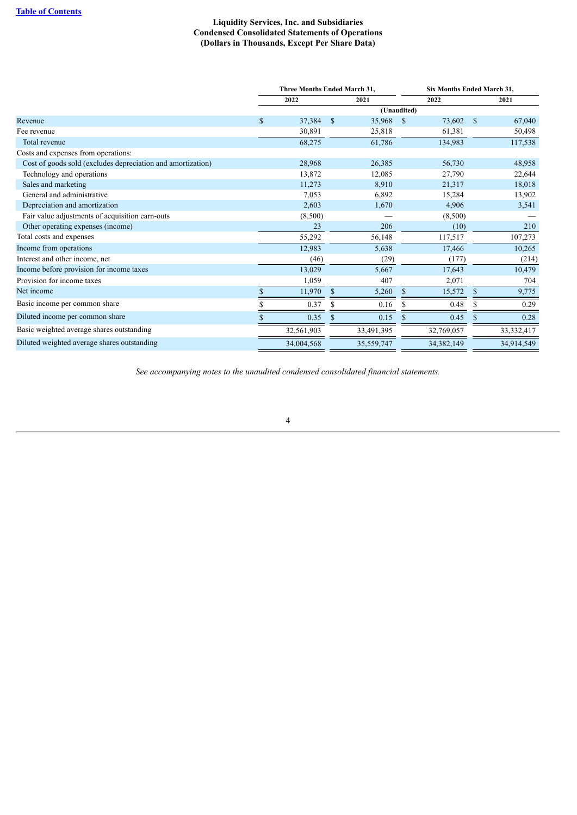#### **Liquidity Services, Inc. and Subsidiaries Condensed Consolidated Statements of Operations (Dollars in Thousands, Except Per Share Data)**

|                                                             | Three Months Ended March 31, |            |               |             |               | Six Months Ended March 31, |          |              |  |  |
|-------------------------------------------------------------|------------------------------|------------|---------------|-------------|---------------|----------------------------|----------|--------------|--|--|
|                                                             |                              | 2022       |               | 2021        |               | 2022                       |          | 2021         |  |  |
|                                                             |                              |            |               | (Unaudited) |               |                            |          |              |  |  |
| Revenue                                                     | \$                           | 37,384     | <sup>\$</sup> | 35,968      | <sup>\$</sup> | 73,602                     | -S       | 67,040       |  |  |
| Fee revenue                                                 |                              | 30,891     |               | 25,818      |               | 61,381                     |          | 50,498       |  |  |
| Total revenue                                               |                              | 68,275     |               | 61,786      |               | 134,983                    |          | 117,538      |  |  |
| Costs and expenses from operations:                         |                              |            |               |             |               |                            |          |              |  |  |
| Cost of goods sold (excludes depreciation and amortization) |                              | 28,968     |               | 26,385      |               | 56,730                     |          | 48,958       |  |  |
| Technology and operations                                   |                              | 13,872     |               | 12,085      |               | 27,790                     |          | 22,644       |  |  |
| Sales and marketing                                         |                              | 11,273     |               | 8,910       |               | 21,317                     |          | 18,018       |  |  |
| General and administrative                                  |                              | 7,053      |               | 6,892       |               | 15,284                     |          | 13,902       |  |  |
| Depreciation and amortization                               |                              | 2,603      |               | 1,670       |               | 4,906                      |          | 3,541        |  |  |
| Fair value adjustments of acquisition earn-outs             |                              | (8,500)    |               |             |               | (8,500)                    |          |              |  |  |
| Other operating expenses (income)                           |                              | 23         |               | 206         |               | (10)                       |          | 210          |  |  |
| Total costs and expenses                                    |                              | 55,292     |               | 56,148      |               | 117,517                    |          | 107,273      |  |  |
| Income from operations                                      |                              | 12,983     |               | 5,638       |               | 17,466                     |          | 10,265       |  |  |
| Interest and other income, net                              |                              | (46)       |               | (29)        |               | (177)                      |          | (214)        |  |  |
| Income before provision for income taxes                    |                              | 13,029     |               | 5,667       |               | 17,643                     |          | 10,479       |  |  |
| Provision for income taxes                                  |                              | 1,059      |               | 407         |               | 2,071                      |          | 704          |  |  |
| Net income                                                  | S                            | 11,970     | <sup>\$</sup> | 5,260       | \$            | 15,572                     | <b>S</b> | 9,775        |  |  |
| Basic income per common share                               |                              | 0.37       | S             | 0.16        | S             | 0.48                       |          | 0.29         |  |  |
| Diluted income per common share                             |                              | 0.35       | <sup>\$</sup> | 0.15        | S             | 0.45                       |          | 0.28         |  |  |
| Basic weighted average shares outstanding                   |                              | 32,561,903 |               | 33,491,395  |               | 32,769,057                 |          | 33, 332, 417 |  |  |
| Diluted weighted average shares outstanding                 |                              | 34,004,568 |               | 35,559,747  |               | 34,382,149                 |          | 34,914,549   |  |  |

<span id="page-4-0"></span>*See accompanying notes to the unaudited condensed consolidated financial statements.*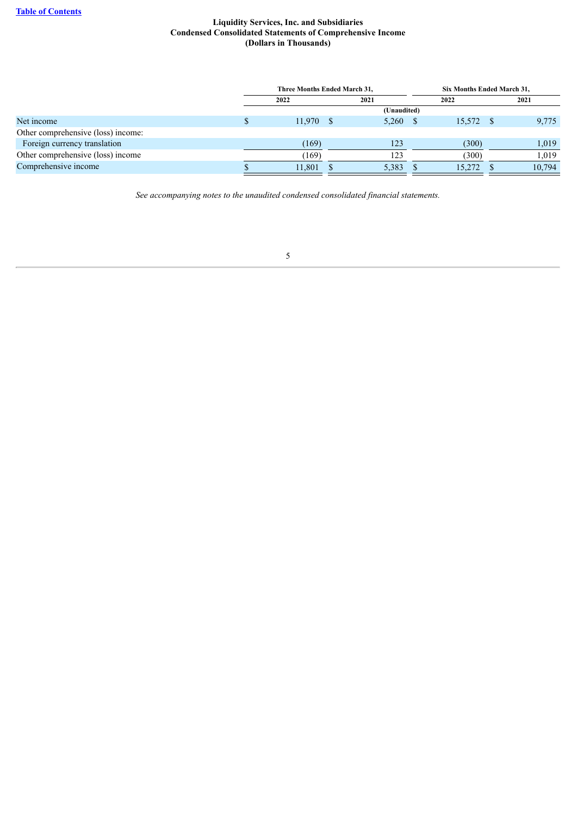#### **Liquidity Services, Inc. and Subsidiaries Condensed Consolidated Statements of Comprehensive Income (Dollars in Thousands)**

|                                    | Three Months Ended March 31, |        |  |             |  | Six Months Ended March 31. |  |        |  |  |
|------------------------------------|------------------------------|--------|--|-------------|--|----------------------------|--|--------|--|--|
|                                    | 2022<br>2021                 |        |  |             |  | 2022                       |  | 2021   |  |  |
|                                    |                              |        |  | (Unaudited) |  |                            |  |        |  |  |
| Net income                         |                              | 11,970 |  | 5,260       |  | 15,572                     |  | 9,775  |  |  |
| Other comprehensive (loss) income: |                              |        |  |             |  |                            |  |        |  |  |
| Foreign currency translation       |                              | (169)  |  | 123         |  | (300)                      |  | 1,019  |  |  |
| Other comprehensive (loss) income  |                              | (169)  |  | 123         |  | (300)                      |  | 1.019  |  |  |
| Comprehensive income               |                              | 11,801 |  | 5,383       |  | 15,272                     |  | 10,794 |  |  |

<span id="page-5-0"></span>*See accompanying notes to the unaudited condensed consolidated financial statements.*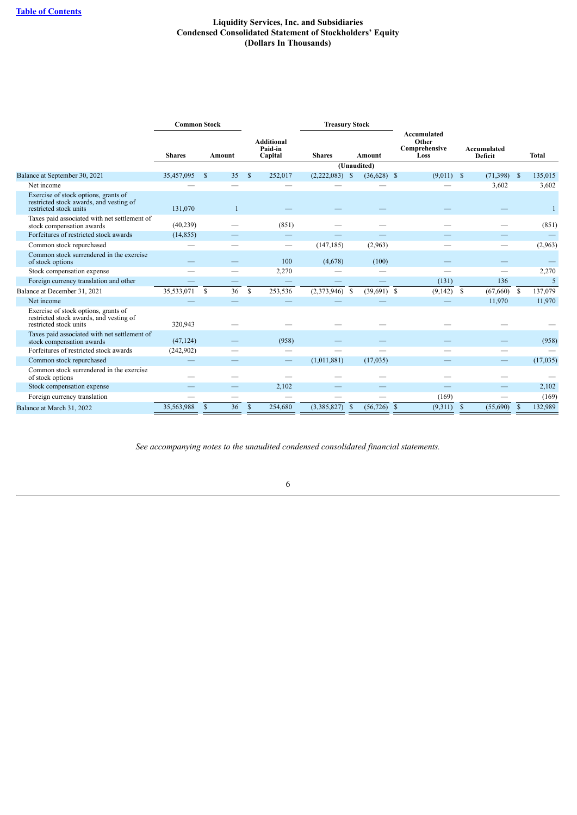#### **Liquidity Services, Inc. and Subsidiaries Condensed Consolidated Statement of Stockholders' Equity (Dollars In Thousands)**

|                                                                                                           | <b>Common Stock</b> |                |                                         |                  | <b>Treasury Stock</b><br><b>Shares</b><br><b>Amount</b> |               |                                               |                               |              |              |  |  |
|-----------------------------------------------------------------------------------------------------------|---------------------|----------------|-----------------------------------------|------------------|---------------------------------------------------------|---------------|-----------------------------------------------|-------------------------------|--------------|--------------|--|--|
|                                                                                                           | <b>Shares</b>       | Amount         | <b>Additional</b><br>Paid-in<br>Capital |                  |                                                         |               | Accumulated<br>Other<br>Comprehensive<br>Loss | Accumulated<br><b>Deficit</b> |              | <b>Total</b> |  |  |
|                                                                                                           |                     |                |                                         |                  |                                                         | (Unaudited)   |                                               |                               |              |              |  |  |
| Balance at September 30, 2021                                                                             | 35,457,095          | \$<br>35       | 252,017<br><sup>\$</sup>                | $(2,222,083)$ \$ |                                                         | $(36,628)$ \$ | $(9,011)$ \$                                  | (71, 398)                     | -S           | 135,015      |  |  |
| Net income                                                                                                |                     |                |                                         |                  |                                                         |               |                                               | 3,602                         |              | 3,602        |  |  |
| Exercise of stock options, grants of<br>restricted stock awards, and vesting of<br>restricted stock units | 131,070             | $\overline{1}$ |                                         |                  |                                                         |               |                                               |                               |              |              |  |  |
| Taxes paid associated with net settlement of<br>stock compensation awards                                 | (40, 239)           |                | (851)                                   |                  |                                                         |               |                                               |                               |              | (851)        |  |  |
| Forfeitures of restricted stock awards                                                                    | (14, 855)           |                | $\qquad \qquad -$                       |                  |                                                         |               |                                               |                               |              |              |  |  |
| Common stock repurchased                                                                                  |                     |                | —                                       | (147, 185)       |                                                         | (2,963)       |                                               | $\overline{\phantom{0}}$      |              | (2,963)      |  |  |
| Common stock surrendered in the exercise<br>of stock options                                              |                     |                | 100                                     | (4,678)          |                                                         | (100)         |                                               |                               |              |              |  |  |
| Stock compensation expense                                                                                |                     |                | 2,270                                   |                  |                                                         |               | --                                            |                               |              | 2,270        |  |  |
| Foreign currency translation and other                                                                    |                     |                |                                         |                  |                                                         |               | (131)                                         | 136                           |              | 5            |  |  |
| Balance at December 31, 2021                                                                              | 35,533,071          | 36<br>\$       | 253,536<br>\$                           | (2,373,946)      | <sup>\$</sup>                                           | $(39,691)$ \$ | (9, 142)                                      | <sup>\$</sup><br>(67,660)     | S.           | 137,079      |  |  |
| Net income                                                                                                |                     |                |                                         |                  |                                                         |               |                                               | 11,970                        |              | 11,970       |  |  |
| Exercise of stock options, grants of<br>restricted stock awards, and vesting of<br>restricted stock units | 320,943             |                |                                         |                  |                                                         |               |                                               |                               |              |              |  |  |
| Taxes paid associated with net settlement of<br>stock compensation awards                                 | (47, 124)           |                | (958)                                   |                  |                                                         |               |                                               |                               |              | (958)        |  |  |
| Forfeitures of restricted stock awards                                                                    | (242,902)           |                |                                         |                  |                                                         |               |                                               |                               |              |              |  |  |
| Common stock repurchased                                                                                  |                     |                | $\hspace{0.05cm}$                       | (1,011,881)      |                                                         | (17,035)      |                                               | $\qquad \qquad -$             |              | (17,035)     |  |  |
| Common stock surrendered in the exercise<br>of stock options                                              |                     |                |                                         |                  |                                                         |               |                                               |                               |              |              |  |  |
| Stock compensation expense                                                                                |                     |                | 2,102                                   |                  |                                                         |               |                                               |                               |              | 2,102        |  |  |
| Foreign currency translation                                                                              |                     |                |                                         |                  |                                                         |               | (169)                                         |                               |              | (169)        |  |  |
| Balance at March 31, 2022                                                                                 | 35,563,988          | 36<br>\$       | $\mathcal{S}$<br>254,680                | (3,385,827)      | -S                                                      | (56, 726)     | -\$<br>(9,311)                                | $\mathbb{S}$<br>(55,690)      | <sup>S</sup> | 132,989      |  |  |

<span id="page-6-0"></span>*See accompanying notes to the unaudited condensed consolidated financial statements.*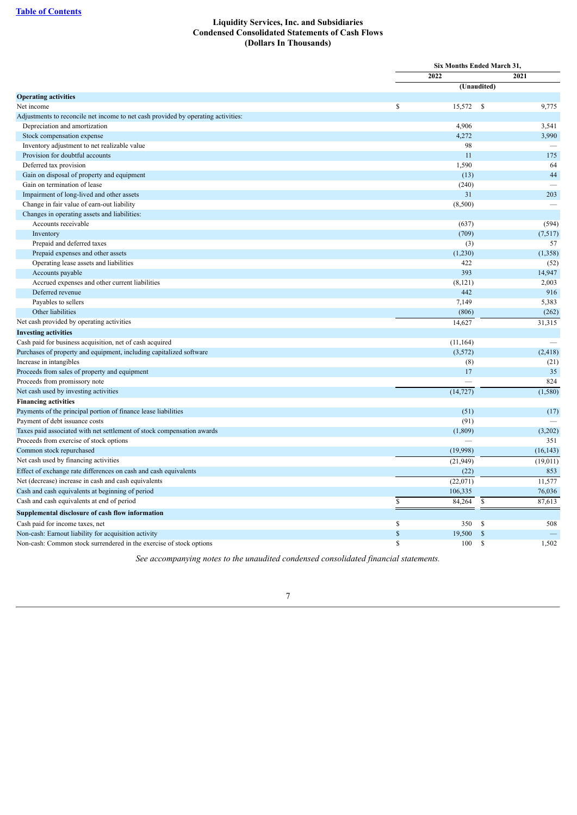#### **Liquidity Services, Inc. and Subsidiaries Condensed Consolidated Statements of Cash Flows (Dollars In Thousands)**

|                                                                                   |                         | Six Months Ended March 31,    |
|-----------------------------------------------------------------------------------|-------------------------|-------------------------------|
|                                                                                   | 2022                    | 2021                          |
|                                                                                   |                         | (Unaudited)                   |
| <b>Operating activities</b>                                                       |                         |                               |
| Net income                                                                        | \$                      | 9,775<br>15,572<br>- \$       |
| Adjustments to reconcile net income to net cash provided by operating activities: |                         |                               |
| Depreciation and amortization                                                     |                         | 4,906<br>3,541                |
| Stock compensation expense                                                        |                         | 4,272<br>3,990                |
| Inventory adjustment to net realizable value                                      |                         | 98                            |
| Provision for doubtful accounts                                                   |                         | 11<br>175                     |
| Deferred tax provision                                                            |                         | 1,590<br>64                   |
| Gain on disposal of property and equipment                                        |                         | 44<br>(13)                    |
| Gain on termination of lease                                                      |                         | (240)                         |
| Impairment of long-lived and other assets                                         |                         | 31<br>203                     |
| Change in fair value of earn-out liability                                        |                         | (8,500)                       |
| Changes in operating assets and liabilities:                                      |                         |                               |
| Accounts receivable                                                               |                         | (594)<br>(637)                |
| Inventory                                                                         |                         | (709)<br>(7,517)              |
| Prepaid and deferred taxes                                                        |                         | (3)<br>57                     |
| Prepaid expenses and other assets                                                 |                         | (1,230)<br>(1,358)            |
| Operating lease assets and liabilities                                            |                         | 422<br>(52)                   |
| Accounts payable                                                                  |                         | 393<br>14,947                 |
| Accrued expenses and other current liabilities                                    |                         | (8, 121)<br>2,003             |
| Deferred revenue                                                                  |                         | 442<br>916                    |
| Payables to sellers                                                               |                         | 7,149<br>5,383                |
| Other liabilities                                                                 |                         | (806)<br>(262)                |
| Net cash provided by operating activities                                         |                         | 14,627<br>31,315              |
| <b>Investing activities</b>                                                       |                         |                               |
| Cash paid for business acquisition, net of cash acquired                          |                         | (11, 164)                     |
| Purchases of property and equipment, including capitalized software               |                         | (3,572)<br>(2, 418)           |
| Increase in intangibles                                                           |                         | (21)<br>(8)                   |
| Proceeds from sales of property and equipment                                     |                         | 17<br>35                      |
| Proceeds from promissory note                                                     |                         | 824                           |
| Net cash used by investing activities                                             |                         | (14, 727)<br>(1,580)          |
| <b>Financing activities</b>                                                       |                         |                               |
| Payments of the principal portion of finance lease liabilities                    |                         | (51)<br>(17)                  |
| Payment of debt issuance costs                                                    |                         | (91)                          |
| Taxes paid associated with net settlement of stock compensation awards            |                         | (3,202)<br>(1,809)            |
| Proceeds from exercise of stock options                                           |                         | 351                           |
| Common stock repurchased                                                          |                         | (19,998)<br>(16, 143)         |
| Net cash used by financing activities                                             |                         | (21, 949)<br>(19,011)         |
| Effect of exchange rate differences on cash and cash equivalents                  |                         | (22)<br>853                   |
| Net (decrease) increase in cash and cash equivalents                              |                         | (22,071)<br>11,577            |
| Cash and cash equivalents at beginning of period                                  |                         | 106,335<br>76,036             |
| Cash and cash equivalents at end of period                                        | $\overline{\mathbb{S}}$ | 84,264<br>87,613<br>\$        |
| Supplemental disclosure of cash flow information                                  |                         |                               |
| Cash paid for income taxes, net                                                   | $\mathbb{S}$            | 508<br>350<br>- \$            |
| Non-cash: Earnout liability for acquisition activity                              | $\mathbf S$             | 19,500<br>- \$                |
| Non-cash: Common stock surrendered in the exercise of stock options               | $\mathbb{S}$            | 100<br><sup>\$</sup><br>1,502 |
|                                                                                   |                         |                               |

<span id="page-7-0"></span>*See accompanying notes to the unaudited condensed consolidated financial statements.*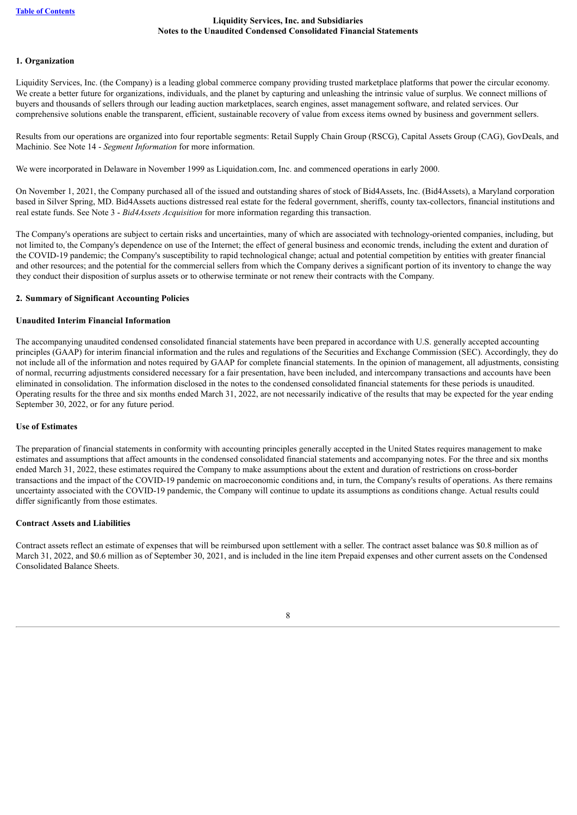#### **1. Organization**

Liquidity Services, Inc. (the Company) is a leading global commerce company providing trusted marketplace platforms that power the circular economy. We create a better future for organizations, individuals, and the planet by capturing and unleashing the intrinsic value of surplus. We connect millions of buyers and thousands of sellers through our leading auction marketplaces, search engines, asset management software, and related services. Our comprehensive solutions enable the transparent, efficient, sustainable recovery of value from excess items owned by business and government sellers.

Results from our operations are organized into four reportable segments: Retail Supply Chain Group (RSCG), Capital Assets Group (CAG), GovDeals, and Machinio. See Note 14 - *Segment Information* for more information.

We were incorporated in Delaware in November 1999 as Liquidation.com, Inc. and commenced operations in early 2000.

On November 1, 2021, the Company purchased all of the issued and outstanding shares of stock of Bid4Assets, Inc. (Bid4Assets), a Maryland corporation based in Silver Spring, MD. Bid4Assets auctions distressed real estate for the federal government, sheriffs, county tax-collectors, financial institutions and real estate funds. See Note 3 - *Bid4Assets Acquisition* for more information regarding this transaction.

The Company's operations are subject to certain risks and uncertainties, many of which are associated with technology-oriented companies, including, but not limited to, the Company's dependence on use of the Internet; the effect of general business and economic trends, including the extent and duration of the COVID-19 pandemic; the Company's susceptibility to rapid technological change; actual and potential competition by entities with greater financial and other resources; and the potential for the commercial sellers from which the Company derives a significant portion of its inventory to change the way they conduct their disposition of surplus assets or to otherwise terminate or not renew their contracts with the Company.

#### **2. Summary of Significant Accounting Policies**

#### **Unaudited Interim Financial Information**

The accompanying unaudited condensed consolidated financial statements have been prepared in accordance with U.S. generally accepted accounting principles (GAAP) for interim financial information and the rules and regulations of the Securities and Exchange Commission (SEC). Accordingly, they do not include all of the information and notes required by GAAP for complete financial statements. In the opinion of management, all adjustments, consisting of normal, recurring adjustments considered necessary for a fair presentation, have been included, and intercompany transactions and accounts have been eliminated in consolidation. The information disclosed in the notes to the condensed consolidated financial statements for these periods is unaudited. Operating results for the three and six months ended March 31, 2022, are not necessarily indicative of the results that may be expected for the year ending September 30, 2022, or for any future period.

#### **Use of Estimates**

The preparation of financial statements in conformity with accounting principles generally accepted in the United States requires management to make estimates and assumptions that affect amounts in the condensed consolidated financial statements and accompanying notes. For the three and six months ended March 31, 2022, these estimates required the Company to make assumptions about the extent and duration of restrictions on cross-border transactions and the impact of the COVID-19 pandemic on macroeconomic conditions and, in turn, the Company's results of operations. As there remains uncertainty associated with the COVID-19 pandemic, the Company will continue to update its assumptions as conditions change. Actual results could differ significantly from those estimates.

#### **Contract Assets and Liabilities**

Contract assets reflect an estimate of expenses that will be reimbursed upon settlement with a seller. The contract asset balance was \$0.8 million as of March 31, 2022, and \$0.6 million as of September 30, 2021, and is included in the line item Prepaid expenses and other current assets on the Condensed Consolidated Balance Sheets.

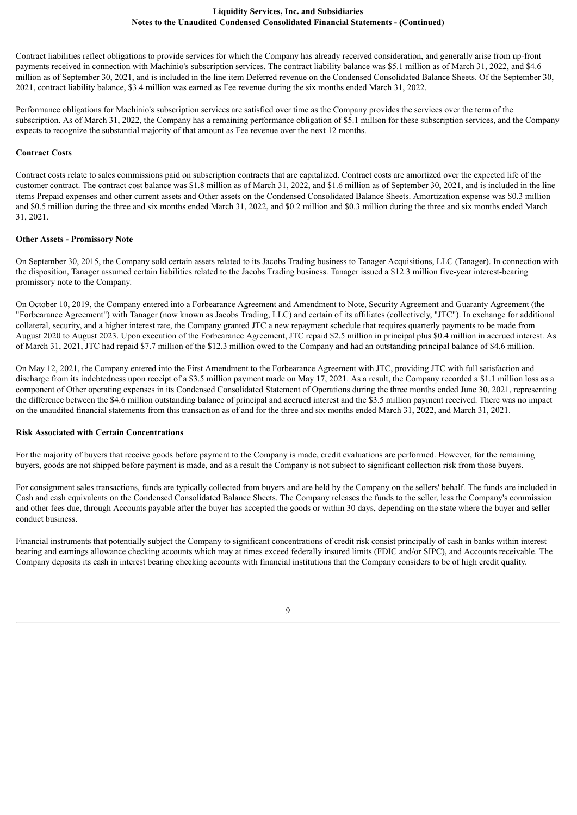Contract liabilities reflect obligations to provide services for which the Company has already received consideration, and generally arise from up-front payments received in connection with Machinio's subscription services. The contract liability balance was \$5.1 million as of March 31, 2022, and \$4.6 million as of September 30, 2021, and is included in the line item Deferred revenue on the Condensed Consolidated Balance Sheets. Of the September 30, 2021, contract liability balance, \$3.4 million was earned as Fee revenue during the six months ended March 31, 2022.

Performance obligations for Machinio's subscription services are satisfied over time as the Company provides the services over the term of the subscription. As of March 31, 2022, the Company has a remaining performance obligation of \$5.1 million for these subscription services, and the Company expects to recognize the substantial majority of that amount as Fee revenue over the next 12 months.

#### **Contract Costs**

Contract costs relate to sales commissions paid on subscription contracts that are capitalized. Contract costs are amortized over the expected life of the customer contract. The contract cost balance was \$1.8 million as of March 31, 2022, and \$1.6 million as of September 30, 2021, and is included in the line items Prepaid expenses and other current assets and Other assets on the Condensed Consolidated Balance Sheets. Amortization expense was \$0.3 million and \$0.5 million during the three and six months ended March 31, 2022, and \$0.2 million and \$0.3 million during the three and six months ended March 31, 2021.

#### **Other Assets - Promissory Note**

On September 30, 2015, the Company sold certain assets related to its Jacobs Trading business to Tanager Acquisitions, LLC (Tanager). In connection with the disposition, Tanager assumed certain liabilities related to the Jacobs Trading business. Tanager issued a \$12.3 million five-year interest-bearing promissory note to the Company.

On October 10, 2019, the Company entered into a Forbearance Agreement and Amendment to Note, Security Agreement and Guaranty Agreement (the "Forbearance Agreement") with Tanager (now known as Jacobs Trading, LLC) and certain of its affiliates (collectively, "JTC"). In exchange for additional collateral, security, and a higher interest rate, the Company granted JTC a new repayment schedule that requires quarterly payments to be made from August 2020 to August 2023. Upon execution of the Forbearance Agreement, JTC repaid \$2.5 million in principal plus \$0.4 million in accrued interest. As of March 31, 2021, JTC had repaid \$7.7 million of the \$12.3 million owed to the Company and had an outstanding principal balance of \$4.6 million.

On May 12, 2021, the Company entered into the First Amendment to the Forbearance Agreement with JTC, providing JTC with full satisfaction and discharge from its indebtedness upon receipt of a \$3.5 million payment made on May 17, 2021. As a result, the Company recorded a \$1.1 million loss as a component of Other operating expenses in its Condensed Consolidated Statement of Operations during the three months ended June 30, 2021, representing the difference between the \$4.6 million outstanding balance of principal and accrued interest and the \$3.5 million payment received. There was no impact on the unaudited financial statements from this transaction as of and for the three and six months ended March 31, 2022, and March 31, 2021.

#### **Risk Associated with Certain Concentrations**

For the majority of buyers that receive goods before payment to the Company is made, credit evaluations are performed. However, for the remaining buyers, goods are not shipped before payment is made, and as a result the Company is not subject to significant collection risk from those buyers.

For consignment sales transactions, funds are typically collected from buyers and are held by the Company on the sellers' behalf. The funds are included in Cash and cash equivalents on the Condensed Consolidated Balance Sheets. The Company releases the funds to the seller, less the Company's commission and other fees due, through Accounts payable after the buyer has accepted the goods or within 30 days, depending on the state where the buyer and seller conduct business.

Financial instruments that potentially subject the Company to significant concentrations of credit risk consist principally of cash in banks within interest bearing and earnings allowance checking accounts which may at times exceed federally insured limits (FDIC and/or SIPC), and Accounts receivable. The Company deposits its cash in interest bearing checking accounts with financial institutions that the Company considers to be of high credit quality.

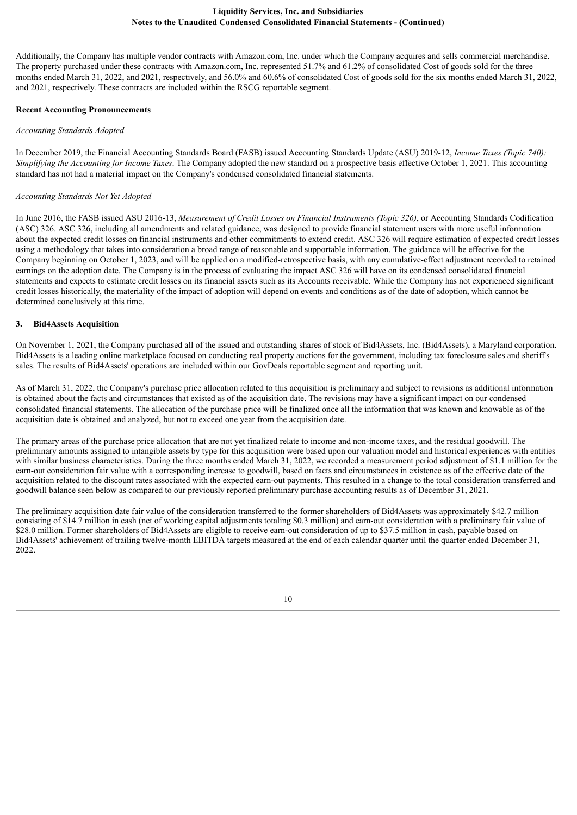Additionally, the Company has multiple vendor contracts with Amazon.com, Inc. under which the Company acquires and sells commercial merchandise. The property purchased under these contracts with Amazon.com, Inc. represented 51.7% and 61.2% of consolidated Cost of goods sold for the three months ended March 31, 2022, and 2021, respectively, and 56.0% and 60.6% of consolidated Cost of goods sold for the six months ended March 31, 2022, and 2021, respectively. These contracts are included within the RSCG reportable segment.

#### **Recent Accounting Pronouncements**

#### *Accounting Standards Adopted*

In December 2019, the Financial Accounting Standards Board (FASB) issued Accounting Standards Update (ASU) 2019-12, *Income Taxes (Topic 740): Simplifying the Accounting for Income Taxes*. The Company adopted the new standard on a prospective basis effective October 1, 2021. This accounting standard has not had a material impact on the Company's condensed consolidated financial statements.

#### *Accounting Standards Not Yet Adopted*

In June 2016, the FASB issued ASU 2016-13, *Measurement of Credit Losses on Financial Instruments (Topic 326)*, or Accounting Standards Codification (ASC) 326. ASC 326, including all amendments and related guidance, was designed to provide financial statement users with more useful information about the expected credit losses on financial instruments and other commitments to extend credit. ASC 326 will require estimation of expected credit losses using a methodology that takes into consideration a broad range of reasonable and supportable information. The guidance will be effective for the Company beginning on October 1, 2023, and will be applied on a modified-retrospective basis, with any cumulative-effect adjustment recorded to retained earnings on the adoption date. The Company is in the process of evaluating the impact ASC 326 will have on its condensed consolidated financial statements and expects to estimate credit losses on its financial assets such as its Accounts receivable. While the Company has not experienced significant credit losses historically, the materiality of the impact of adoption will depend on events and conditions as of the date of adoption, which cannot be determined conclusively at this time.

#### **3. Bid4Assets Acquisition**

On November 1, 2021, the Company purchased all of the issued and outstanding shares of stock of Bid4Assets, Inc. (Bid4Assets), a Maryland corporation. Bid4Assets is a leading online marketplace focused on conducting real property auctions for the government, including tax foreclosure sales and sheriff's sales. The results of Bid4Assets' operations are included within our GovDeals reportable segment and reporting unit.

As of March 31, 2022, the Company's purchase price allocation related to this acquisition is preliminary and subject to revisions as additional information is obtained about the facts and circumstances that existed as of the acquisition date. The revisions may have a significant impact on our condensed consolidated financial statements. The allocation of the purchase price will be finalized once all the information that was known and knowable as of the acquisition date is obtained and analyzed, but not to exceed one year from the acquisition date.

The primary areas of the purchase price allocation that are not yet finalized relate to income and non-income taxes, and the residual goodwill. The preliminary amounts assigned to intangible assets by type for this acquisition were based upon our valuation model and historical experiences with entities with similar business characteristics. During the three months ended March 31, 2022, we recorded a measurement period adjustment of \$1.1 million for the earn-out consideration fair value with a corresponding increase to goodwill, based on facts and circumstances in existence as of the effective date of the acquisition related to the discount rates associated with the expected earn-out payments. This resulted in a change to the total consideration transferred and goodwill balance seen below as compared to our previously reported preliminary purchase accounting results as of December 31, 2021.

The preliminary acquisition date fair value of the consideration transferred to the former shareholders of Bid4Assets was approximately \$42.7 million consisting of \$14.7 million in cash (net of working capital adjustments totaling \$0.3 million) and earn-out consideration with a preliminary fair value of \$28.0 million. Former shareholders of Bid4Assets are eligible to receive earn-out consideration of up to \$37.5 million in cash, payable based on Bid4Assets' achievement of trailing twelve-month EBITDA targets measured at the end of each calendar quarter until the quarter ended December 31, 2022.

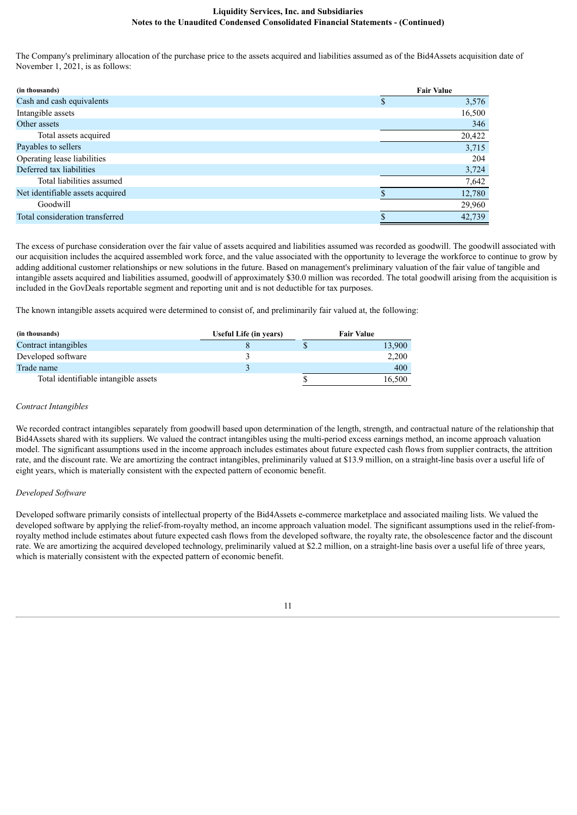The Company's preliminary allocation of the purchase price to the assets acquired and liabilities assumed as of the Bid4Assets acquisition date of November 1, 2021, is as follows:

| (in thousands)                   |   | <b>Fair Value</b> |
|----------------------------------|---|-------------------|
| Cash and cash equivalents        | S | 3,576             |
| Intangible assets                |   | 16,500            |
| Other assets                     |   | 346               |
| Total assets acquired            |   | 20,422            |
| Payables to sellers              |   | 3,715             |
| Operating lease liabilities      |   | 204               |
| Deferred tax liabilities         |   | 3,724             |
| Total liabilities assumed        |   | 7,642             |
| Net identifiable assets acquired |   | 12,780            |
| Goodwill                         |   | 29,960            |
| Total consideration transferred  |   | 42,739            |

The excess of purchase consideration over the fair value of assets acquired and liabilities assumed was recorded as goodwill. The goodwill associated with our acquisition includes the acquired assembled work force, and the value associated with the opportunity to leverage the workforce to continue to grow by adding additional customer relationships or new solutions in the future. Based on management's preliminary valuation of the fair value of tangible and intangible assets acquired and liabilities assumed, goodwill of approximately \$30.0 million was recorded. The total goodwill arising from the acquisition is included in the GovDeals reportable segment and reporting unit and is not deductible for tax purposes.

The known intangible assets acquired were determined to consist of, and preliminarily fair valued at, the following:

| (in thousands)                       | Useful Life (in years) | <b>Fair Value</b> |
|--------------------------------------|------------------------|-------------------|
| Contract intangibles                 |                        | 13.900            |
| Developed software                   |                        | 2,200             |
| Trade name                           |                        | 400               |
| Total identifiable intangible assets |                        | 16.500            |

#### *Contract Intangibles*

We recorded contract intangibles separately from goodwill based upon determination of the length, strength, and contractual nature of the relationship that Bid4Assets shared with its suppliers. We valued the contract intangibles using the multi-period excess earnings method, an income approach valuation model. The significant assumptions used in the income approach includes estimates about future expected cash flows from supplier contracts, the attrition rate, and the discount rate. We are amortizing the contract intangibles, preliminarily valued at \$13.9 million, on a straight-line basis over a useful life of eight years, which is materially consistent with the expected pattern of economic benefit.

#### *Developed Software*

Developed software primarily consists of intellectual property of the Bid4Assets e-commerce marketplace and associated mailing lists. We valued the developed software by applying the relief-from-royalty method, an income approach valuation model. The significant assumptions used in the relief-fromroyalty method include estimates about future expected cash flows from the developed software, the royalty rate, the obsolescence factor and the discount rate. We are amortizing the acquired developed technology, preliminarily valued at \$2.2 million, on a straight-line basis over a useful life of three years, which is materially consistent with the expected pattern of economic benefit.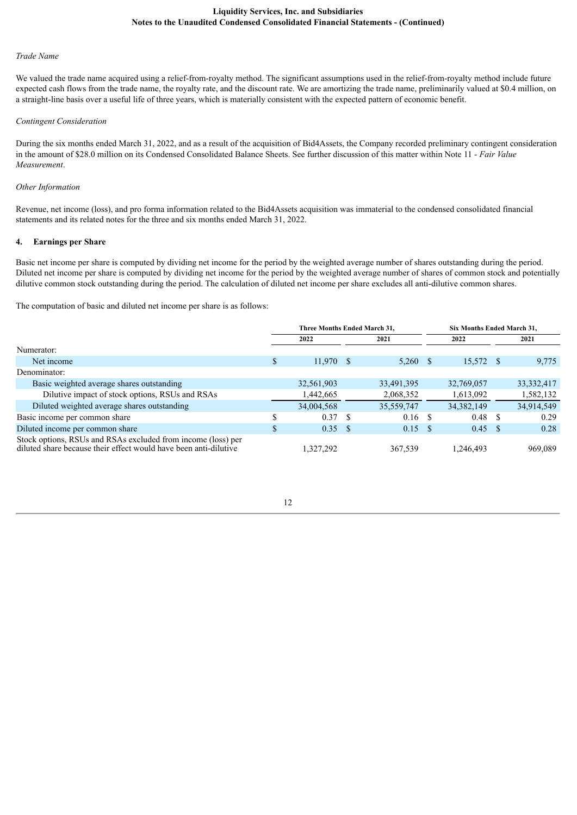#### *Trade Name*

We valued the trade name acquired using a relief-from-royalty method. The significant assumptions used in the relief-from-royalty method include future expected cash flows from the trade name, the royalty rate, and the discount rate. We are amortizing the trade name, preliminarily valued at \$0.4 million, on a straight-line basis over a useful life of three years, which is materially consistent with the expected pattern of economic benefit.

#### *Contingent Consideration*

During the six months ended March 31, 2022, and as a result of the acquisition of Bid4Assets, the Company recorded preliminary contingent consideration in the amount of \$28.0 million on its Condensed Consolidated Balance Sheets. See further discussion of this matter within Note 11 - *Fair Value Measurement*.

#### *Other Information*

Revenue, net income (loss), and pro forma information related to the Bid4Assets acquisition was immaterial to the condensed consolidated financial statements and its related notes for the three and six months ended March 31, 2022.

#### **4. Earnings per Share**

Basic net income per share is computed by dividing net income for the period by the weighted average number of shares outstanding during the period. Diluted net income per share is computed by dividing net income for the period by the weighted average number of shares of common stock and potentially dilutive common stock outstanding during the period. The calculation of diluted net income per share excludes all anti-dilutive common shares.

The computation of basic and diluted net income per share is as follows:

|                                                                                                                               | Three Months Ended March 31, |            |  |                 | Six Months Ended March 31, |      |              |  |
|-------------------------------------------------------------------------------------------------------------------------------|------------------------------|------------|--|-----------------|----------------------------|------|--------------|--|
|                                                                                                                               |                              | 2022       |  | 2021            | 2022                       |      | 2021         |  |
| Numerator:                                                                                                                    |                              |            |  |                 |                            |      |              |  |
| Net income                                                                                                                    | Ъ.                           | 11,970 \$  |  | $5,260$ \$      | 15,572 \$                  |      | 9,775        |  |
| Denominator:                                                                                                                  |                              |            |  |                 |                            |      |              |  |
| Basic weighted average shares outstanding                                                                                     |                              | 32,561,903 |  | 33,491,395      | 32,769,057                 |      | 33, 332, 417 |  |
| Dilutive impact of stock options, RSUs and RSAs                                                                               |                              | 1,442,665  |  | 2,068,352       | 1,613,092                  |      | 1,582,132    |  |
| Diluted weighted average shares outstanding                                                                                   |                              | 34,004,568 |  | 35,559,747      | 34, 382, 149               |      | 34,914,549   |  |
| Basic income per common share                                                                                                 |                              | 0.37 S     |  | $0.16$ \$       | 0.48                       | - \$ | 0.29         |  |
| Diluted income per common share                                                                                               |                              | 0.35 S     |  | $0.15 \quad$ \$ | 0.45                       | -8   | 0.28         |  |
| Stock options, RSUs and RSAs excluded from income (loss) per diluted share because their effect would have been anti-dilutive |                              | 1,327,292  |  | 367,539         | 1,246,493                  |      | 969,089      |  |

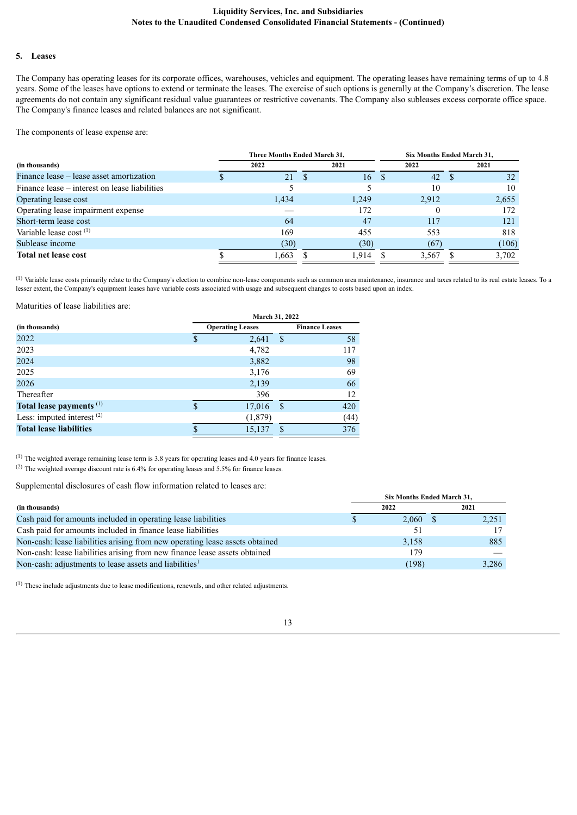#### **5. Leases**

The Company has operating leases for its corporate offices, warehouses, vehicles and equipment. The operating leases have remaining terms of up to 4.8 years. Some of the leases have options to extend or terminate the leases. The exercise of such options is generally at the Company's discretion. The lease agreements do not contain any significant residual value guarantees or restrictive covenants. The Company also subleases excess corporate office space. The Company's finance leases and related balances are not significant.

The components of lease expense are:

|                                               |      | Three Months Ended March 31, |     | Six Months Ended March 31, |  |       |      |       |
|-----------------------------------------------|------|------------------------------|-----|----------------------------|--|-------|------|-------|
| (in thousands)                                | 2022 |                              |     | 2021                       |  | 2022  | 2021 |       |
| Finance lease – lease asset amortization      |      | 21                           | - 5 | 16                         |  | 42    |      | 32    |
| Finance lease – interest on lease liabilities |      |                              |     |                            |  | 10    |      | 10    |
| Operating lease cost                          |      | 1,434                        |     | 1,249                      |  | 2,912 |      | 2,655 |
| Operating lease impairment expense            |      |                              |     | 172                        |  |       |      | 172   |
| Short-term lease cost                         |      | 64                           |     | 47                         |  | 117   |      | 121   |
| Variable lease cost $(1)$                     |      | 169                          |     | 455                        |  | 553   |      | 818   |
| Sublease income                               |      | (30)                         |     | (30)                       |  | (67)  |      | (106) |
| <b>Total net lease cost</b>                   |      | 1,663                        |     | 1,914                      |  | 3,567 |      | 3,702 |

 $^{(1)}$  Variable lease costs primarily relate to the Company's election to combine non-lease components such as common area maintenance, insurance and taxes related to its real estate leases. To a lesser extent, the Company's equipment leases have variable costs associated with usage and subsequent changes to costs based upon an index.

Maturities of lease liabilities are:

| March 31, 2022 |          |                         |      |  |  |  |  |  |  |
|----------------|----------|-------------------------|------|--|--|--|--|--|--|
|                |          | <b>Finance Leases</b>   |      |  |  |  |  |  |  |
|                | 2,641    | <sup>\$</sup>           | 58   |  |  |  |  |  |  |
|                | 4,782    |                         | 117  |  |  |  |  |  |  |
|                | 3,882    |                         | 98   |  |  |  |  |  |  |
|                | 3,176    |                         | 69   |  |  |  |  |  |  |
|                | 2,139    |                         | 66   |  |  |  |  |  |  |
|                | 396      |                         | 12   |  |  |  |  |  |  |
| \$             | 17,016   | <sup>\$</sup>           | 420  |  |  |  |  |  |  |
|                | (1, 879) |                         | (44) |  |  |  |  |  |  |
| ¢              | 15,137   | £.                      | 376  |  |  |  |  |  |  |
|                |          | <b>Operating Leases</b> |      |  |  |  |  |  |  |

 $(1)$  The weighted average remaining lease term is 3.8 years for operating leases and 4.0 years for finance leases.

 $(2)$  The weighted average discount rate is 6.4% for operating leases and 5.5% for finance leases.

Supplemental disclosures of cash flow information related to leases are:

|                                                                              | Six Months Ended March 31, |       |  |       |  |
|------------------------------------------------------------------------------|----------------------------|-------|--|-------|--|
| (in thousands)                                                               |                            | 2022  |  | 2021  |  |
| Cash paid for amounts included in operating lease liabilities                |                            | 2,060 |  | 2.251 |  |
| Cash paid for amounts included in finance lease liabilities                  |                            | 51    |  |       |  |
| Non-cash: lease liabilities arising from new operating lease assets obtained |                            | 3,158 |  | 885   |  |
| Non-cash: lease liabilities arising from new finance lease assets obtained   |                            | 179   |  |       |  |
| Non-cash: adjustments to lease assets and liabilities <sup>1</sup>           |                            | (198) |  | 3,286 |  |

 $(1)$  These include adjustments due to lease modifications, renewals, and other related adjustments.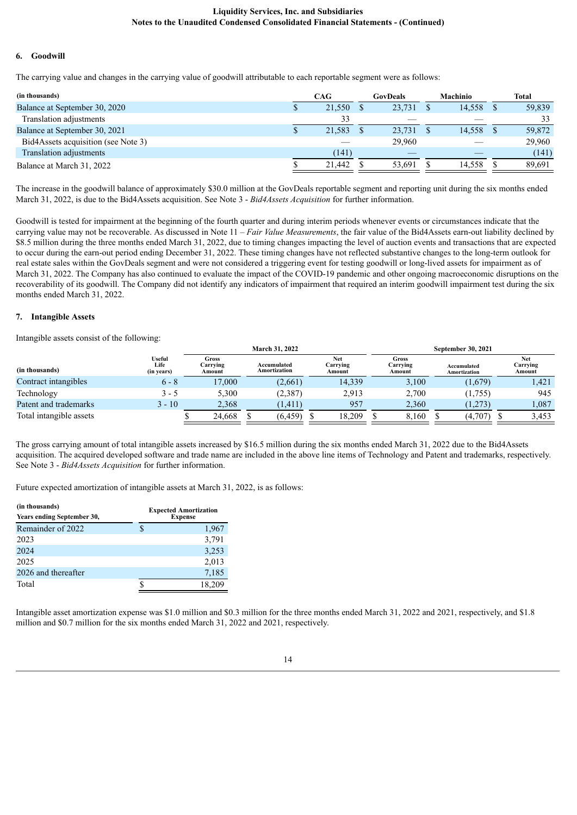#### **6. Goodwill**

The carrying value and changes in the carrying value of goodwill attributable to each reportable segment were as follows:

| (in thousands)                      | <b>CAG</b> | <b>GovDeals</b> | Machinio  | <b>Total</b> |
|-------------------------------------|------------|-----------------|-----------|--------------|
| Balance at September 30, 2020       | 21.550     | 23.731          | 14,558 \$ | 59,839       |
| Translation adjustments             | 33         |                 |           | 33           |
| Balance at September 30, 2021       | 21,583     | 23,731          | 14,558 \$ | 59,872       |
| Bid4Assets acquisition (see Note 3) |            | 29.960          |           | 29,960       |
| Translation adjustments             | (141)      |                 |           | (141)        |
| Balance at March 31, 2022           | 21.442     | 53.691          | 14,558    | 89,691       |

The increase in the goodwill balance of approximately \$30.0 million at the GovDeals reportable segment and reporting unit during the six months ended March 31, 2022, is due to the Bid4Assets acquisition. See Note 3 - *Bid4Assets Acquisition* for further information.

Goodwill is tested for impairment at the beginning of the fourth quarter and during interim periods whenever events or circumstances indicate that the carrying value may not be recoverable. As discussed in Note 11 – *Fair Value Measurements*, the fair value of the Bid4Assets earn-out liability declined by \$8.5 million during the three months ended March 31, 2022, due to timing changes impacting the level of auction events and transactions that are expected to occur during the earn-out period ending December 31, 2022. These timing changes have not reflected substantive changes to the long-term outlook for real estate sales within the GovDeals segment and were not considered a triggering event for testing goodwill or long-lived assets for impairment as of March 31, 2022. The Company has also continued to evaluate the impact of the COVID-19 pandemic and other ongoing macroeconomic disruptions on the recoverability of its goodwill. The Company did not identify any indicators of impairment that required an interim goodwill impairment test during the six months ended March 31, 2022.

#### **7. Intangible Assets**

Intangible assets consist of the following:

|                         |                                     |                             | March 31, 2022              |                           |                             | <b>September 30, 2021</b>   |                           |
|-------------------------|-------------------------------------|-----------------------------|-----------------------------|---------------------------|-----------------------------|-----------------------------|---------------------------|
| (in thousands)          | <b>Useful</b><br>Life<br>(in years) | Gross<br>Carrving<br>Amount | Accumulated<br>Amortization | Net<br>Carrying<br>Amount | Gross<br>Carrving<br>Amount | Accumulated<br>Amortization | Net<br>Carrying<br>Amount |
| Contract intangibles    | $6 - 8$                             | 17,000                      | (2,661)                     | 14,339                    | 3,100                       | (1,679)                     | 1,421                     |
| Technology              | $3 - 5$                             | 5,300                       | (2,387)                     | 2,913                     | 2,700                       | (1,755)                     | 945                       |
| Patent and trademarks   | $3 - 10$                            | 2,368                       | (1.411)                     | 957                       | 2.360                       | (1,273)                     | 1,087                     |
| Total intangible assets |                                     | 24,668                      | (6, 459)                    | 18.209                    | 8,160                       | (4,707)                     | 3,453                     |

The gross carrying amount of total intangible assets increased by \$16.5 million during the six months ended March 31, 2022 due to the Bid4Assets acquisition. The acquired developed software and trade name are included in the above line items of Technology and Patent and trademarks, respectively. See Note 3 - *Bid4Assets Acquisition* for further information.

Future expected amortization of intangible assets at March 31, 2022, is as follows:

| (in thousands)<br><b>Years ending September 30,</b> | <b>Expected Amortization</b><br><b>Expense</b> |        |  |  |  |  |  |
|-----------------------------------------------------|------------------------------------------------|--------|--|--|--|--|--|
| Remainder of 2022                                   |                                                | 1,967  |  |  |  |  |  |
| 2023                                                |                                                | 3,791  |  |  |  |  |  |
| 2024                                                |                                                | 3,253  |  |  |  |  |  |
| 2025                                                |                                                | 2,013  |  |  |  |  |  |
| 2026 and thereafter                                 |                                                | 7,185  |  |  |  |  |  |
| Total                                               |                                                | 18,209 |  |  |  |  |  |

Intangible asset amortization expense was \$1.0 million and \$0.3 million for the three months ended March 31, 2022 and 2021, respectively, and \$1.8 million and \$0.7 million for the six months ended March 31, 2022 and 2021, respectively.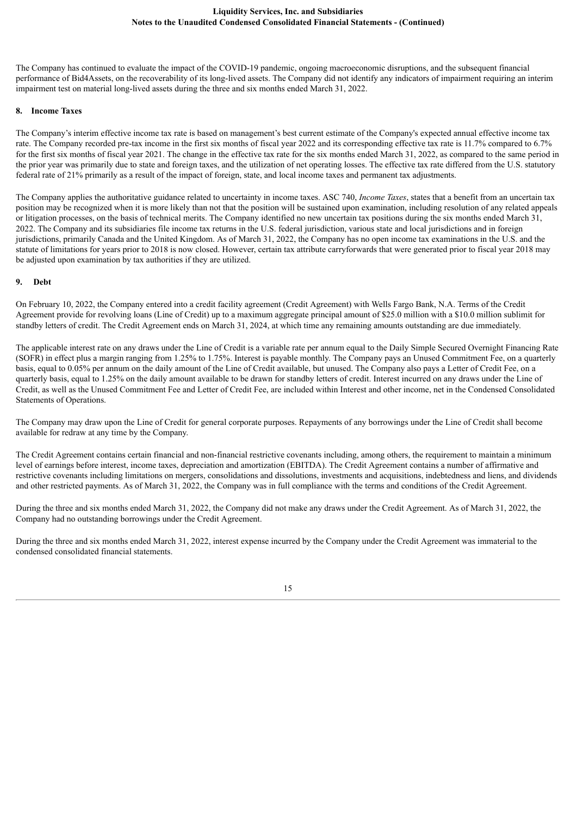The Company has continued to evaluate the impact of the COVID-19 pandemic, ongoing macroeconomic disruptions, and the subsequent financial performance of Bid4Assets, on the recoverability of its long-lived assets. The Company did not identify any indicators of impairment requiring an interim impairment test on material long-lived assets during the three and six months ended March 31, 2022.

#### **8. Income Taxes**

The Company's interim effective income tax rate is based on management's best current estimate of the Company's expected annual effective income tax rate. The Company recorded pre-tax income in the first six months of fiscal year 2022 and its corresponding effective tax rate is 11.7% compared to 6.7% for the first six months of fiscal year 2021. The change in the effective tax rate for the six months ended March 31, 2022, as compared to the same period in the prior year was primarily due to state and foreign taxes, and the utilization of net operating losses. The effective tax rate differed from the U.S. statutory federal rate of 21% primarily as a result of the impact of foreign, state, and local income taxes and permanent tax adjustments.

The Company applies the authoritative guidance related to uncertainty in income taxes. ASC 740, *Income Taxes*, states that a benefit from an uncertain tax position may be recognized when it is more likely than not that the position will be sustained upon examination, including resolution of any related appeals or litigation processes, on the basis of technical merits. The Company identified no new uncertain tax positions during the six months ended March 31, 2022. The Company and its subsidiaries file income tax returns in the U.S. federal jurisdiction, various state and local jurisdictions and in foreign jurisdictions, primarily Canada and the United Kingdom. As of March 31, 2022, the Company has no open income tax examinations in the U.S. and the statute of limitations for years prior to 2018 is now closed. However, certain tax attribute carryforwards that were generated prior to fiscal year 2018 may be adjusted upon examination by tax authorities if they are utilized.

#### **9. Debt**

On February 10, 2022, the Company entered into a credit facility agreement (Credit Agreement) with Wells Fargo Bank, N.A. Terms of the Credit Agreement provide for revolving loans (Line of Credit) up to a maximum aggregate principal amount of \$25.0 million with a \$10.0 million sublimit for standby letters of credit. The Credit Agreement ends on March 31, 2024, at which time any remaining amounts outstanding are due immediately.

The applicable interest rate on any draws under the Line of Credit is a variable rate per annum equal to the Daily Simple Secured Overnight Financing Rate (SOFR) in effect plus a margin ranging from 1.25% to 1.75%. Interest is payable monthly. The Company pays an Unused Commitment Fee, on a quarterly basis, equal to 0.05% per annum on the daily amount of the Line of Credit available, but unused. The Company also pays a Letter of Credit Fee, on a quarterly basis, equal to 1.25% on the daily amount available to be drawn for standby letters of credit. Interest incurred on any draws under the Line of Credit, as well as the Unused Commitment Fee and Letter of Credit Fee, are included within Interest and other income, net in the Condensed Consolidated Statements of Operations.

The Company may draw upon the Line of Credit for general corporate purposes. Repayments of any borrowings under the Line of Credit shall become available for redraw at any time by the Company.

The Credit Agreement contains certain financial and non-financial restrictive covenants including, among others, the requirement to maintain a minimum level of earnings before interest, income taxes, depreciation and amortization (EBITDA). The Credit Agreement contains a number of affirmative and restrictive covenants including limitations on mergers, consolidations and dissolutions, investments and acquisitions, indebtedness and liens, and dividends and other restricted payments. As of March 31, 2022, the Company was in full compliance with the terms and conditions of the Credit Agreement.

During the three and six months ended March 31, 2022, the Company did not make any draws under the Credit Agreement. As of March 31, 2022, the Company had no outstanding borrowings under the Credit Agreement.

During the three and six months ended March 31, 2022, interest expense incurred by the Company under the Credit Agreement was immaterial to the condensed consolidated financial statements.

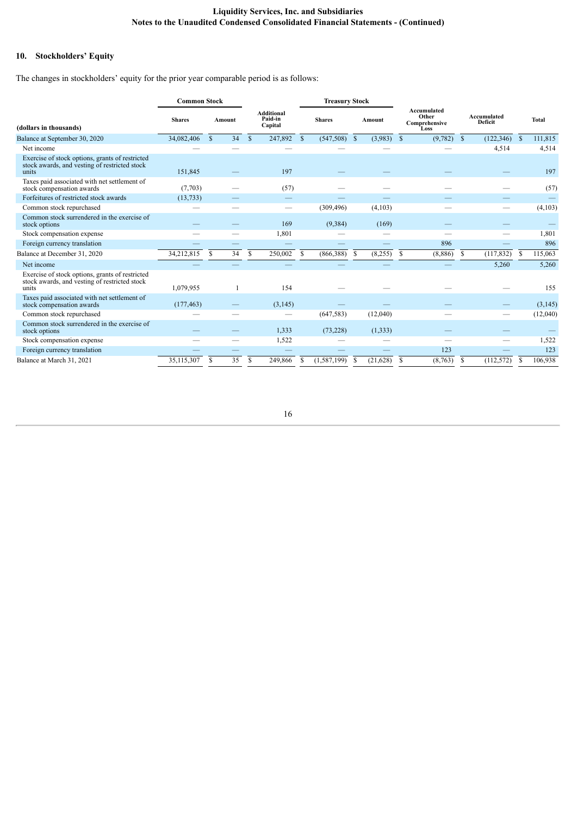### **10. Stockholders' Equity**

The changes in stockholders' equity for the prior year comparable period is as follows:

|                                                                                                           | <b>Common Stock</b> |                          |               |                                         |              |             | <b>Treasury Stock</b> |                         |               |         |               |                          |               |          |  |  |  |                                               |                        |  |  |              |
|-----------------------------------------------------------------------------------------------------------|---------------------|--------------------------|---------------|-----------------------------------------|--------------|-------------|-----------------------|-------------------------|---------------|---------|---------------|--------------------------|---------------|----------|--|--|--|-----------------------------------------------|------------------------|--|--|--------------|
| (dollars in thousands)                                                                                    | <b>Shares</b>       | Amount                   |               | <b>Additional</b><br>Paid-in<br>Capital |              |             |                       | <b>Shares</b><br>Amount |               |         |               |                          |               |          |  |  |  | Accumulated<br>Other<br>Comprehensive<br>Loss | Accumulated<br>Deficit |  |  | <b>Total</b> |
| Balance at September 30, 2020                                                                             | 34,082,406          | 34<br>$\mathbf{\hat{s}}$ | <sup>\$</sup> | 247,892                                 | $\mathbf{s}$ | (547, 508)  | -S                    | (3,983)                 | <sup>\$</sup> | (9,782) | $\mathbf S$   | (122, 346)               | -S            | 111,815  |  |  |  |                                               |                        |  |  |              |
| Net income                                                                                                |                     |                          |               |                                         |              |             |                       |                         |               |         |               | 4,514                    |               | 4,514    |  |  |  |                                               |                        |  |  |              |
| Exercise of stock options, grants of restricted<br>stock awards, and vesting of restricted stock<br>units | 151,845             |                          |               | 197                                     |              |             |                       |                         |               |         |               |                          |               | 197      |  |  |  |                                               |                        |  |  |              |
| Taxes paid associated with net settlement of<br>stock compensation awards                                 | (7,703)             |                          |               | (57)                                    |              |             |                       |                         |               |         |               |                          |               | (57)     |  |  |  |                                               |                        |  |  |              |
| Forfeitures of restricted stock awards                                                                    | (13, 733)           |                          |               |                                         |              |             |                       |                         |               |         |               |                          |               |          |  |  |  |                                               |                        |  |  |              |
| Common stock repurchased                                                                                  |                     |                          |               |                                         |              | (309, 496)  |                       | (4,103)                 |               |         |               |                          |               | (4,103)  |  |  |  |                                               |                        |  |  |              |
| Common stock surrendered in the exercise of<br>stock options                                              |                     |                          |               | 169                                     |              | (9, 384)    |                       | (169)                   |               |         |               |                          |               |          |  |  |  |                                               |                        |  |  |              |
| Stock compensation expense                                                                                |                     |                          |               | 1,801                                   |              |             |                       |                         |               |         |               |                          |               | 1,801    |  |  |  |                                               |                        |  |  |              |
| Foreign currency translation                                                                              |                     |                          |               |                                         |              |             |                       |                         |               | 896     |               |                          |               | 896      |  |  |  |                                               |                        |  |  |              |
| Balance at December 31, 2020                                                                              | 34,212,815          | S<br>34                  | \$            | 250,002                                 | S            | (866,388)   | S                     | (8,255)                 | \$            | (8,886) | <sup>\$</sup> | (117, 832)               | -S            | 115,063  |  |  |  |                                               |                        |  |  |              |
| Net income                                                                                                |                     |                          |               |                                         |              |             |                       |                         |               |         |               | 5,260                    |               | 5,260    |  |  |  |                                               |                        |  |  |              |
| Exercise of stock options, grants of restricted<br>stock awards, and vesting of restricted stock<br>units | 1,079,955           |                          |               | 154                                     |              |             |                       |                         |               |         |               |                          |               | 155      |  |  |  |                                               |                        |  |  |              |
| Taxes paid associated with net settlement of<br>stock compensation awards                                 | (177, 463)          |                          |               | (3,145)                                 |              |             |                       |                         |               |         |               |                          |               | (3, 145) |  |  |  |                                               |                        |  |  |              |
| Common stock repurchased                                                                                  |                     |                          |               |                                         |              | (647, 583)  |                       | (12,040)                |               |         |               | $\overline{\phantom{0}}$ |               | (12,040) |  |  |  |                                               |                        |  |  |              |
| Common stock surrendered in the exercise of<br>stock options                                              |                     |                          |               | 1,333                                   |              | (73, 228)   |                       | (1, 333)                |               |         |               |                          |               |          |  |  |  |                                               |                        |  |  |              |
| Stock compensation expense                                                                                |                     |                          |               | 1,522                                   |              |             |                       |                         |               |         |               |                          |               | 1,522    |  |  |  |                                               |                        |  |  |              |
| Foreign currency translation                                                                              |                     |                          |               |                                         |              |             |                       |                         |               | 123     |               |                          |               | 123      |  |  |  |                                               |                        |  |  |              |
| Balance at March 31, 2021                                                                                 | 35,115,307          | 35<br>S                  | \$            | 249.866                                 | S            | (1,587,199) | <b>S</b>              | (21,628)                | S             | (8,763) | <sup>\$</sup> | (112, 572)               | <sup>\$</sup> | 106,938  |  |  |  |                                               |                        |  |  |              |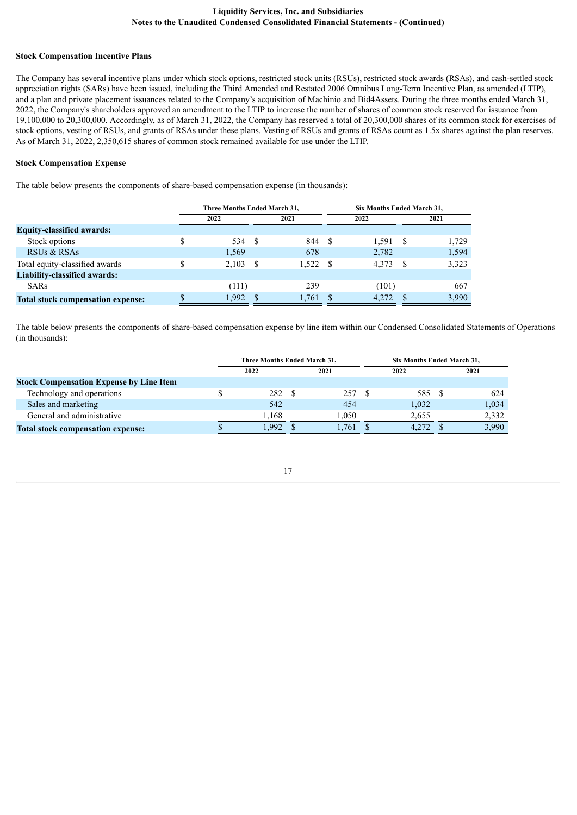#### **Stock Compensation Incentive Plans**

The Company has several incentive plans under which stock options, restricted stock units (RSUs), restricted stock awards (RSAs), and cash-settled stock appreciation rights (SARs) have been issued, including the Third Amended and Restated 2006 Omnibus Long-Term Incentive Plan, as amended (LTIP), and a plan and private placement issuances related to the Company's acquisition of Machinio and Bid4Assets. During the three months ended March 31, 2022, the Company's shareholders approved an amendment to the LTIP to increase the number of shares of common stock reserved for issuance from 19,100,000 to 20,300,000. Accordingly, as of March 31, 2022, the Company has reserved a total of 20,300,000 shares of its common stock for exercises of stock options, vesting of RSUs, and grants of RSAs under these plans. Vesting of RSUs and grants of RSAs count as 1.5x shares against the plan reserves. As of March 31, 2022, 2,350,615 shares of common stock remained available for use under the LTIP.

### **Stock Compensation Expense**

The table below presents the components of share-based compensation expense (in thousands):

|                                          | Three Months Ended March 31, |       |     |       | Six Months Ended March 31, |       |      |       |
|------------------------------------------|------------------------------|-------|-----|-------|----------------------------|-------|------|-------|
|                                          |                              | 2022  |     | 2021  |                            | 2022  |      | 2021  |
| <b>Equity-classified awards:</b>         |                              |       |     |       |                            |       |      |       |
| Stock options                            |                              | 534   | - S | 844   | - \$                       | 1.591 | - \$ | 1.729 |
| RSUs & RSAs                              |                              | 1,569 |     | 678   |                            | 2,782 |      | 1,594 |
| Total equity-classified awards           |                              | 2,103 |     | 1,522 |                            | 4.373 |      | 3,323 |
| Liability-classified awards:             |                              |       |     |       |                            |       |      |       |
| <b>SARs</b>                              |                              | (111) |     | 239   |                            | (101) |      | 667   |
| <b>Total stock compensation expense:</b> |                              | 1.992 |     | 1,761 |                            | 4.272 |      | 3.990 |

The table below presents the components of share-based compensation expense by line item within our Condensed Consolidated Statements of Operations (in thousands):

|                                                | Three Months Ended March 31, |        |  |       | Six Months Ended March 31, |        |  |       |
|------------------------------------------------|------------------------------|--------|--|-------|----------------------------|--------|--|-------|
|                                                |                              | 2022   |  | 2021  |                            | 2022   |  | 2021  |
| <b>Stock Compensation Expense by Line Item</b> |                              |        |  |       |                            |        |  |       |
| Technology and operations                      |                              | 282 \$ |  | 257   |                            | 585 \$ |  | 624   |
| Sales and marketing                            |                              | 542    |  | 454   |                            | 1,032  |  | 1,034 |
| General and administrative                     |                              | 1.168  |  | 1.050 |                            | 2.655  |  | 2,332 |
| <b>Total stock compensation expense:</b>       |                              | .992   |  | 1.761 |                            | 4.272  |  | 3.990 |

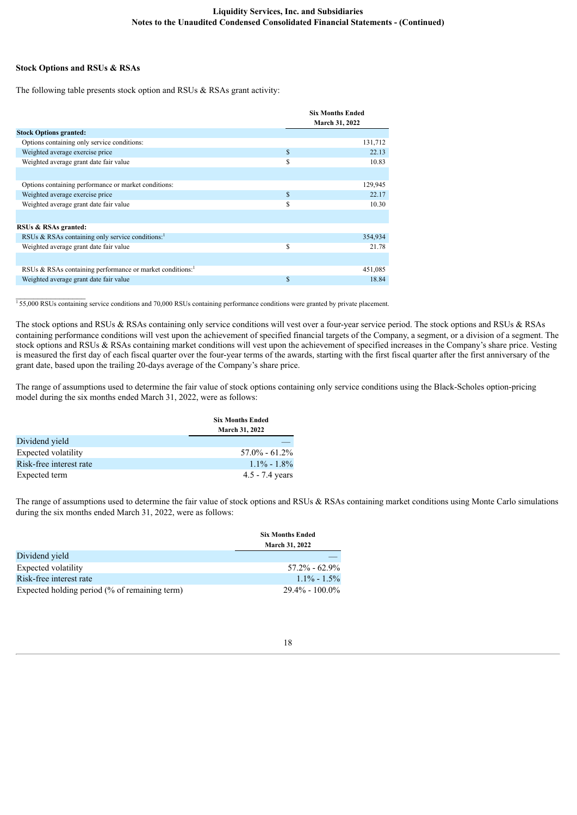### **Stock Options and RSUs & RSAs**

The following table presents stock option and RSUs & RSAs grant activity:

|                                                                       |               | <b>Six Months Ended</b><br>March 31, 2022 |
|-----------------------------------------------------------------------|---------------|-------------------------------------------|
| <b>Stock Options granted:</b>                                         |               |                                           |
| Options containing only service conditions:                           |               | 131,712                                   |
| Weighted average exercise price                                       | \$            | 22.13                                     |
| Weighted average grant date fair value                                | <sup>\$</sup> | 10.83                                     |
|                                                                       |               |                                           |
| Options containing performance or market conditions:                  |               | 129,945                                   |
| Weighted average exercise price                                       | \$            | 22.17                                     |
| Weighted average grant date fair value                                | <sup>\$</sup> | 10.30                                     |
|                                                                       |               |                                           |
| RSUs & RSAs granted:                                                  |               |                                           |
| RSUs & RSAs containing only service conditions. <sup>1</sup>          |               | 354,934                                   |
| Weighted average grant date fair value                                | <sup>\$</sup> | 21.78                                     |
|                                                                       |               |                                           |
| RSUs & RSAs containing performance or market conditions: <sup>1</sup> |               | 451,085                                   |
| Weighted average grant date fair value                                | <sup>\$</sup> | 18.84                                     |

<sup>1</sup> 55,000 RSUs containing service conditions and 70,000 RSUs containing performance conditions were granted by private placement.

The stock options and RSUs & RSAs containing only service conditions will vest over a four-year service period. The stock options and RSUs & RSAs containing performance conditions will vest upon the achievement of specified financial targets of the Company, a segment, or a division of a segment. The stock options and RSUs & RSAs containing market conditions will vest upon the achievement of specified increases in the Company's share price. Vesting is measured the first day of each fiscal quarter over the four-year terms of the awards, starting with the first fiscal quarter after the first anniversary of the grant date, based upon the trailing 20-days average of the Company's share price.

The range of assumptions used to determine the fair value of stock options containing only service conditions using the Black-Scholes option-pricing model during the six months ended March 31, 2022, were as follows:

|                         | <b>Six Months Ended</b><br>March 31, 2022 |
|-------------------------|-------------------------------------------|
| Dividend yield          |                                           |
| Expected volatility     | $57.0\% - 61.2\%$                         |
| Risk-free interest rate | $1.1\% - 1.8\%$                           |
| Expected term           | $4.5 - 7.4$ years                         |

The range of assumptions used to determine the fair value of stock options and RSUs & RSAs containing market conditions using Monte Carlo simulations during the six months ended March 31, 2022, were as follows:

|                                               | <b>Six Months Ended</b><br>March 31, 2022 |
|-----------------------------------------------|-------------------------------------------|
| Dividend yield                                |                                           |
| Expected volatility                           | $57.2\% - 62.9\%$                         |
| Risk-free interest rate                       | $1.1\% - 1.5\%$                           |
| Expected holding period (% of remaining term) | $29.4\% - 100.0\%$                        |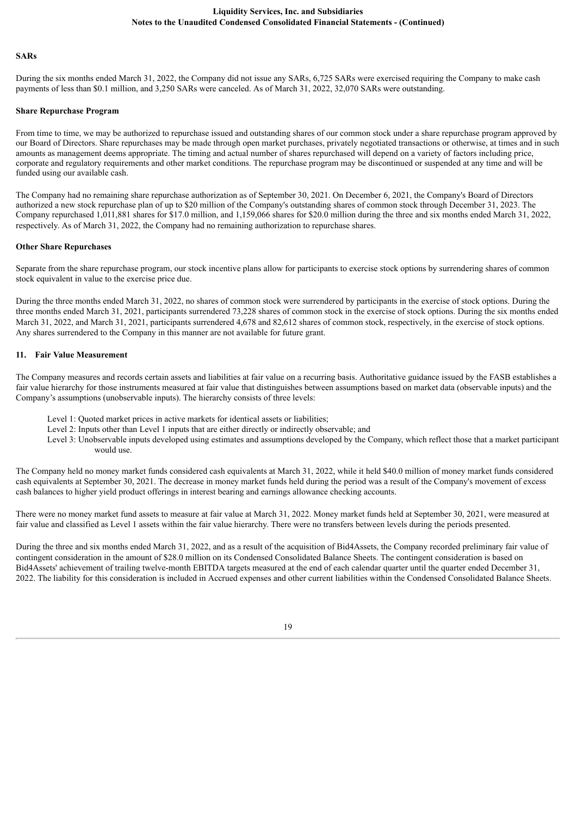#### **SARs**

During the six months ended March 31, 2022, the Company did not issue any SARs, 6,725 SARs were exercised requiring the Company to make cash payments of less than \$0.1 million, and 3,250 SARs were canceled. As of March 31, 2022, 32,070 SARs were outstanding.

#### **Share Repurchase Program**

From time to time, we may be authorized to repurchase issued and outstanding shares of our common stock under a share repurchase program approved by our Board of Directors. Share repurchases may be made through open market purchases, privately negotiated transactions or otherwise, at times and in such amounts as management deems appropriate. The timing and actual number of shares repurchased will depend on a variety of factors including price, corporate and regulatory requirements and other market conditions. The repurchase program may be discontinued or suspended at any time and will be funded using our available cash.

The Company had no remaining share repurchase authorization as of September 30, 2021. On December 6, 2021, the Company's Board of Directors authorized a new stock repurchase plan of up to \$20 million of the Company's outstanding shares of common stock through December 31, 2023. The Company repurchased 1,011,881 shares for \$17.0 million, and 1,159,066 shares for \$20.0 million during the three and six months ended March 31, 2022, respectively. As of March 31, 2022, the Company had no remaining authorization to repurchase shares.

#### **Other Share Repurchases**

Separate from the share repurchase program, our stock incentive plans allow for participants to exercise stock options by surrendering shares of common stock equivalent in value to the exercise price due.

During the three months ended March 31, 2022, no shares of common stock were surrendered by participants in the exercise of stock options. During the three months ended March 31, 2021, participants surrendered 73,228 shares of common stock in the exercise of stock options. During the six months ended March 31, 2022, and March 31, 2021, participants surrendered 4,678 and 82,612 shares of common stock, respectively, in the exercise of stock options. Any shares surrendered to the Company in this manner are not available for future grant.

#### **11. Fair Value Measurement**

The Company measures and records certain assets and liabilities at fair value on a recurring basis. Authoritative guidance issued by the FASB establishes a fair value hierarchy for those instruments measured at fair value that distinguishes between assumptions based on market data (observable inputs) and the Company's assumptions (unobservable inputs). The hierarchy consists of three levels:

- Level 1: Quoted market prices in active markets for identical assets or liabilities;
- Level 2: Inputs other than Level 1 inputs that are either directly or indirectly observable; and
- Level 3: Unobservable inputs developed using estimates and assumptions developed by the Company, which reflect those that a market participant would use.

The Company held no money market funds considered cash equivalents at March 31, 2022, while it held \$40.0 million of money market funds considered cash equivalents at September 30, 2021. The decrease in money market funds held during the period was a result of the Company's movement of excess cash balances to higher yield product offerings in interest bearing and earnings allowance checking accounts.

There were no money market fund assets to measure at fair value at March 31, 2022. Money market funds held at September 30, 2021, were measured at fair value and classified as Level 1 assets within the fair value hierarchy. There were no transfers between levels during the periods presented.

During the three and six months ended March 31, 2022, and as a result of the acquisition of Bid4Assets, the Company recorded preliminary fair value of contingent consideration in the amount of \$28.0 million on its Condensed Consolidated Balance Sheets. The contingent consideration is based on Bid4Assets' achievement of trailing twelve-month EBITDA targets measured at the end of each calendar quarter until the quarter ended December 31, 2022. The liability for this consideration is included in Accrued expenses and other current liabilities within the Condensed Consolidated Balance Sheets.

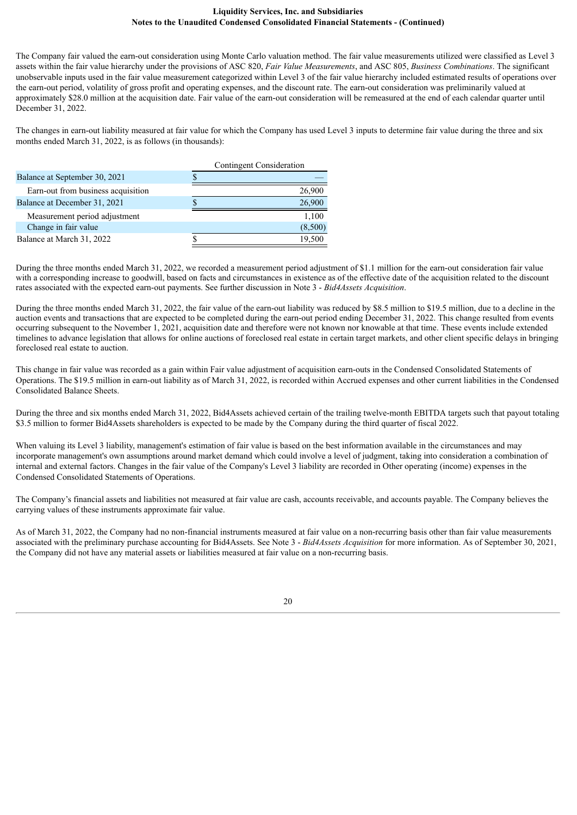The Company fair valued the earn-out consideration using Monte Carlo valuation method. The fair value measurements utilized were classified as Level 3 assets within the fair value hierarchy under the provisions of ASC 820, *Fair Value Measurements*, and ASC 805, *Business Combinations*. The significant unobservable inputs used in the fair value measurement categorized within Level 3 of the fair value hierarchy included estimated results of operations over the earn-out period, volatility of gross profit and operating expenses, and the discount rate. The earn-out consideration was preliminarily valued at approximately \$28.0 million at the acquisition date. Fair value of the earn-out consideration will be remeasured at the end of each calendar quarter until December 31, 2022.

The changes in earn-out liability measured at fair value for which the Company has used Level 3 inputs to determine fair value during the three and six months ended March 31, 2022, is as follows (in thousands):

|                                    | <b>Contingent Consideration</b> |
|------------------------------------|---------------------------------|
| Balance at September 30, 2021      |                                 |
| Earn-out from business acquisition | 26,900                          |
| Balance at December 31, 2021       | 26,900                          |
| Measurement period adjustment      | 1,100                           |
| Change in fair value               | (8,500)                         |
| Balance at March 31, 2022          | 19,500                          |

During the three months ended March 31, 2022, we recorded a measurement period adjustment of \$1.1 million for the earn-out consideration fair value with a corresponding increase to goodwill, based on facts and circumstances in existence as of the effective date of the acquisition related to the discount rates associated with the expected earn-out payments. See further discussion in Note 3 - *Bid4Assets Acquisition*.

During the three months ended March 31, 2022, the fair value of the earn-out liability was reduced by \$8.5 million to \$19.5 million, due to a decline in the auction events and transactions that are expected to be completed during the earn-out period ending December 31, 2022. This change resulted from events occurring subsequent to the November 1, 2021, acquisition date and therefore were not known nor knowable at that time. These events include extended timelines to advance legislation that allows for online auctions of foreclosed real estate in certain target markets, and other client specific delays in bringing foreclosed real estate to auction.

This change in fair value was recorded as a gain within Fair value adjustment of acquisition earn-outs in the Condensed Consolidated Statements of Operations. The \$19.5 million in earn-out liability as of March 31, 2022, is recorded within Accrued expenses and other current liabilities in the Condensed Consolidated Balance Sheets.

During the three and six months ended March 31, 2022, Bid4Assets achieved certain of the trailing twelve-month EBITDA targets such that payout totaling \$3.5 million to former Bid4Assets shareholders is expected to be made by the Company during the third quarter of fiscal 2022.

When valuing its Level 3 liability, management's estimation of fair value is based on the best information available in the circumstances and may incorporate management's own assumptions around market demand which could involve a level of judgment, taking into consideration a combination of internal and external factors. Changes in the fair value of the Company's Level 3 liability are recorded in Other operating (income) expenses in the Condensed Consolidated Statements of Operations.

The Company's financial assets and liabilities not measured at fair value are cash, accounts receivable, and accounts payable. The Company believes the carrying values of these instruments approximate fair value.

As of March 31, 2022, the Company had no non-financial instruments measured at fair value on a non-recurring basis other than fair value measurements associated with the preliminary purchase accounting for Bid4Assets. See Note 3 - *Bid4Assets Acquisition* for more information. As of September 30, 2021, the Company did not have any material assets or liabilities measured at fair value on a non-recurring basis.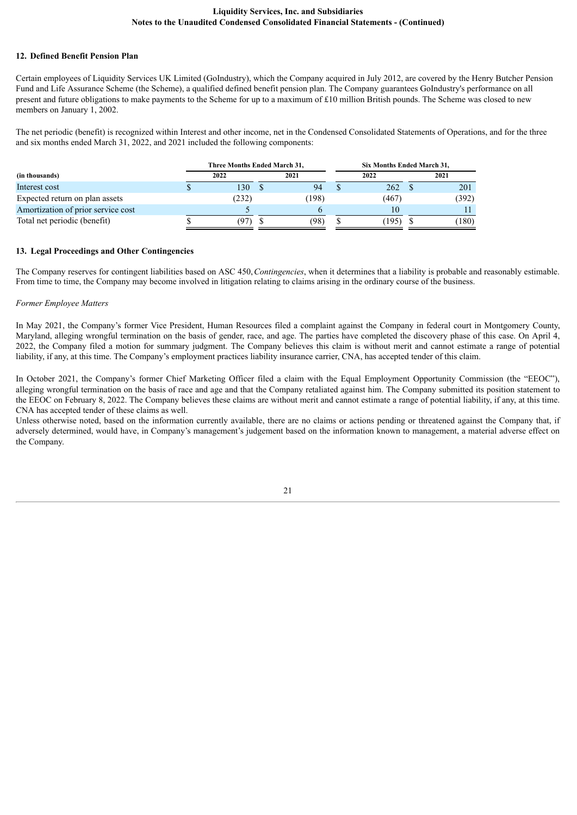#### **12. Defined Benefit Pension Plan**

Certain employees of Liquidity Services UK Limited (GoIndustry), which the Company acquired in July 2012, are covered by the Henry Butcher Pension Fund and Life Assurance Scheme (the Scheme), a qualified defined benefit pension plan. The Company guarantees GoIndustry's performance on all present and future obligations to make payments to the Scheme for up to a maximum of £10 million British pounds. The Scheme was closed to new members on January 1, 2002.

The net periodic (benefit) is recognized within Interest and other income, net in the Condensed Consolidated Statements of Operations, and for the three and six months ended March 31, 2022, and 2021 included the following components:

|                                    | Three Months Ended March 31, |       | Six Months Ended March 31, |       |  |       |  |  |  |
|------------------------------------|------------------------------|-------|----------------------------|-------|--|-------|--|--|--|
| (in thousands)                     | 2022                         | 2021  |                            | 2022  |  | 2021  |  |  |  |
| Interest cost                      | 130                          | 94    |                            | 262   |  | 201   |  |  |  |
| Expected return on plan assets     | (232)                        | (198) |                            | (467) |  | (392) |  |  |  |
| Amortization of prior service cost |                              |       |                            | 10    |  |       |  |  |  |
| Total net periodic (benefit)       |                              | (98)  |                            | (195) |  | 180)  |  |  |  |

#### **13. Legal Proceedings and Other Contingencies**

The Company reserves for contingent liabilities based on ASC 450,*Contingencies*, when it determines that a liability is probable and reasonably estimable. From time to time, the Company may become involved in litigation relating to claims arising in the ordinary course of the business.

#### *Former Employee Matters*

In May 2021, the Company's former Vice President, Human Resources filed a complaint against the Company in federal court in Montgomery County, Maryland, alleging wrongful termination on the basis of gender, race, and age. The parties have completed the discovery phase of this case. On April 4, 2022, the Company filed a motion for summary judgment. The Company believes this claim is without merit and cannot estimate a range of potential liability, if any, at this time. The Company's employment practices liability insurance carrier, CNA, has accepted tender of this claim.

In October 2021, the Company's former Chief Marketing Officer filed a claim with the Equal Employment Opportunity Commission (the "EEOC"), alleging wrongful termination on the basis of race and age and that the Company retaliated against him. The Company submitted its position statement to the EEOC on February 8, 2022. The Company believes these claims are without merit and cannot estimate a range of potential liability, if any, at this time. CNA has accepted tender of these claims as well.

Unless otherwise noted, based on the information currently available, there are no claims or actions pending or threatened against the Company that, if adversely determined, would have, in Company's management's judgement based on the information known to management, a material adverse effect on the Company.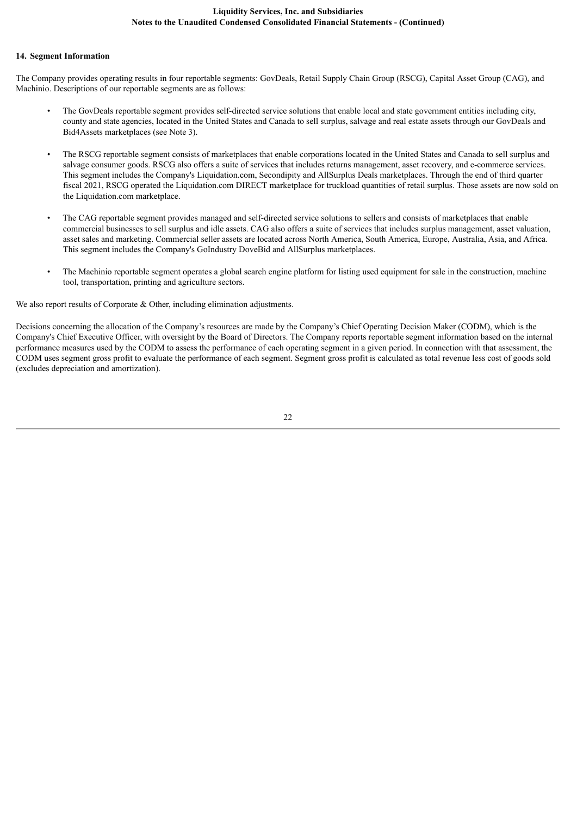#### **14. Segment Information**

The Company provides operating results in four reportable segments: GovDeals, Retail Supply Chain Group (RSCG), Capital Asset Group (CAG), and Machinio. Descriptions of our reportable segments are as follows:

- The GovDeals reportable segment provides self-directed service solutions that enable local and state government entities including city, county and state agencies, located in the United States and Canada to sell surplus, salvage and real estate assets through our GovDeals and Bid4Assets marketplaces (see Note 3).
- The RSCG reportable segment consists of marketplaces that enable corporations located in the United States and Canada to sell surplus and salvage consumer goods. RSCG also offers a suite of services that includes returns management, asset recovery, and e-commerce services. This segment includes the Company's Liquidation.com, Secondipity and AllSurplus Deals marketplaces. Through the end of third quarter fiscal 2021, RSCG operated the Liquidation.com DIRECT marketplace for truckload quantities of retail surplus. Those assets are now sold on the Liquidation.com marketplace.
- The CAG reportable segment provides managed and self-directed service solutions to sellers and consists of marketplaces that enable commercial businesses to sell surplus and idle assets. CAG also offers a suite of services that includes surplus management, asset valuation, asset sales and marketing. Commercial seller assets are located across North America, South America, Europe, Australia, Asia, and Africa. This segment includes the Company's GoIndustry DoveBid and AllSurplus marketplaces.
- The Machinio reportable segment operates a global search engine platform for listing used equipment for sale in the construction, machine tool, transportation, printing and agriculture sectors.

We also report results of Corporate  $\&$  Other, including elimination adjustments.

Decisions concerning the allocation of the Company's resources are made by the Company's Chief Operating Decision Maker (CODM), which is the Company's Chief Executive Officer, with oversight by the Board of Directors. The Company reports reportable segment information based on the internal performance measures used by the CODM to assess the performance of each operating segment in a given period. In connection with that assessment, the CODM uses segment gross profit to evaluate the performance of each segment. Segment gross profit is calculated as total revenue less cost of goods sold (excludes depreciation and amortization).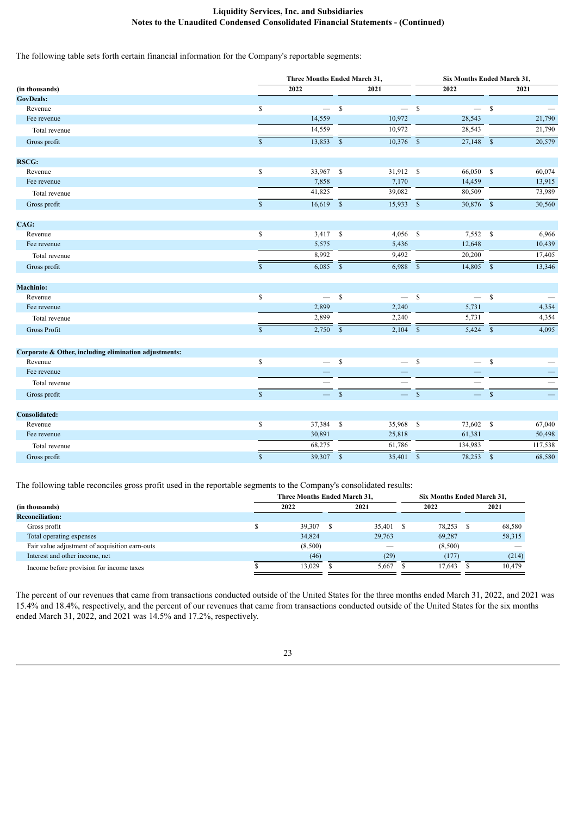The following table sets forth certain financial information for the Company's reportable segments:

|                                                       |                         | Three Months Ended March 31, | Six Months Ended March 31, |                          |                           |                          |                |                          |  |
|-------------------------------------------------------|-------------------------|------------------------------|----------------------------|--------------------------|---------------------------|--------------------------|----------------|--------------------------|--|
| (in thousands)                                        | 2022                    |                              |                            | 2021                     |                           | 2022                     |                | 2021                     |  |
| <b>GovDeals:</b>                                      |                         |                              |                            |                          |                           |                          |                |                          |  |
| Revenue                                               | \$                      | $\overline{\phantom{0}}$     | <sup>\$</sup>              | $\overline{\phantom{0}}$ | <sup>\$</sup>             | $\overline{\phantom{0}}$ | <sup>\$</sup>  |                          |  |
| Fee revenue                                           |                         | 14,559                       |                            | 10,972                   |                           | 28,543                   |                | 21,790                   |  |
| Total revenue                                         |                         | 14,559                       |                            | 10,972                   |                           | 28,543                   |                | 21,790                   |  |
| Gross profit                                          | $\mathbf{s}$            | $\overline{13,853}$ \$       |                            | $10,376$ \$              |                           | $27,148$ \$              |                | 20,579                   |  |
| <b>RSCG:</b>                                          |                         |                              |                            |                          |                           |                          |                |                          |  |
| Revenue                                               | $\mathbb{S}$            | 33,967 \$                    |                            | 31,912 \$                |                           | 66,050 \$                |                | 60,074                   |  |
| Fee revenue                                           |                         | 7,858                        |                            | 7,170                    |                           | 14,459                   |                | 13,915                   |  |
| Total revenue                                         |                         | 41,825                       |                            | 39,082                   |                           | 80,509                   |                | 73,989                   |  |
| Gross profit                                          | $\mathbf S$             | $16,619$ \$                  |                            | $\overline{15,933}$ \$   |                           | $30,876$ \$              |                | 30,560                   |  |
| CAG:                                                  |                         |                              |                            |                          |                           |                          |                |                          |  |
| Revenue                                               | \$                      | $3,417$ \$                   |                            | $4,056$ \$               |                           | $7,552$ \$               |                | 6,966                    |  |
| Fee revenue                                           |                         | 5,575                        |                            | 5,436                    |                           | 12,648                   |                | 10,439                   |  |
| Total revenue                                         |                         | 8,992                        |                            | 9,492                    |                           | 20,200                   |                | 17,405                   |  |
| Gross profit                                          | $\mathbf S$             | 6,085                        | $\overline{\mathbf{s}}$    | $6,988$ \$               |                           | $14,805$ \$              |                | 13,346                   |  |
| <b>Machinio:</b>                                      |                         |                              |                            |                          |                           |                          |                |                          |  |
| Revenue                                               | $\mathsf{\$}$           | $\overline{\phantom{m}}$     | - \$                       | $\qquad \qquad -$        | $\mathbb{S}$              | $\overline{\phantom{m}}$ | $\mathbf{s}$   |                          |  |
| Fee revenue                                           |                         | 2,899                        |                            | 2,240                    |                           | 5,731                    |                | 4,354                    |  |
| Total revenue                                         |                         | 2,899                        |                            | 2,240                    |                           | 5,731                    |                | 4,354                    |  |
| <b>Gross Profit</b>                                   | $\overline{\mathbb{S}}$ | 2,750                        | $\overline{\mathbf{s}}$    | $2,104$ \$               |                           | $5,424$ \$               |                | 4,095                    |  |
| Corporate & Other, including elimination adjustments: |                         |                              |                            |                          |                           |                          |                |                          |  |
| Revenue                                               | $\mathsf{\$}$           |                              | \$                         | $\equiv$                 | $\mathsf{\$}$             | $\equiv$                 | $\mathbf S$    |                          |  |
| Fee revenue                                           |                         |                              |                            |                          |                           |                          |                |                          |  |
| Total revenue                                         |                         |                              |                            |                          |                           |                          |                | $\overline{\phantom{0}}$ |  |
| Gross profit                                          | $\mathbf{s}$            |                              | $\overline{s}$             |                          | $\overline{\overline{s}}$ |                          | $\overline{s}$ |                          |  |
| <b>Consolidated:</b>                                  |                         |                              |                            |                          |                           |                          |                |                          |  |
| Revenue                                               | $\mathsf{\$}$           | 37,384                       | $\mathbf s$                | 35,968                   | \$                        | 73,602                   | $\mathbf s$    | 67,040                   |  |
| Fee revenue                                           |                         | 30,891                       |                            | 25,818                   |                           | 61,381                   |                | 50,498                   |  |
| Total revenue                                         |                         | 68,275                       |                            | 61,786                   |                           | 134,983                  |                | 117,538                  |  |
| Gross profit                                          | $\mathbf S$             | 39,307                       | $\overline{\mathbb{S}}$    | $35,401$ \$              |                           | $78,253$ \$              |                | 68,580                   |  |

The following table reconciles gross profit used in the reportable segments to the Company's consolidated results:

|                                                |  | Three Months Ended March 31, |  | Six Months Ended March 31, |  |         |              |                                 |  |
|------------------------------------------------|--|------------------------------|--|----------------------------|--|---------|--------------|---------------------------------|--|
| (in thousands)                                 |  | 2022                         |  | 2021                       |  | 2022    |              | 2021                            |  |
| <b>Reconciliation:</b>                         |  |                              |  |                            |  |         |              |                                 |  |
| Gross profit                                   |  | 39.307                       |  | 35.401                     |  | 78.253  | <sup>8</sup> | 68,580                          |  |
| Total operating expenses                       |  | 34,824                       |  | 29,763                     |  | 69.287  |              | 58,315                          |  |
| Fair value adjustment of acquisition earn-outs |  | (8,500)                      |  |                            |  | (8,500) |              | $\hspace{0.1mm}-\hspace{0.1mm}$ |  |
| Interest and other income, net                 |  | (46)                         |  | (29)                       |  | (177)   |              | (214)                           |  |
| Income before provision for income taxes       |  | 13.029                       |  | 5,667                      |  | 17.643  |              | 10.479                          |  |

<span id="page-23-0"></span>The percent of our revenues that came from transactions conducted outside of the United States for the three months ended March 31, 2022, and 2021 was 15.4% and 18.4%, respectively, and the percent of our revenues that came from transactions conducted outside of the United States for the six months ended March 31, 2022, and 2021 was 14.5% and 17.2%, respectively.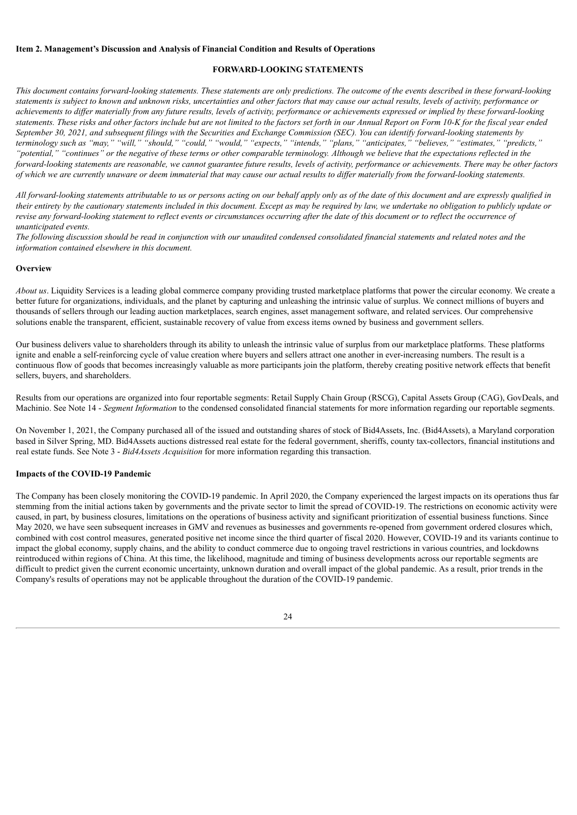#### **Item 2. Management's Discussion and Analysis of Financial Condition and Results of Operations**

#### **FORWARD-LOOKING STATEMENTS**

This document contains forward-looking statements. These statements are only predictions. The outcome of the events described in these forward-looking statements is subject to known and unknown risks, uncertainties and other factors that may cause our actual results, levels of activity, performance or achievements to differ materially from any future results, levels of activity, performance or achievements expressed or implied by these forward-looking statements. These risks and other factors include but are not limited to the factors set forth in our Annual Report on Form 10-K for the fiscal year ended September 30, 2021, and subsequent filings with the Securities and Exchange Commission (SEC). You can identify forward-looking statements by terminology such as "may," "will," "should," "could," "would," "expects," "intends," "plans," "anticipates," "believes," "estimates," "predicts,' "potential," "continues" or the negative of these terms or other comparable terminology. Although we believe that the expectations reflected in the forward-looking statements are reasonable, we cannot guarantee future results, levels of activity, performance or achievements. There may be other factors of which we are currently unaware or deem immaterial that may cause our actual results to differ materially from the forward-looking statements.

All forward-looking statements attributable to us or persons acting on our behalf apply only as of the date of this document and are expressly qualified in their entirety by the cautionary statements included in this document. Except as may be required by law, we undertake no obligation to publicly update or revise any forward-looking statement to reflect events or circumstances occurring after the date of this document or to reflect the occurrence of *unanticipated events.*

The following discussion should be read in conjunction with our unaudited condensed consolidated financial statements and related notes and the *information contained elsewhere in this document.*

#### **Overview**

*About us*. Liquidity Services is a leading global commerce company providing trusted marketplace platforms that power the circular economy. We create a better future for organizations, individuals, and the planet by capturing and unleashing the intrinsic value of surplus. We connect millions of buyers and thousands of sellers through our leading auction marketplaces, search engines, asset management software, and related services. Our comprehensive solutions enable the transparent, efficient, sustainable recovery of value from excess items owned by business and government sellers.

Our business delivers value to shareholders through its ability to unleash the intrinsic value of surplus from our marketplace platforms. These platforms ignite and enable a self-reinforcing cycle of value creation where buyers and sellers attract one another in ever-increasing numbers. The result is a continuous flow of goods that becomes increasingly valuable as more participants join the platform, thereby creating positive network effects that benefit sellers, buyers, and shareholders.

Results from our operations are organized into four reportable segments: Retail Supply Chain Group (RSCG), Capital Assets Group (CAG), GovDeals, and Machinio. See Note 14 - *Segment Information* to the condensed consolidated financial statements for more information regarding our reportable segments.

On November 1, 2021, the Company purchased all of the issued and outstanding shares of stock of Bid4Assets, Inc. (Bid4Assets), a Maryland corporation based in Silver Spring, MD. Bid4Assets auctions distressed real estate for the federal government, sheriffs, county tax-collectors, financial institutions and real estate funds. See Note 3 - *Bid4Assets Acquisition* for more information regarding this transaction.

#### **Impacts of the COVID-19 Pandemic**

The Company has been closely monitoring the COVID-19 pandemic. In April 2020, the Company experienced the largest impacts on its operations thus far stemming from the initial actions taken by governments and the private sector to limit the spread of COVID-19. The restrictions on economic activity were caused, in part, by business closures, limitations on the operations of business activity and significant prioritization of essential business functions. Since May 2020, we have seen subsequent increases in GMV and revenues as businesses and governments re-opened from government ordered closures which, combined with cost control measures, generated positive net income since the third quarter of fiscal 2020. However, COVID-19 and its variants continue to impact the global economy, supply chains, and the ability to conduct commerce due to ongoing travel restrictions in various countries, and lockdowns reintroduced within regions of China. At this time, the likelihood, magnitude and timing of business developments across our reportable segments are difficult to predict given the current economic uncertainty, unknown duration and overall impact of the global pandemic. As a result, prior trends in the Company's results of operations may not be applicable throughout the duration of the COVID-19 pandemic.

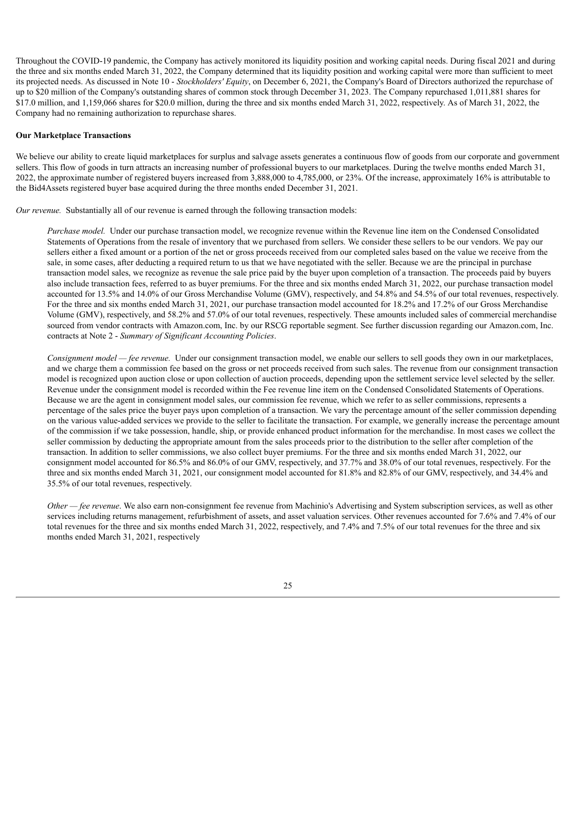Throughout the COVID-19 pandemic, the Company has actively monitored its liquidity position and working capital needs. During fiscal 2021 and during the three and six months ended March 31, 2022, the Company determined that its liquidity position and working capital were more than sufficient to meet its projected needs. As discussed in Note 10 - *Stockholders' Equity*, on December 6, 2021, the Company's Board of Directors authorized the repurchase of up to \$20 million of the Company's outstanding shares of common stock through December 31, 2023. The Company repurchased 1,011,881 shares for \$17.0 million, and 1,159,066 shares for \$20.0 million, during the three and six months ended March 31, 2022, respectively. As of March 31, 2022, the Company had no remaining authorization to repurchase shares.

#### **Our Marketplace Transactions**

We believe our ability to create liquid marketplaces for surplus and salvage assets generates a continuous flow of goods from our corporate and government sellers. This flow of goods in turn attracts an increasing number of professional buyers to our marketplaces. During the twelve months ended March 31, 2022, the approximate number of registered buyers increased from 3,888,000 to 4,785,000, or 23%. Of the increase, approximately 16% is attributable to the Bid4Assets registered buyer base acquired during the three months ended December 31, 2021.

*Our revenue.* Substantially all of our revenue is earned through the following transaction models:

*Purchase model.* Under our purchase transaction model, we recognize revenue within the Revenue line item on the Condensed Consolidated Statements of Operations from the resale of inventory that we purchased from sellers. We consider these sellers to be our vendors. We pay our sellers either a fixed amount or a portion of the net or gross proceeds received from our completed sales based on the value we receive from the sale, in some cases, after deducting a required return to us that we have negotiated with the seller. Because we are the principal in purchase transaction model sales, we recognize as revenue the sale price paid by the buyer upon completion of a transaction. The proceeds paid by buyers also include transaction fees, referred to as buyer premiums. For the three and six months ended March 31, 2022, our purchase transaction model accounted for 13.5% and 14.0% of our Gross Merchandise Volume (GMV), respectively, and 54.8% and 54.5% of our total revenues, respectively. For the three and six months ended March 31, 2021, our purchase transaction model accounted for 18.2% and 17.2% of our Gross Merchandise Volume (GMV), respectively, and 58.2% and 57.0% of our total revenues, respectively. These amounts included sales of commercial merchandise sourced from vendor contracts with Amazon.com, Inc. by our RSCG reportable segment. See further discussion regarding our Amazon.com, Inc. contracts at Note 2 - *Summary of Significant Accounting Policies*.

*Consignment model — fee revenue.* Under our consignment transaction model, we enable our sellers to sell goods they own in our marketplaces, and we charge them a commission fee based on the gross or net proceeds received from such sales. The revenue from our consignment transaction model is recognized upon auction close or upon collection of auction proceeds, depending upon the settlement service level selected by the seller. Revenue under the consignment model is recorded within the Fee revenue line item on the Condensed Consolidated Statements of Operations. Because we are the agent in consignment model sales, our commission fee revenue, which we refer to as seller commissions, represents a percentage of the sales price the buyer pays upon completion of a transaction. We vary the percentage amount of the seller commission depending on the various value-added services we provide to the seller to facilitate the transaction. For example, we generally increase the percentage amount of the commission if we take possession, handle, ship, or provide enhanced product information for the merchandise. In most cases we collect the seller commission by deducting the appropriate amount from the sales proceeds prior to the distribution to the seller after completion of the transaction. In addition to seller commissions, we also collect buyer premiums. For the three and six months ended March 31, 2022, our consignment model accounted for 86.5% and 86.0% of our GMV, respectively, and 37.7% and 38.0% of our total revenues, respectively. For the three and six months ended March 31, 2021, our consignment model accounted for 81.8% and 82.8% of our GMV, respectively, and 34.4% and 35.5% of our total revenues, respectively.

*Other — fee revenue*. We also earn non-consignment fee revenue from Machinio's Advertising and System subscription services, as well as other services including returns management, refurbishment of assets, and asset valuation services. Other revenues accounted for 7.6% and 7.4% of our total revenues for the three and six months ended March 31, 2022, respectively, and 7.4% and 7.5% of our total revenues for the three and six months ended March 31, 2021, respectively

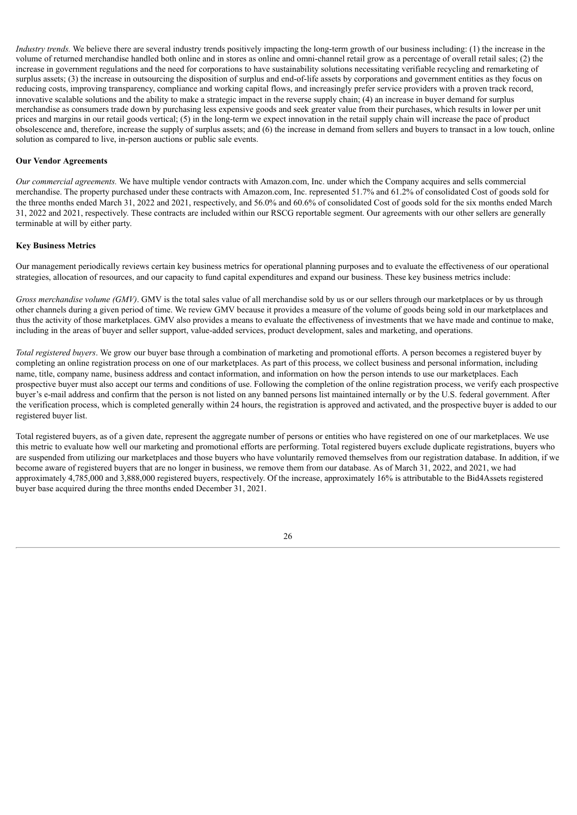*Industry trends.* We believe there are several industry trends positively impacting the long-term growth of our business including: (1) the increase in the volume of returned merchandise handled both online and in stores as online and omni-channel retail grow as a percentage of overall retail sales; (2) the increase in government regulations and the need for corporations to have sustainability solutions necessitating verifiable recycling and remarketing of surplus assets; (3) the increase in outsourcing the disposition of surplus and end-of-life assets by corporations and government entities as they focus on reducing costs, improving transparency, compliance and working capital flows, and increasingly prefer service providers with a proven track record, innovative scalable solutions and the ability to make a strategic impact in the reverse supply chain; (4) an increase in buyer demand for surplus merchandise as consumers trade down by purchasing less expensive goods and seek greater value from their purchases, which results in lower per unit prices and margins in our retail goods vertical; (5) in the long-term we expect innovation in the retail supply chain will increase the pace of product obsolescence and, therefore, increase the supply of surplus assets; and (6) the increase in demand from sellers and buyers to transact in a low touch, online solution as compared to live, in-person auctions or public sale events.

#### **Our Vendor Agreements**

*Our commercial agreements.* We have multiple vendor contracts with Amazon.com, Inc. under which the Company acquires and sells commercial merchandise. The property purchased under these contracts with Amazon.com, Inc. represented 51.7% and 61.2% of consolidated Cost of goods sold for the three months ended March 31, 2022 and 2021, respectively, and 56.0% and 60.6% of consolidated Cost of goods sold for the six months ended March 31, 2022 and 2021, respectively. These contracts are included within our RSCG reportable segment. Our agreements with our other sellers are generally terminable at will by either party.

#### **Key Business Metrics**

Our management periodically reviews certain key business metrics for operational planning purposes and to evaluate the effectiveness of our operational strategies, allocation of resources, and our capacity to fund capital expenditures and expand our business. These key business metrics include:

*Gross merchandise volume (GMV)*. GMV is the total sales value of all merchandise sold by us or our sellers through our marketplaces or by us through other channels during a given period of time. We review GMV because it provides a measure of the volume of goods being sold in our marketplaces and thus the activity of those marketplaces. GMV also provides a means to evaluate the effectiveness of investments that we have made and continue to make, including in the areas of buyer and seller support, value-added services, product development, sales and marketing, and operations.

*Total registered buyers*. We grow our buyer base through a combination of marketing and promotional efforts. A person becomes a registered buyer by completing an online registration process on one of our marketplaces. As part of this process, we collect business and personal information, including name, title, company name, business address and contact information, and information on how the person intends to use our marketplaces. Each prospective buyer must also accept our terms and conditions of use. Following the completion of the online registration process, we verify each prospective buyer's e-mail address and confirm that the person is not listed on any banned persons list maintained internally or by the U.S. federal government. After the verification process, which is completed generally within 24 hours, the registration is approved and activated, and the prospective buyer is added to our registered buyer list.

Total registered buyers, as of a given date, represent the aggregate number of persons or entities who have registered on one of our marketplaces. We use this metric to evaluate how well our marketing and promotional efforts are performing. Total registered buyers exclude duplicate registrations, buyers who are suspended from utilizing our marketplaces and those buyers who have voluntarily removed themselves from our registration database. In addition, if we become aware of registered buyers that are no longer in business, we remove them from our database. As of March 31, 2022, and 2021, we had approximately 4,785,000 and 3,888,000 registered buyers, respectively. Of the increase, approximately 16% is attributable to the Bid4Assets registered buyer base acquired during the three months ended December 31, 2021.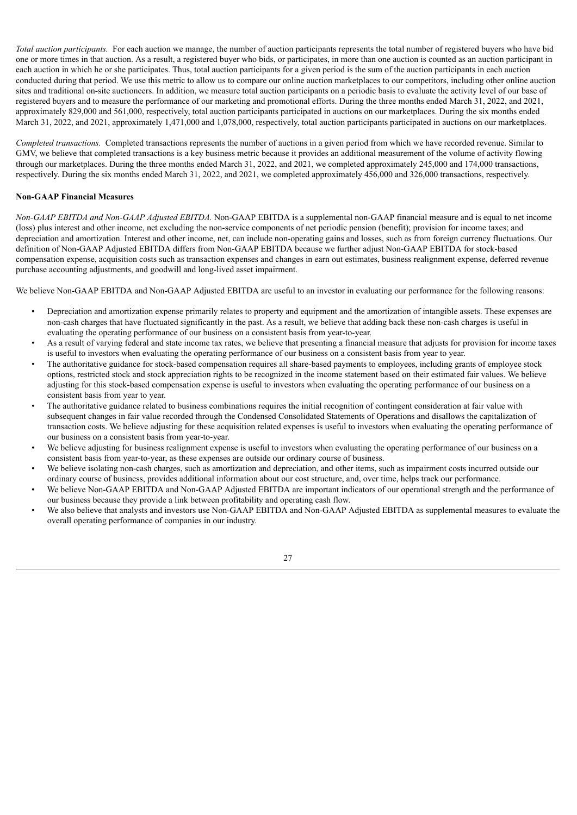*Total auction participants.* For each auction we manage, the number of auction participants represents the total number of registered buyers who have bid one or more times in that auction. As a result, a registered buyer who bids, or participates, in more than one auction is counted as an auction participant in each auction in which he or she participates. Thus, total auction participants for a given period is the sum of the auction participants in each auction conducted during that period. We use this metric to allow us to compare our online auction marketplaces to our competitors, including other online auction sites and traditional on-site auctioneers. In addition, we measure total auction participants on a periodic basis to evaluate the activity level of our base of registered buyers and to measure the performance of our marketing and promotional efforts. During the three months ended March 31, 2022, and 2021, approximately 829,000 and 561,000, respectively, total auction participants participated in auctions on our marketplaces. During the six months ended March 31, 2022, and 2021, approximately 1,471,000 and 1,078,000, respectively, total auction participants participated in auctions on our marketplaces.

*Completed transactions.* Completed transactions represents the number of auctions in a given period from which we have recorded revenue. Similar to GMV, we believe that completed transactions is a key business metric because it provides an additional measurement of the volume of activity flowing through our marketplaces. During the three months ended March 31, 2022, and 2021, we completed approximately 245,000 and 174,000 transactions, respectively. During the six months ended March 31, 2022, and 2021, we completed approximately 456,000 and 326,000 transactions, respectively.

#### **Non-GAAP Financial Measures**

*Non-GAAP EBITDA and Non-GAAP Adjusted EBITDA.* Non-GAAP EBITDA is a supplemental non-GAAP financial measure and is equal to net income (loss) plus interest and other income, net excluding the non-service components of net periodic pension (benefit); provision for income taxes; and depreciation and amortization. Interest and other income, net, can include non-operating gains and losses, such as from foreign currency fluctuations. Our definition of Non-GAAP Adjusted EBITDA differs from Non-GAAP EBITDA because we further adjust Non-GAAP EBITDA for stock-based compensation expense, acquisition costs such as transaction expenses and changes in earn out estimates, business realignment expense, deferred revenue purchase accounting adjustments, and goodwill and long-lived asset impairment.

We believe Non-GAAP EBITDA and Non-GAAP Adjusted EBITDA are useful to an investor in evaluating our performance for the following reasons:

- Depreciation and amortization expense primarily relates to property and equipment and the amortization of intangible assets. These expenses are non-cash charges that have fluctuated significantly in the past. As a result, we believe that adding back these non-cash charges is useful in evaluating the operating performance of our business on a consistent basis from year-to-year.
- As a result of varying federal and state income tax rates, we believe that presenting a financial measure that adjusts for provision for income taxes is useful to investors when evaluating the operating performance of our business on a consistent basis from year to year.
- The authoritative guidance for stock-based compensation requires all share-based payments to employees, including grants of employee stock options, restricted stock and stock appreciation rights to be recognized in the income statement based on their estimated fair values. We believe adjusting for this stock-based compensation expense is useful to investors when evaluating the operating performance of our business on a consistent basis from year to year.
- The authoritative guidance related to business combinations requires the initial recognition of contingent consideration at fair value with subsequent changes in fair value recorded through the Condensed Consolidated Statements of Operations and disallows the capitalization of transaction costs. We believe adjusting for these acquisition related expenses is useful to investors when evaluating the operating performance of our business on a consistent basis from year-to-year.
- We believe adjusting for business realignment expense is useful to investors when evaluating the operating performance of our business on a consistent basis from year-to-year, as these expenses are outside our ordinary course of business.
- We believe isolating non-cash charges, such as amortization and depreciation, and other items, such as impairment costs incurred outside our ordinary course of business, provides additional information about our cost structure, and, over time, helps track our performance.
- We believe Non-GAAP EBITDA and Non-GAAP Adjusted EBITDA are important indicators of our operational strength and the performance of our business because they provide a link between profitability and operating cash flow.
- We also believe that analysts and investors use Non-GAAP EBITDA and Non-GAAP Adjusted EBITDA as supplemental measures to evaluate the overall operating performance of companies in our industry.

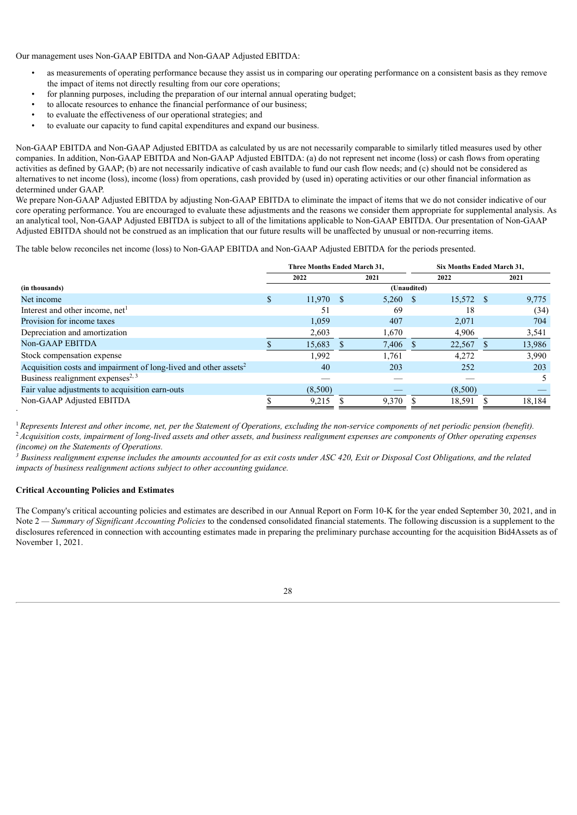Our management uses Non-GAAP EBITDA and Non-GAAP Adjusted EBITDA:

- as measurements of operating performance because they assist us in comparing our operating performance on a consistent basis as they remove the impact of items not directly resulting from our core operations;
- for planning purposes, including the preparation of our internal annual operating budget;
- to allocate resources to enhance the financial performance of our business;
- to evaluate the effectiveness of our operational strategies; and
- to evaluate our capacity to fund capital expenditures and expand our business.

Non-GAAP EBITDA and Non-GAAP Adjusted EBITDA as calculated by us are not necessarily comparable to similarly titled measures used by other companies. In addition, Non-GAAP EBITDA and Non-GAAP Adjusted EBITDA: (a) do not represent net income (loss) or cash flows from operating activities as defined by GAAP; (b) are not necessarily indicative of cash available to fund our cash flow needs; and (c) should not be considered as alternatives to net income (loss), income (loss) from operations, cash provided by (used in) operating activities or our other financial information as determined under GAAP.

We prepare Non-GAAP Adjusted EBITDA by adjusting Non-GAAP EBITDA to eliminate the impact of items that we do not consider indicative of our core operating performance. You are encouraged to evaluate these adjustments and the reasons we consider them appropriate for supplemental analysis. As an analytical tool, Non-GAAP Adjusted EBITDA is subject to all of the limitations applicable to Non-GAAP EBITDA. Our presentation of Non-GAAP Adjusted EBITDA should not be construed as an implication that our future results will be unaffected by unusual or non-recurring items.

The table below reconciles net income (loss) to Non-GAAP EBITDA and Non-GAAP Adjusted EBITDA for the periods presented.

|                                                                              |   | Three Months Ended March 31, |    |             | Six Months Ended March 31, |           |  |        |  |  |
|------------------------------------------------------------------------------|---|------------------------------|----|-------------|----------------------------|-----------|--|--------|--|--|
|                                                                              |   | 2022                         |    | 2021        |                            | 2022      |  | 2021   |  |  |
| (in thousands)                                                               |   |                              |    | (Unaudited) |                            |           |  |        |  |  |
| Net income                                                                   | S | 11,970                       | -S | 5,260       | - \$                       | 15,572 \$ |  | 9,775  |  |  |
| Interest and other income, net <sup>1</sup>                                  |   | 51                           |    | 69          |                            | 18        |  | (34)   |  |  |
| Provision for income taxes                                                   |   | 1,059                        |    | 407         |                            | 2,071     |  | 704    |  |  |
| Depreciation and amortization                                                |   | 2,603                        |    | 1,670       |                            | 4,906     |  | 3,541  |  |  |
| Non-GAAP EBITDA                                                              |   | 15,683                       |    | 7,406       |                            | 22,567    |  | 13,986 |  |  |
| Stock compensation expense                                                   |   | 1,992                        |    | 1,761       |                            | 4,272     |  | 3,990  |  |  |
| Acquisition costs and impairment of long-lived and other assets <sup>2</sup> |   | 40                           |    | 203         |                            | 252       |  | 203    |  |  |
| Business realignment expenses <sup>2, 3</sup>                                |   |                              |    |             |                            |           |  |        |  |  |
| Fair value adjustments to acquisition earn-outs                              |   | (8,500)                      |    |             |                            | (8,500)   |  |        |  |  |
| Non-GAAP Adjusted EBITDA                                                     |   | 9,215                        |    | 9,370       |                            | 18,591    |  | 18,184 |  |  |

 ${}^{1}$  Represents Interest and other income, net, per the Statement of Operations, excluding the non-service components of net periodic pension (benefit).  $^2$  Acquisition costs, impairment of long-lived assets and other assets, and business realignment expenses are components of Other operating expenses *(income) on the Statements of Operations.*

 $3$  Business realignment expense includes the amounts accounted for as exit costs under ASC 420, Exit or Disposal Cost Obligations, and the related *impacts of business realignment actions subject to other accounting guidance.*

#### **Critical Accounting Policies and Estimates**

The Company's critical accounting policies and estimates are described in our Annual Report on Form 10-K for the year ended September 30, 2021, and in Note 2 *— Summary of Significant Accounting Policies* to the condensed consolidated financial statements. The following discussion is a supplement to the disclosures referenced in connection with accounting estimates made in preparing the preliminary purchase accounting for the acquisition Bid4Assets as of November 1, 2021.

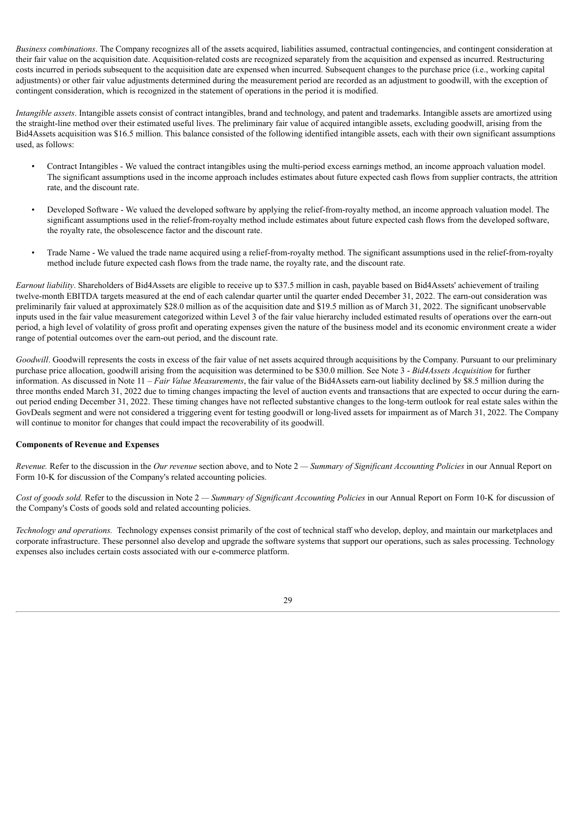*Business combinations*. The Company recognizes all of the assets acquired, liabilities assumed, contractual contingencies, and contingent consideration at their fair value on the acquisition date. Acquisition-related costs are recognized separately from the acquisition and expensed as incurred. Restructuring costs incurred in periods subsequent to the acquisition date are expensed when incurred. Subsequent changes to the purchase price (i.e., working capital adjustments) or other fair value adjustments determined during the measurement period are recorded as an adjustment to goodwill, with the exception of contingent consideration, which is recognized in the statement of operations in the period it is modified.

*Intangible assets*. Intangible assets consist of contract intangibles, brand and technology, and patent and trademarks. Intangible assets are amortized using the straight-line method over their estimated useful lives. The preliminary fair value of acquired intangible assets, excluding goodwill, arising from the Bid4Assets acquisition was \$16.5 million. This balance consisted of the following identified intangible assets, each with their own significant assumptions used, as follows:

- Contract Intangibles We valued the contract intangibles using the multi-period excess earnings method, an income approach valuation model. The significant assumptions used in the income approach includes estimates about future expected cash flows from supplier contracts, the attrition rate, and the discount rate.
- Developed Software We valued the developed software by applying the relief-from-royalty method, an income approach valuation model. The significant assumptions used in the relief-from-royalty method include estimates about future expected cash flows from the developed software, the royalty rate, the obsolescence factor and the discount rate.
- Trade Name We valued the trade name acquired using a relief-from-royalty method. The significant assumptions used in the relief-from-royalty method include future expected cash flows from the trade name, the royalty rate, and the discount rate.

*Earnout liability*. Shareholders of Bid4Assets are eligible to receive up to \$37.5 million in cash, payable based on Bid4Assets' achievement of trailing twelve-month EBITDA targets measured at the end of each calendar quarter until the quarter ended December 31, 2022. The earn-out consideration was preliminarily fair valued at approximately \$28.0 million as of the acquisition date and \$19.5 million as of March 31, 2022. The significant unobservable inputs used in the fair value measurement categorized within Level 3 of the fair value hierarchy included estimated results of operations over the earn-out period, a high level of volatility of gross profit and operating expenses given the nature of the business model and its economic environment create a wider range of potential outcomes over the earn-out period, and the discount rate.

*Goodwill*. Goodwill represents the costs in excess of the fair value of net assets acquired through acquisitions by the Company. Pursuant to our preliminary purchase price allocation, goodwill arising from the acquisition was determined to be \$30.0 million. See Note 3 - *Bid4Assets Acquisition* for further information. As discussed in Note 11 – *Fair Value Measurements*, the fair value of the Bid4Assets earn-out liability declined by \$8.5 million during the three months ended March 31, 2022 due to timing changes impacting the level of auction events and transactions that are expected to occur during the earnout period ending December 31, 2022. These timing changes have not reflected substantive changes to the long-term outlook for real estate sales within the GovDeals segment and were not considered a triggering event for testing goodwill or long-lived assets for impairment as of March 31, 2022. The Company will continue to monitor for changes that could impact the recoverability of its goodwill.

#### **Components of Revenue and Expenses**

*Revenue.* Refer to the discussion in the *Our revenue* section above, and to Note 2 *— Summary of Significant Accounting Policies* in our Annual Report on Form 10-K for discussion of the Company's related accounting policies.

*Cost of goods sold.* Refer to the discussion in Note 2 *— Summary of Significant Accounting Policies* in our Annual Report on Form 10-K for discussion of the Company's Costs of goods sold and related accounting policies.

*Technology and operations.* Technology expenses consist primarily of the cost of technical staff who develop, deploy, and maintain our marketplaces and corporate infrastructure. These personnel also develop and upgrade the software systems that support our operations, such as sales processing. Technology expenses also includes certain costs associated with our e-commerce platform.

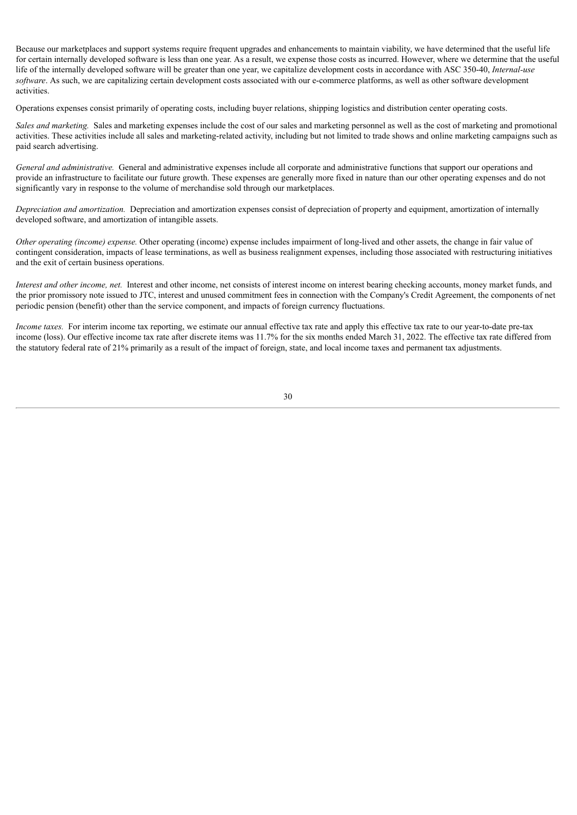Because our marketplaces and support systems require frequent upgrades and enhancements to maintain viability, we have determined that the useful life for certain internally developed software is less than one year. As a result, we expense those costs as incurred. However, where we determine that the useful life of the internally developed software will be greater than one year, we capitalize development costs in accordance with ASC 350-40, *Internal-use software*. As such, we are capitalizing certain development costs associated with our e-commerce platforms, as well as other software development activities.

Operations expenses consist primarily of operating costs, including buyer relations, shipping logistics and distribution center operating costs.

*Sales and marketing.* Sales and marketing expenses include the cost of our sales and marketing personnel as well as the cost of marketing and promotional activities. These activities include all sales and marketing-related activity, including but not limited to trade shows and online marketing campaigns such as paid search advertising.

*General and administrative.* General and administrative expenses include all corporate and administrative functions that support our operations and provide an infrastructure to facilitate our future growth. These expenses are generally more fixed in nature than our other operating expenses and do not significantly vary in response to the volume of merchandise sold through our marketplaces.

*Depreciation and amortization.* Depreciation and amortization expenses consist of depreciation of property and equipment, amortization of internally developed software, and amortization of intangible assets.

*Other operating (income) expense.* Other operating (income) expense includes impairment of long-lived and other assets, the change in fair value of contingent consideration, impacts of lease terminations, as well as business realignment expenses, including those associated with restructuring initiatives and the exit of certain business operations.

*Interest and other income, net.* Interest and other income, net consists of interest income on interest bearing checking accounts, money market funds, and the prior promissory note issued to JTC, interest and unused commitment fees in connection with the Company's Credit Agreement, the components of net periodic pension (benefit) other than the service component, and impacts of foreign currency fluctuations.

*Income taxes.* For interim income tax reporting, we estimate our annual effective tax rate and apply this effective tax rate to our year-to-date pre-tax income (loss). Our effective income tax rate after discrete items was 11.7% for the six months ended March 31, 2022. The effective tax rate differed from the statutory federal rate of 21% primarily as a result of the impact of foreign, state, and local income taxes and permanent tax adjustments.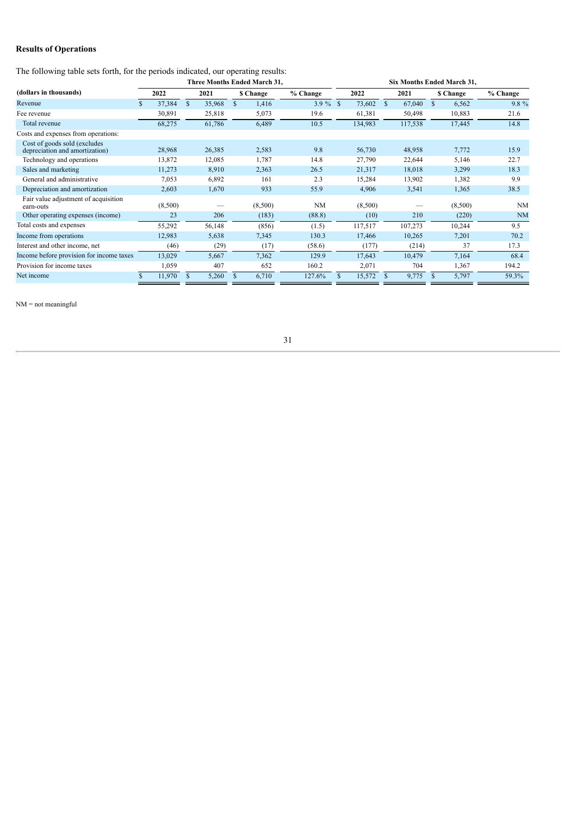### **Results of Operations**

The following table sets forth, for the periods indicated, our operating results:

|                                                                 | Three Months Ended March 31, |         |   |        |                    |           |             |  | Six Months Ended March 31, |      |         |              |                  |           |  |  |
|-----------------------------------------------------------------|------------------------------|---------|---|--------|--------------------|-----------|-------------|--|----------------------------|------|---------|--------------|------------------|-----------|--|--|
| (dollars in thousands)                                          |                              | 2022    |   | 2021   |                    | \$ Change | % Change    |  | 2022                       |      | 2021    |              | <b>\$ Change</b> | % Change  |  |  |
| Revenue                                                         |                              | 37,384  | S | 35,968 | $\mathbf{\hat{s}}$ | 1,416     | $3.9 \%$ \$ |  | 73,602                     | - \$ | 67,040  | <sup>S</sup> | 6,562            | 9.8 %     |  |  |
| Fee revenue                                                     |                              | 30,891  |   | 25,818 |                    | 5,073     | 19.6        |  | 61,381                     |      | 50,498  |              | 10,883           | 21.6      |  |  |
| Total revenue                                                   |                              | 68,275  |   | 61,786 |                    | 6,489     | 10.5        |  | 134,983                    |      | 117,538 |              | 17,445           | 14.8      |  |  |
| Costs and expenses from operations:                             |                              |         |   |        |                    |           |             |  |                            |      |         |              |                  |           |  |  |
| Cost of goods sold (excludes)<br>depreciation and amortization) |                              | 28,968  |   | 26,385 |                    | 2,583     | 9.8         |  | 56,730                     |      | 48,958  |              | 7,772            | 15.9      |  |  |
| Technology and operations                                       |                              | 13,872  |   | 12,085 |                    | 1,787     | 14.8        |  | 27,790                     |      | 22,644  |              | 5,146            | 22.7      |  |  |
| Sales and marketing                                             |                              | 11,273  |   | 8,910  |                    | 2,363     | 26.5        |  | 21,317                     |      | 18,018  |              | 3,299            | 18.3      |  |  |
| General and administrative                                      |                              | 7,053   |   | 6,892  |                    | 161       | 2.3         |  | 15,284                     |      | 13,902  |              | 1,382            | 9.9       |  |  |
| Depreciation and amortization                                   |                              | 2,603   |   | 1,670  |                    | 933       | 55.9        |  | 4,906                      |      | 3,541   |              | 1,365            | 38.5      |  |  |
| Fair value adjustment of acquisition<br>earn-outs               |                              | (8,500) |   |        |                    | (8,500)   | NM          |  | (8,500)                    |      |         |              | (8,500)          | <b>NM</b> |  |  |
| Other operating expenses (income)                               |                              | 23      |   | 206    |                    | (183)     | (88.8)      |  | (10)                       |      | 210     |              | (220)            | <b>NM</b> |  |  |
| Total costs and expenses                                        |                              | 55,292  |   | 56,148 |                    | (856)     | (1.5)       |  | 117,517                    |      | 107,273 |              | 10,244           | 9.5       |  |  |
| Income from operations                                          |                              | 12,983  |   | 5,638  |                    | 7,345     | 130.3       |  | 17,466                     |      | 10,265  |              | 7,201            | 70.2      |  |  |
| Interest and other income, net                                  |                              | (46)    |   | (29)   |                    | (17)      | (58.6)      |  | (177)                      |      | (214)   |              | 37               | 17.3      |  |  |
| Income before provision for income taxes                        |                              | 13,029  |   | 5,667  |                    | 7,362     | 129.9       |  | 17,643                     |      | 10,479  |              | 7,164            | 68.4      |  |  |
| Provision for income taxes                                      |                              | 1,059   |   | 407    |                    | 652       | 160.2       |  | 2,071                      |      | 704     |              | 1,367            | 194.2     |  |  |
| Net income                                                      |                              | 11,970  |   | 5,260  |                    | 6,710     | 127.6%      |  | 15,572                     |      | 9,775   |              | 5,797            | 59.3%     |  |  |

NM = not meaningful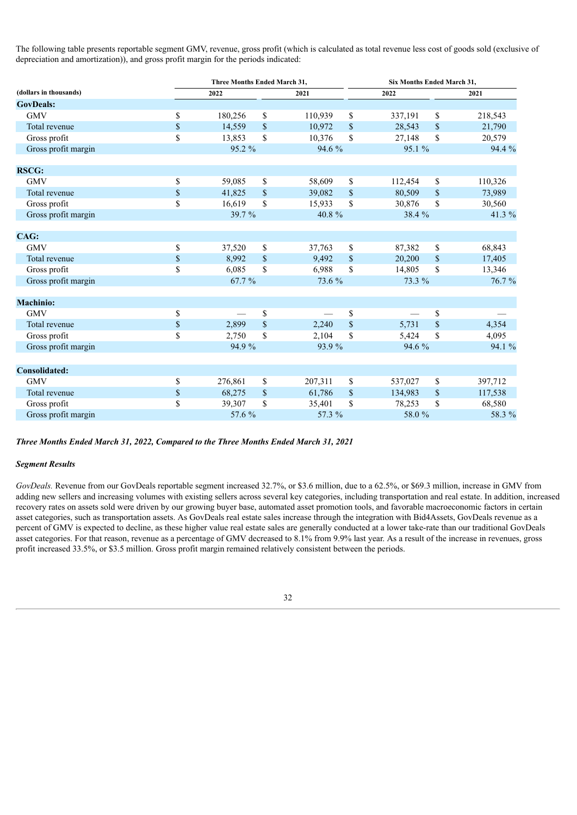The following table presents reportable segment GMV, revenue, gross profit (which is calculated as total revenue less cost of goods sold (exclusive of depreciation and amortization)), and gross profit margin for the periods indicated:

|                        | <b>Three Months Ended March 31,</b> |      |         | Six Months Ended March 31, |         |      |         |  |  |  |  |  |
|------------------------|-------------------------------------|------|---------|----------------------------|---------|------|---------|--|--|--|--|--|
| (dollars in thousands) | 2022                                |      | 2021    |                            | 2022    |      | 2021    |  |  |  |  |  |
| <b>GovDeals:</b>       |                                     |      |         |                            |         |      |         |  |  |  |  |  |
| <b>GMV</b>             | \$<br>180,256                       | \$   | 110,939 | \$                         | 337,191 | \$   | 218,543 |  |  |  |  |  |
| Total revenue          | \$<br>14,559                        | \$   | 10,972  | \$                         | 28,543  | $\$$ | 21,790  |  |  |  |  |  |
| Gross profit           | \$<br>13,853                        | \$   | 10,376  | \$                         | 27,148  | \$   | 20,579  |  |  |  |  |  |
| Gross profit margin    | 95.2 %                              |      | 94.6 %  |                            | 95.1 %  |      | 94.4 %  |  |  |  |  |  |
|                        |                                     |      |         |                            |         |      |         |  |  |  |  |  |
| <b>RSCG:</b>           |                                     |      |         |                            |         |      |         |  |  |  |  |  |
| <b>GMV</b>             | \$<br>59,085                        | \$   | 58,609  | \$                         | 112,454 | \$   | 110,326 |  |  |  |  |  |
| Total revenue          | \$<br>41,825                        | \$   | 39,082  | $\$$                       | 80,509  | \$   | 73,989  |  |  |  |  |  |
| Gross profit           | \$<br>16,619                        | \$   | 15,933  | \$                         | 30,876  | \$   | 30,560  |  |  |  |  |  |
| Gross profit margin    | 39.7 %                              |      | 40.8%   |                            | 38.4 %  |      | 41.3 %  |  |  |  |  |  |
| CAG:                   |                                     |      |         |                            |         |      |         |  |  |  |  |  |
| <b>GMV</b>             | \$<br>37,520                        | \$   | 37,763  | \$                         | 87,382  | \$   | 68,843  |  |  |  |  |  |
| Total revenue          | \$<br>8,992                         | \$   | 9,492   | $\$$                       | 20,200  | $\$$ | 17,405  |  |  |  |  |  |
| Gross profit           | \$<br>6,085                         | \$   | 6,988   | \$                         | 14,805  | \$   | 13,346  |  |  |  |  |  |
| Gross profit margin    | 67.7 %                              |      | 73.6 %  |                            | 73.3 %  |      | 76.7%   |  |  |  |  |  |
|                        |                                     |      |         |                            |         |      |         |  |  |  |  |  |
| <b>Machinio:</b>       |                                     |      |         |                            |         |      |         |  |  |  |  |  |
| <b>GMV</b>             | \$                                  | \$   |         | $\mathbb{S}$               |         | \$   |         |  |  |  |  |  |
| Total revenue          | \$<br>2,899                         | \$   | 2,240   | $\sqrt{\ }$                | 5,731   | \$   | 4,354   |  |  |  |  |  |
| Gross profit           | \$<br>2,750                         | \$   | 2,104   | \$                         | 5,424   | \$   | 4,095   |  |  |  |  |  |
| Gross profit margin    | 94.9%                               |      | 93.9%   |                            | 94.6 %  |      | 94.1 %  |  |  |  |  |  |
|                        |                                     |      |         |                            |         |      |         |  |  |  |  |  |
| <b>Consolidated:</b>   |                                     |      |         |                            |         |      |         |  |  |  |  |  |
| <b>GMV</b>             | \$<br>276,861                       | \$   | 207,311 | $\mathbb{S}$               | 537,027 | \$   | 397,712 |  |  |  |  |  |
| Total revenue          | \$<br>68,275                        | $\$$ | 61,786  | $\$$                       | 134,983 | $\$$ | 117,538 |  |  |  |  |  |
| Gross profit           | \$<br>39,307                        | \$   | 35,401  | \$                         | 78,253  | \$   | 68,580  |  |  |  |  |  |
| Gross profit margin    | 57.6 %                              |      | 57.3 %  |                            | 58.0%   |      | 58.3 %  |  |  |  |  |  |

*Three Months Ended March 31, 2022, Compared to the Three Months Ended March 31, 2021*

#### *Segment Results*

*GovDeals.* Revenue from our GovDeals reportable segment increased 32.7%, or \$3.6 million, due to a 62.5%, or \$69.3 million, increase in GMV from adding new sellers and increasing volumes with existing sellers across several key categories, including transportation and real estate. In addition, increased recovery rates on assets sold were driven by our growing buyer base, automated asset promotion tools, and favorable macroeconomic factors in certain asset categories, such as transportation assets. As GovDeals real estate sales increase through the integration with Bid4Assets, GovDeals revenue as a percent of GMV is expected to decline, as these higher value real estate sales are generally conducted at a lower take-rate than our traditional GovDeals asset categories. For that reason, revenue as a percentage of GMV decreased to 8.1% from 9.9% last year. As a result of the increase in revenues, gross profit increased 33.5%, or \$3.5 million. Gross profit margin remained relatively consistent between the periods.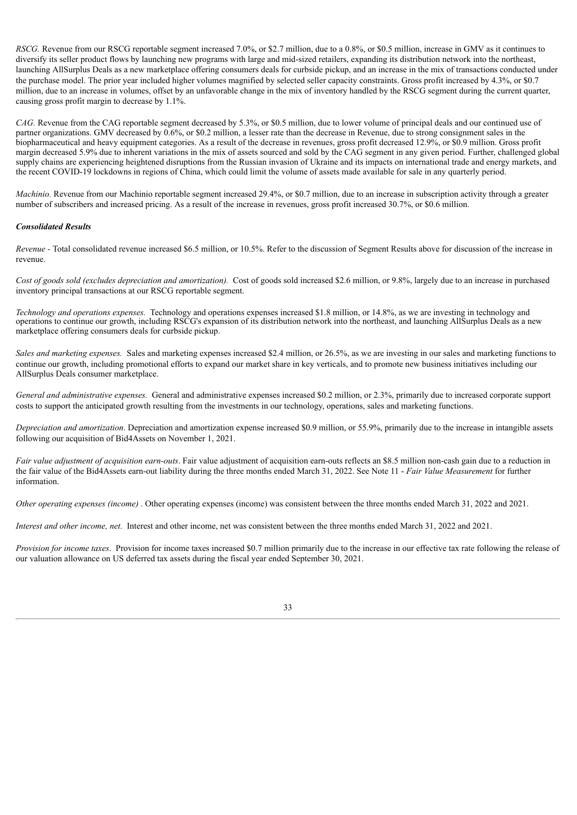*RSCG.* Revenue from our RSCG reportable segment increased 7.0%, or \$2.7 million, due to a 0.8%, or \$0.5 million, increase in GMV as it continues to diversify its seller product flows by launching new programs with large and mid-sized retailers, expanding its distribution network into the northeast, launching AllSurplus Deals as a new marketplace offering consumers deals for curbside pickup, and an increase in the mix of transactions conducted under the purchase model. The prior year included higher volumes magnified by selected seller capacity constraints. Gross profit increased by 4.3%, or \$0.7 million, due to an increase in volumes, offset by an unfavorable change in the mix of inventory handled by the RSCG segment during the current quarter, causing gross profit margin to decrease by 1.1%.

*CAG.* Revenue from the CAG reportable segment decreased by 5.3%, or \$0.5 million, due to lower volume of principal deals and our continued use of partner organizations. GMV decreased by 0.6%, or \$0.2 million, a lesser rate than the decrease in Revenue, due to strong consignment sales in the biopharmaceutical and heavy equipment categories. As a result of the decrease in revenues, gross profit decreased 12.9%, or \$0.9 million. Gross profit margin decreased 5.9% due to inherent variations in the mix of assets sourced and sold by the CAG segment in any given period. Further, challenged global supply chains are experiencing heightened disruptions from the Russian invasion of Ukraine and its impacts on international trade and energy markets, and the recent COVID-19 lockdowns in regions of China, which could limit the volume of assets made available for sale in any quarterly period.

*Machinio.* Revenue from our Machinio reportable segment increased 29.4%, or \$0.7 million, due to an increase in subscription activity through a greater number of subscribers and increased pricing. As a result of the increase in revenues, gross profit increased 30.7%, or \$0.6 million.

#### *Consolidated Results*

*Revenue* - Total consolidated revenue increased \$6.5 million, or 10.5%. Refer to the discussion of Segment Results above for discussion of the increase in revenue.

*Cost of goods sold (excludes depreciation and amortization).* Cost of goods sold increased \$2.6 million, or 9.8%, largely due to an increase in purchased inventory principal transactions at our RSCG reportable segment.

*Technology and operations expenses.* Technology and operations expenses increased \$1.8 million, or 14.8%, as we are investing in technology and operations to continue our growth, including RSCG's expansion of its distribution network into the northeast, and launching AllSurplus Deals as a new marketplace offering consumers deals for curbside pickup.

*Sales and marketing expenses.* Sales and marketing expenses increased \$2.4 million, or 26.5%, as we are investing in our sales and marketing functions to continue our growth, including promotional efforts to expand our market share in key verticals, and to promote new business initiatives including our AllSurplus Deals consumer marketplace.

*General and administrative expenses.* General and administrative expenses increased \$0.2 million, or 2.3%, primarily due to increased corporate support costs to support the anticipated growth resulting from the investments in our technology, operations, sales and marketing functions.

*Depreciation and amortization*. Depreciation and amortization expense increased \$0.9 million, or 55.9%, primarily due to the increase in intangible assets following our acquisition of Bid4Assets on November 1, 2021.

*Fair value adjustment of acquisition earn-outs*. Fair value adjustment of acquisition earn-outs reflects an \$8.5 million non-cash gain due to a reduction in the fair value of the Bid4Assets earn-out liability during the three months ended March 31, 2022. See Note 11 - *Fair Value Measurement* for further information.

*Other operating expenses (income)* . Other operating expenses (income) was consistent between the three months ended March 31, 2022 and 2021.

*Interest and other income, net.* Interest and other income, net was consistent between the three months ended March 31, 2022 and 2021.

*Provision for income taxes*. Provision for income taxes increased \$0.7 million primarily due to the increase in our effective tax rate following the release of our valuation allowance on US deferred tax assets during the fiscal year ended September 30, 2021.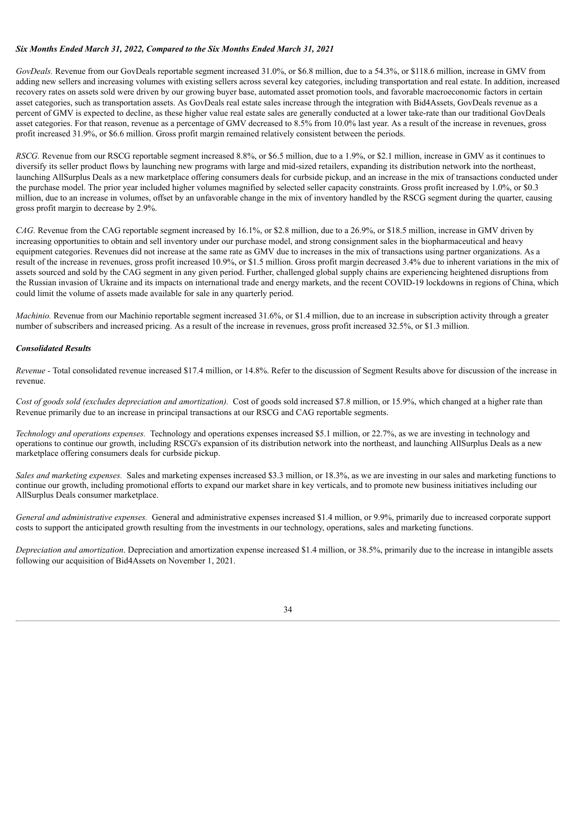#### *Six Months Ended March 31, 2022, Compared to the Six Months Ended March 31, 2021*

*GovDeals.* Revenue from our GovDeals reportable segment increased 31.0%, or \$6.8 million, due to a 54.3%, or \$118.6 million, increase in GMV from adding new sellers and increasing volumes with existing sellers across several key categories, including transportation and real estate. In addition, increased recovery rates on assets sold were driven by our growing buyer base, automated asset promotion tools, and favorable macroeconomic factors in certain asset categories, such as transportation assets. As GovDeals real estate sales increase through the integration with Bid4Assets, GovDeals revenue as a percent of GMV is expected to decline, as these higher value real estate sales are generally conducted at a lower take-rate than our traditional GovDeals asset categories. For that reason, revenue as a percentage of GMV decreased to 8.5% from 10.0% last year. As a result of the increase in revenues, gross profit increased 31.9%, or \$6.6 million. Gross profit margin remained relatively consistent between the periods.

*RSCG.* Revenue from our RSCG reportable segment increased 8.8%, or \$6.5 million, due to a 1.9%, or \$2.1 million, increase in GMV as it continues to diversify its seller product flows by launching new programs with large and mid-sized retailers, expanding its distribution network into the northeast, launching AllSurplus Deals as a new marketplace offering consumers deals for curbside pickup, and an increase in the mix of transactions conducted under the purchase model. The prior year included higher volumes magnified by selected seller capacity constraints. Gross profit increased by 1.0%, or \$0.3 million, due to an increase in volumes, offset by an unfavorable change in the mix of inventory handled by the RSCG segment during the quarter, causing gross profit margin to decrease by 2.9%.

*CAG.* Revenue from the CAG reportable segment increased by 16.1%, or \$2.8 million, due to a 26.9%, or \$18.5 million, increase in GMV driven by increasing opportunities to obtain and sell inventory under our purchase model, and strong consignment sales in the biopharmaceutical and heavy equipment categories. Revenues did not increase at the same rate as GMV due to increases in the mix of transactions using partner organizations. As a result of the increase in revenues, gross profit increased 10.9%, or \$1.5 million. Gross profit margin decreased 3.4% due to inherent variations in the mix of assets sourced and sold by the CAG segment in any given period. Further, challenged global supply chains are experiencing heightened disruptions from the Russian invasion of Ukraine and its impacts on international trade and energy markets, and the recent COVID-19 lockdowns in regions of China, which could limit the volume of assets made available for sale in any quarterly period.

*Machinio.* Revenue from our Machinio reportable segment increased 31.6%, or \$1.4 million, due to an increase in subscription activity through a greater number of subscribers and increased pricing. As a result of the increase in revenues, gross profit increased 32.5%, or \$1.3 million.

#### *Consolidated Results*

*Revenue* - Total consolidated revenue increased \$17.4 million, or 14.8%. Refer to the discussion of Segment Results above for discussion of the increase in revenue.

*Cost of goods sold (excludes depreciation and amortization).* Cost of goods sold increased \$7.8 million, or 15.9%, which changed at a higher rate than Revenue primarily due to an increase in principal transactions at our RSCG and CAG reportable segments.

*Technology and operations expenses.* Technology and operations expenses increased \$5.1 million, or 22.7%, as we are investing in technology and operations to continue our growth, including RSCG's expansion of its distribution network into the northeast, and launching AllSurplus Deals as a new marketplace offering consumers deals for curbside pickup.

*Sales and marketing expenses.* Sales and marketing expenses increased \$3.3 million, or 18.3%, as we are investing in our sales and marketing functions to continue our growth, including promotional efforts to expand our market share in key verticals, and to promote new business initiatives including our AllSurplus Deals consumer marketplace.

*General and administrative expenses.* General and administrative expenses increased \$1.4 million, or 9.9%, primarily due to increased corporate support costs to support the anticipated growth resulting from the investments in our technology, operations, sales and marketing functions.

*Depreciation and amortization*. Depreciation and amortization expense increased \$1.4 million, or 38.5%, primarily due to the increase in intangible assets following our acquisition of Bid4Assets on November 1, 2021.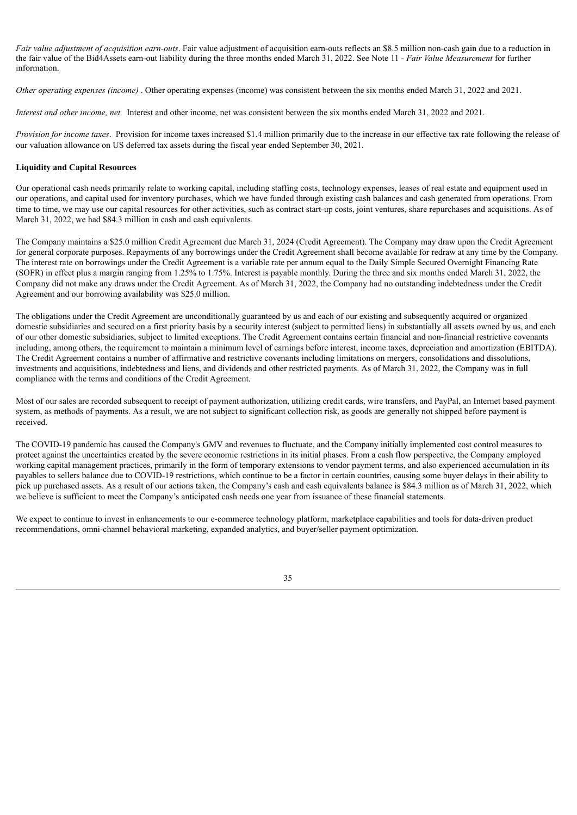*Fair value adjustment of acquisition earn-outs*. Fair value adjustment of acquisition earn-outs reflects an \$8.5 million non-cash gain due to a reduction in the fair value of the Bid4Assets earn-out liability during the three months ended March 31, 2022. See Note 11 - *Fair Value Measurement* for further information.

*Other operating expenses (income)* . Other operating expenses (income) was consistent between the six months ended March 31, 2022 and 2021.

*Interest and other income, net.* Interest and other income, net was consistent between the six months ended March 31, 2022 and 2021.

*Provision for income taxes*. Provision for income taxes increased \$1.4 million primarily due to the increase in our effective tax rate following the release of our valuation allowance on US deferred tax assets during the fiscal year ended September 30, 2021.

#### **Liquidity and Capital Resources**

Our operational cash needs primarily relate to working capital, including staffing costs, technology expenses, leases of real estate and equipment used in our operations, and capital used for inventory purchases, which we have funded through existing cash balances and cash generated from operations. From time to time, we may use our capital resources for other activities, such as contract start-up costs, joint ventures, share repurchases and acquisitions. As of March 31, 2022, we had \$84.3 million in cash and cash equivalents.

The Company maintains a \$25.0 million Credit Agreement due March 31, 2024 (Credit Agreement). The Company may draw upon the Credit Agreement for general corporate purposes. Repayments of any borrowings under the Credit Agreement shall become available for redraw at any time by the Company. The interest rate on borrowings under the Credit Agreement is a variable rate per annum equal to the Daily Simple Secured Overnight Financing Rate (SOFR) in effect plus a margin ranging from 1.25% to 1.75%. Interest is payable monthly. During the three and six months ended March 31, 2022, the Company did not make any draws under the Credit Agreement. As of March 31, 2022, the Company had no outstanding indebtedness under the Credit Agreement and our borrowing availability was \$25.0 million.

The obligations under the Credit Agreement are unconditionally guaranteed by us and each of our existing and subsequently acquired or organized domestic subsidiaries and secured on a first priority basis by a security interest (subject to permitted liens) in substantially all assets owned by us, and each of our other domestic subsidiaries, subject to limited exceptions. The Credit Agreement contains certain financial and non-financial restrictive covenants including, among others, the requirement to maintain a minimum level of earnings before interest, income taxes, depreciation and amortization (EBITDA). The Credit Agreement contains a number of affirmative and restrictive covenants including limitations on mergers, consolidations and dissolutions, investments and acquisitions, indebtedness and liens, and dividends and other restricted payments. As of March 31, 2022, the Company was in full compliance with the terms and conditions of the Credit Agreement.

Most of our sales are recorded subsequent to receipt of payment authorization, utilizing credit cards, wire transfers, and PayPal, an Internet based payment system, as methods of payments. As a result, we are not subject to significant collection risk, as goods are generally not shipped before payment is received.

The COVID-19 pandemic has caused the Company's GMV and revenues to fluctuate, and the Company initially implemented cost control measures to protect against the uncertainties created by the severe economic restrictions in its initial phases. From a cash flow perspective, the Company employed working capital management practices, primarily in the form of temporary extensions to vendor payment terms, and also experienced accumulation in its payables to sellers balance due to COVID-19 restrictions, which continue to be a factor in certain countries, causing some buyer delays in their ability to pick up purchased assets. As a result of our actions taken, the Company's cash and cash equivalents balance is \$84.3 million as of March 31, 2022, which we believe is sufficient to meet the Company's anticipated cash needs one year from issuance of these financial statements.

We expect to continue to invest in enhancements to our e-commerce technology platform, marketplace capabilities and tools for data-driven product recommendations, omni-channel behavioral marketing, expanded analytics, and buyer/seller payment optimization.

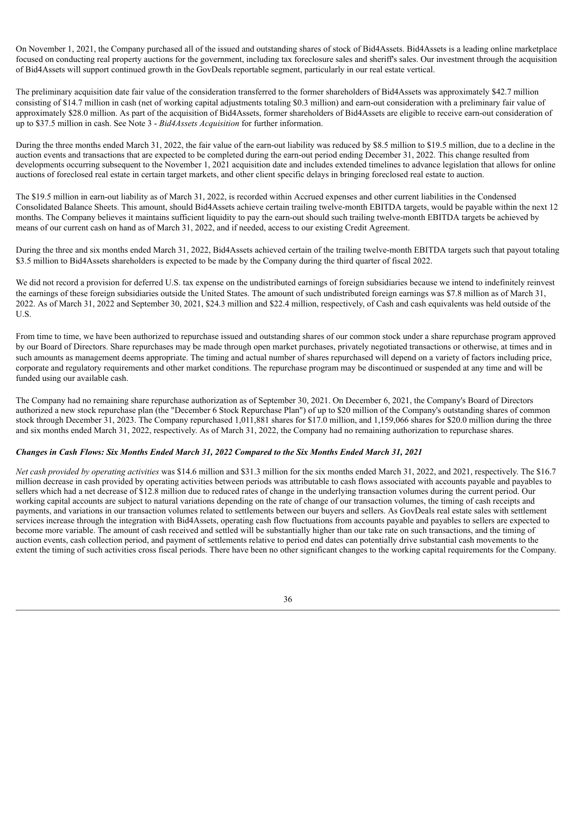On November 1, 2021, the Company purchased all of the issued and outstanding shares of stock of Bid4Assets. Bid4Assets is a leading online marketplace focused on conducting real property auctions for the government, including tax foreclosure sales and sheriff's sales. Our investment through the acquisition of Bid4Assets will support continued growth in the GovDeals reportable segment, particularly in our real estate vertical.

The preliminary acquisition date fair value of the consideration transferred to the former shareholders of Bid4Assets was approximately \$42.7 million consisting of \$14.7 million in cash (net of working capital adjustments totaling \$0.3 million) and earn-out consideration with a preliminary fair value of approximately \$28.0 million. As part of the acquisition of Bid4Assets, former shareholders of Bid4Assets are eligible to receive earn-out consideration of up to \$37.5 million in cash. See Note 3 - *Bid4Assets Acquisition* for further information.

During the three months ended March 31, 2022, the fair value of the earn-out liability was reduced by \$8.5 million to \$19.5 million, due to a decline in the auction events and transactions that are expected to be completed during the earn-out period ending December 31, 2022. This change resulted from developments occurring subsequent to the November 1, 2021 acquisition date and includes extended timelines to advance legislation that allows for online auctions of foreclosed real estate in certain target markets, and other client specific delays in bringing foreclosed real estate to auction.

The \$19.5 million in earn-out liability as of March 31, 2022, is recorded within Accrued expenses and other current liabilities in the Condensed Consolidated Balance Sheets. This amount, should Bid4Assets achieve certain trailing twelve-month EBITDA targets, would be payable within the next 12 months. The Company believes it maintains sufficient liquidity to pay the earn-out should such trailing twelve-month EBITDA targets be achieved by means of our current cash on hand as of March 31, 2022, and if needed, access to our existing Credit Agreement.

During the three and six months ended March 31, 2022, Bid4Assets achieved certain of the trailing twelve-month EBITDA targets such that payout totaling \$3.5 million to Bid4Assets shareholders is expected to be made by the Company during the third quarter of fiscal 2022.

We did not record a provision for deferred U.S. tax expense on the undistributed earnings of foreign subsidiaries because we intend to indefinitely reinvest the earnings of these foreign subsidiaries outside the United States. The amount of such undistributed foreign earnings was \$7.8 million as of March 31, 2022. As of March 31, 2022 and September 30, 2021, \$24.3 million and \$22.4 million, respectively, of Cash and cash equivalents was held outside of the U.S.

From time to time, we have been authorized to repurchase issued and outstanding shares of our common stock under a share repurchase program approved by our Board of Directors. Share repurchases may be made through open market purchases, privately negotiated transactions or otherwise, at times and in such amounts as management deems appropriate. The timing and actual number of shares repurchased will depend on a variety of factors including price, corporate and regulatory requirements and other market conditions. The repurchase program may be discontinued or suspended at any time and will be funded using our available cash.

The Company had no remaining share repurchase authorization as of September 30, 2021. On December 6, 2021, the Company's Board of Directors authorized a new stock repurchase plan (the "December 6 Stock Repurchase Plan") of up to \$20 million of the Company's outstanding shares of common stock through December 31, 2023. The Company repurchased 1,011,881 shares for \$17.0 million, and 1,159,066 shares for \$20.0 million during the three and six months ended March 31, 2022, respectively. As of March 31, 2022, the Company had no remaining authorization to repurchase shares.

### Changes in Cash Flows: Six Months Ended March 31, 2022 Compared to the Six Months Ended March 31, 2021

*Net cash provided by operating activities* was \$14.6 million and \$31.3 million for the six months ended March 31, 2022, and 2021, respectively. The \$16.7 million decrease in cash provided by operating activities between periods was attributable to cash flows associated with accounts payable and payables to sellers which had a net decrease of \$12.8 million due to reduced rates of change in the underlying transaction volumes during the current period. Our working capital accounts are subject to natural variations depending on the rate of change of our transaction volumes, the timing of cash receipts and payments, and variations in our transaction volumes related to settlements between our buyers and sellers. As GovDeals real estate sales with settlement services increase through the integration with Bid4Assets, operating cash flow fluctuations from accounts payable and payables to sellers are expected to become more variable. The amount of cash received and settled will be substantially higher than our take rate on such transactions, and the timing of auction events, cash collection period, and payment of settlements relative to period end dates can potentially drive substantial cash movements to the extent the timing of such activities cross fiscal periods. There have been no other significant changes to the working capital requirements for the Company.

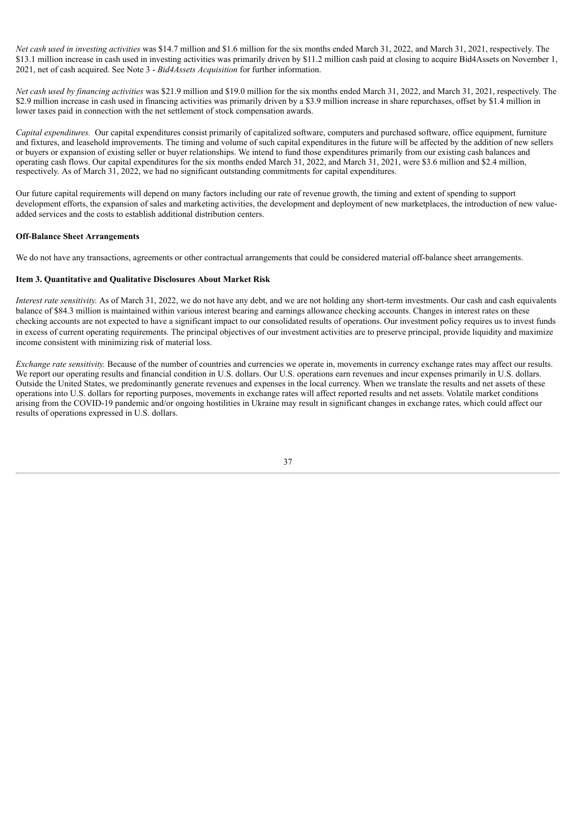*Net cash used in investing activities* was \$14.7 million and \$1.6 million for the six months ended March 31, 2022, and March 31, 2021, respectively. The \$13.1 million increase in cash used in investing activities was primarily driven by \$11.2 million cash paid at closing to acquire Bid4Assets on November 1, 2021, net of cash acquired. See Note 3 - *Bid4Assets Acquisition* for further information.

*Net cash used by financing activities* was \$21.9 million and \$19.0 million for the six months ended March 31, 2022, and March 31, 2021, respectively. The \$2.9 million increase in cash used in financing activities was primarily driven by a \$3.9 million increase in share repurchases, offset by \$1.4 million in lower taxes paid in connection with the net settlement of stock compensation awards.

*Capital expenditures.* Our capital expenditures consist primarily of capitalized software, computers and purchased software, office equipment, furniture and fixtures, and leasehold improvements. The timing and volume of such capital expenditures in the future will be affected by the addition of new sellers or buyers or expansion of existing seller or buyer relationships. We intend to fund those expenditures primarily from our existing cash balances and operating cash flows. Our capital expenditures for the six months ended March 31, 2022, and March 31, 2021, were \$3.6 million and \$2.4 million, respectively. As of March 31, 2022, we had no significant outstanding commitments for capital expenditures.

Our future capital requirements will depend on many factors including our rate of revenue growth, the timing and extent of spending to support development efforts, the expansion of sales and marketing activities, the development and deployment of new marketplaces, the introduction of new valueadded services and the costs to establish additional distribution centers.

#### **Off-Balance Sheet Arrangements**

We do not have any transactions, agreements or other contractual arrangements that could be considered material off-balance sheet arrangements.

#### <span id="page-37-0"></span>**Item 3. Quantitative and Qualitative Disclosures About Market Risk**

*Interest rate sensitivity.* As of March 31, 2022, we do not have any debt, and we are not holding any short-term investments. Our cash and cash equivalents balance of \$84.3 million is maintained within various interest bearing and earnings allowance checking accounts. Changes in interest rates on these checking accounts are not expected to have a significant impact to our consolidated results of operations. Our investment policy requires us to invest funds in excess of current operating requirements. The principal objectives of our investment activities are to preserve principal, provide liquidity and maximize income consistent with minimizing risk of material loss.

<span id="page-37-1"></span>*Exchange rate sensitivity.* Because of the number of countries and currencies we operate in, movements in currency exchange rates may affect our results. We report our operating results and financial condition in U.S. dollars. Our U.S. operations earn revenues and incur expenses primarily in U.S. dollars. Outside the United States, we predominantly generate revenues and expenses in the local currency. When we translate the results and net assets of these operations into U.S. dollars for reporting purposes, movements in exchange rates will affect reported results and net assets. Volatile market conditions arising from the COVID-19 pandemic and/or ongoing hostilities in Ukraine may result in significant changes in exchange rates, which could affect our results of operations expressed in U.S. dollars.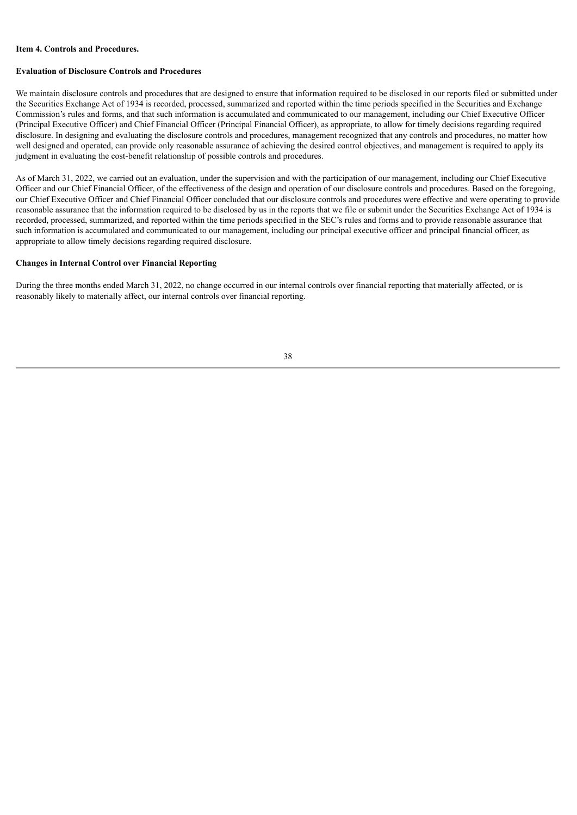#### **Item 4. Controls and Procedures.**

#### **Evaluation of Disclosure Controls and Procedures**

We maintain disclosure controls and procedures that are designed to ensure that information required to be disclosed in our reports filed or submitted under the Securities Exchange Act of 1934 is recorded, processed, summarized and reported within the time periods specified in the Securities and Exchange Commission's rules and forms, and that such information is accumulated and communicated to our management, including our Chief Executive Officer (Principal Executive Officer) and Chief Financial Officer (Principal Financial Officer), as appropriate, to allow for timely decisions regarding required disclosure. In designing and evaluating the disclosure controls and procedures, management recognized that any controls and procedures, no matter how well designed and operated, can provide only reasonable assurance of achieving the desired control objectives, and management is required to apply its judgment in evaluating the cost-benefit relationship of possible controls and procedures.

As of March 31, 2022, we carried out an evaluation, under the supervision and with the participation of our management, including our Chief Executive Officer and our Chief Financial Officer, of the effectiveness of the design and operation of our disclosure controls and procedures. Based on the foregoing, our Chief Executive Officer and Chief Financial Officer concluded that our disclosure controls and procedures were effective and were operating to provide reasonable assurance that the information required to be disclosed by us in the reports that we file or submit under the Securities Exchange Act of 1934 is recorded, processed, summarized, and reported within the time periods specified in the SEC's rules and forms and to provide reasonable assurance that such information is accumulated and communicated to our management, including our principal executive officer and principal financial officer, as appropriate to allow timely decisions regarding required disclosure.

#### **Changes in Internal Control over Financial Reporting**

During the three months ended March 31, 2022, no change occurred in our internal controls over financial reporting that materially affected, or is reasonably likely to materially affect, our internal controls over financial reporting.

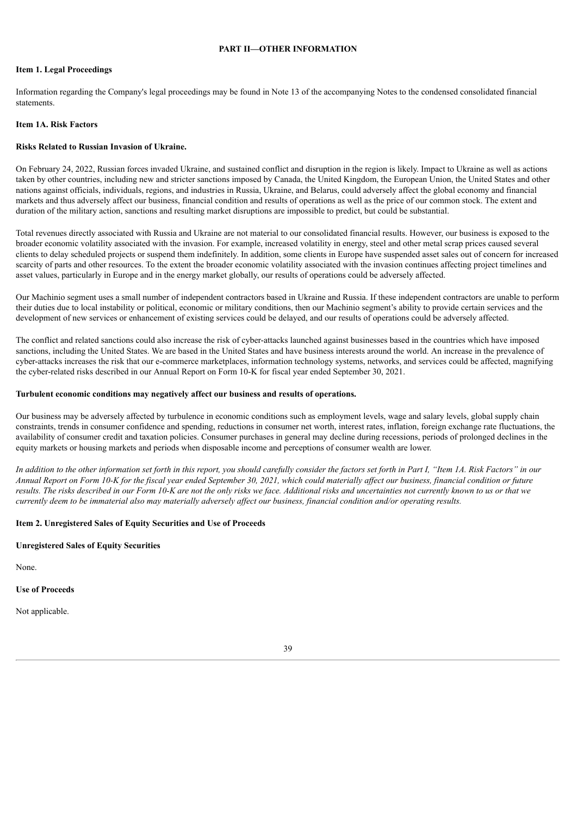#### **PART II—OTHER INFORMATION**

#### <span id="page-39-0"></span>**Item 1. Legal Proceedings**

Information regarding the Company's legal proceedings may be found in Note 13 of the accompanying Notes to the condensed consolidated financial statements.

#### <span id="page-39-1"></span>**Item 1A. Risk Factors**

#### **Risks Related to Russian Invasion of Ukraine.**

On February 24, 2022, Russian forces invaded Ukraine, and sustained conflict and disruption in the region is likely. Impact to Ukraine as well as actions taken by other countries, including new and stricter sanctions imposed by Canada, the United Kingdom, the European Union, the United States and other nations against officials, individuals, regions, and industries in Russia, Ukraine, and Belarus, could adversely affect the global economy and financial markets and thus adversely affect our business, financial condition and results of operations as well as the price of our common stock. The extent and duration of the military action, sanctions and resulting market disruptions are impossible to predict, but could be substantial.

Total revenues directly associated with Russia and Ukraine are not material to our consolidated financial results. However, our business is exposed to the broader economic volatility associated with the invasion. For example, increased volatility in energy, steel and other metal scrap prices caused several clients to delay scheduled projects or suspend them indefinitely. In addition, some clients in Europe have suspended asset sales out of concern for increased scarcity of parts and other resources. To the extent the broader economic volatility associated with the invasion continues affecting project timelines and asset values, particularly in Europe and in the energy market globally, our results of operations could be adversely affected.

Our Machinio segment uses a small number of independent contractors based in Ukraine and Russia. If these independent contractors are unable to perform their duties due to local instability or political, economic or military conditions, then our Machinio segment's ability to provide certain services and the development of new services or enhancement of existing services could be delayed, and our results of operations could be adversely affected.

The conflict and related sanctions could also increase the risk of cyber-attacks launched against businesses based in the countries which have imposed sanctions, including the United States. We are based in the United States and have business interests around the world. An increase in the prevalence of cyber-attacks increases the risk that our e-commerce marketplaces, information technology systems, networks, and services could be affected, magnifying the cyber-related risks described in our Annual Report on Form 10-K for fiscal year ended September 30, 2021.

#### **Turbulent economic conditions may negatively affect our business and results of operations.**

Our business may be adversely affected by turbulence in economic conditions such as employment levels, wage and salary levels, global supply chain constraints, trends in consumer confidence and spending, reductions in consumer net worth, interest rates, inflation, foreign exchange rate fluctuations, the availability of consumer credit and taxation policies. Consumer purchases in general may decline during recessions, periods of prolonged declines in the equity markets or housing markets and periods when disposable income and perceptions of consumer wealth are lower.

In addition to the other information set forth in this report, you should carefully consider the factors set forth in Part I, "Item 1A. Risk Factors" in our Annual Report on Form 10-K for the fiscal year ended September 30, 2021, which could materially affect our business, financial condition or future results. The risks described in our Form 10-K are not the only risks we face. Additional risks and uncertainties not currently known to us or that we currently deem to be immaterial also may materially adversely affect our business, financial condition and/or operating results.

#### <span id="page-39-2"></span>**Item 2. Unregistered Sales of Equity Securities and Use of Proceeds**

#### **Unregistered Sales of Equity Securities**

None.

**Use of Proceeds**

Not applicable.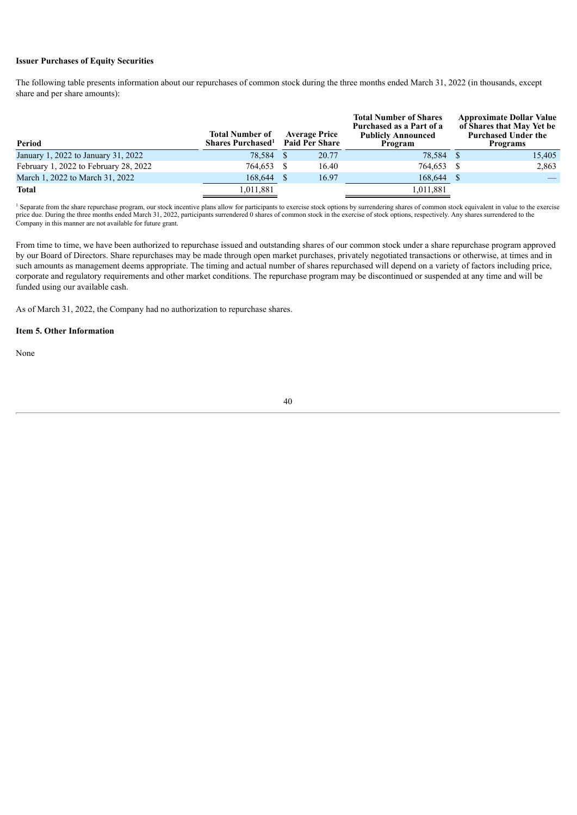#### **Issuer Purchases of Equity Securities**

The following table presents information about our repurchases of common stock during the three months ended March 31, 2022 (in thousands, except share and per share amounts):

| Period                                | <b>Total Number of</b><br><b>Shares Purchased</b> <sup>1</sup> | <b>Average Price</b><br><b>Paid Per Share</b> | <b>Total Number of Shares</b><br>Purchased as a Part of a<br><b>Publicly Announced</b><br>Program | <b>Approximate Dollar Value</b><br>of Shares that May Yet be<br><b>Purchased Under the</b><br><b>Programs</b> |        |  |
|---------------------------------------|----------------------------------------------------------------|-----------------------------------------------|---------------------------------------------------------------------------------------------------|---------------------------------------------------------------------------------------------------------------|--------|--|
| January 1, 2022 to January 31, 2022   | 78,584 \$                                                      | 20.77                                         | 78,584 \$                                                                                         |                                                                                                               | 15,405 |  |
| February 1, 2022 to February 28, 2022 | 764,653 \$                                                     | 16.40                                         | 764,653 \$                                                                                        |                                                                                                               | 2,863  |  |
| March 1, 2022 to March 31, 2022       | 168,644                                                        | 16.97                                         | 168,644                                                                                           |                                                                                                               |        |  |
| <b>Total</b>                          | 1,011,881                                                      |                                               | 1,011,881                                                                                         |                                                                                                               |        |  |

<sup>1</sup> Separate from the share repurchase program, our stock incentive plans allow for participants to exercise stock options by surrendering shares of common stock equivalent in value to the exercise price due. During the three months ended March 31, 2022, participants surrendered 0 shares of common stock in the exercise of stock options, respectively. Any shares surrendered to the Company in this manner are not available for future grant.

From time to time, we have been authorized to repurchase issued and outstanding shares of our common stock under a share repurchase program approved by our Board of Directors. Share repurchases may be made through open market purchases, privately negotiated transactions or otherwise, at times and in such amounts as management deems appropriate. The timing and actual number of shares repurchased will depend on a variety of factors including price, corporate and regulatory requirements and other market conditions. The repurchase program may be discontinued or suspended at any time and will be funded using our available cash.

As of March 31, 2022, the Company had no authorization to repurchase shares.

#### <span id="page-40-0"></span>**Item 5. Other Information**

<span id="page-40-1"></span>None

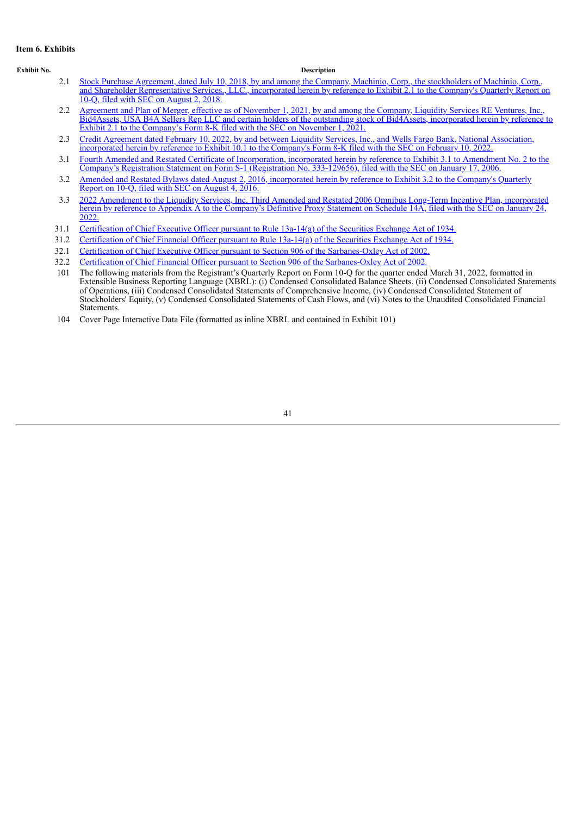#### **Item 6. Exhibits**

#### **Exhibit No. Description**

- 2.1 Stock Purchase Agreement, dated July 10, 2018, by and among the Company, Machinio, Corp., the stockholders of Machinio, Corp., and Shareholder [Representative](http://www.sec.gov/Archives/edgar/data/1235468/000162828018010307/ex21stockpurchaseplan.htm) Services., LLC., incorporated herein by reference to Exhibit 2.1 to the Company's Quarterly Report on 10-Q, filed with SEC on August 2, 2018.
	- 2.2 Agreement and Plan of Merger, effective as of November 1, 2021, by and among the Company, Liquidity Services RE Ventures, Inc., Bid4Assets, USA B4A Sellers Rep LLC and certain holders of the outstanding stock of Bid4Assets, [incorporated](https://www.sec.gov/Archives/edgar/data/0001235468/000123546821000163/mergeragreement.htm) herein by reference to Exhibit 2.1 to the Company's Form 8-K filed with the SEC on November 1, 2021.
	- 2.3 Credit Agreement dated February 10, 2022, by and between Liquidity Services, Inc., and Wells Fargo Bank, National [Association](https://www.sec.gov/Archives/edgar/data/1235468/000123546822000049/creditagreement2102022.htm), [incorporated](https://www.sec.gov/Archives/edgar/data/1235468/000123546822000049/creditagreement2102022.htm) he[rein](https://www.sec.gov/Archives/edgar/data/1235468/000123546822000049/creditagreement2102022.htm) by reference to Exhibit 10.1 to the [Company's](https://www.sec.gov/Archives/edgar/data/1235468/000123546822000049/creditagreement2102022.htm) Form 8-K filed with the SEC on February 10, 2022.
	- 3.1 Fourth Amended and Restated Certificate of [Incorporation,](http://www.sec.gov/Archives/edgar/data/1235468/000104746906000468/a2166281zex-3_1.htm) incorporated herein by reference to Exhibit 3.1 to Amendment No. 2 to the Company's Registration Statement on Form S-1 (Registration No. 333-129656), filed with the SEC on January 17, 2006.
	- 3.2 [Amended](http://www.sec.gov/Archives/edgar/data/1235468/000110465916137072/a16-11638_1ex3d2.htm) and Restated Bylaws dated August 2, 2016[,](http://www.sec.gov/Archives/edgar/data/1235468/000110465916137072/a16-11638_1ex3d2.htm) [incorporated](http://www.sec.gov/Archives/edgar/data/1235468/000110465916137072/a16-11638_1ex3d2.htm) herein by reference to Exhibit 3.2 to the Company's Quarterly Report on 10-Q, filed with SEC on August 4, 2016.
	- 3.3 2022 Amendment to the Liquidity Services, Inc. Third Amended and Restated 2006 Omnibus Long-Term Incentive Plan, [incorporated](https://www.sec.gov/Archives/edgar/data/1235468/000110465922006897/tm223064-1_def14a.htm) herein by reference to Appendix A to the Company's Definitive Proxy Statement on Schedule 14A, filed with the SEC on January 24,  $\overline{2022}$
- 31.1 [Certification](#page-43-0) of Chief Executive Officer pursuant to Rule 13a-14(a) of the Securities Exchange Act of 1934.
- 31.2 [Certification](#page-44-0) of Chief Financial Officer pursuant to Rule 13a-14(a) of the Securities Exchange Act of 1934.
- 32.1 Certification of Chief Executive Officer pursuant to Section 906 of the [Sarbanes-Oxley](#page-45-0) Act of 2002.
- 32.2 Certification of Chief Financial Officer pursuant to Section 906 of the [Sarbanes-Oxley](#page-46-0) Act of 2002.
- 101 The following materials from the Registrant's Quarterly Report on Form 10-Q for the quarter ended March 31, 2022, formatted in Extensible Business Reporting Language (XBRL): (i) Condensed Consolidated Balance Sheets, (ii) Condensed Consolidated Statements of Operations, (iii) Condensed Consolidated Statements of Comprehensive Income, (iv) Condensed Consolidated Statement of Stockholders' Equity, (v) Condensed Consolidated Statements of Cash Flows, and (vi) Notes to the Unaudited Consolidated Financial Statements.
- <span id="page-41-0"></span>104 Cover Page Interactive Data File (formatted as inline XBRL and contained in Exhibit 101)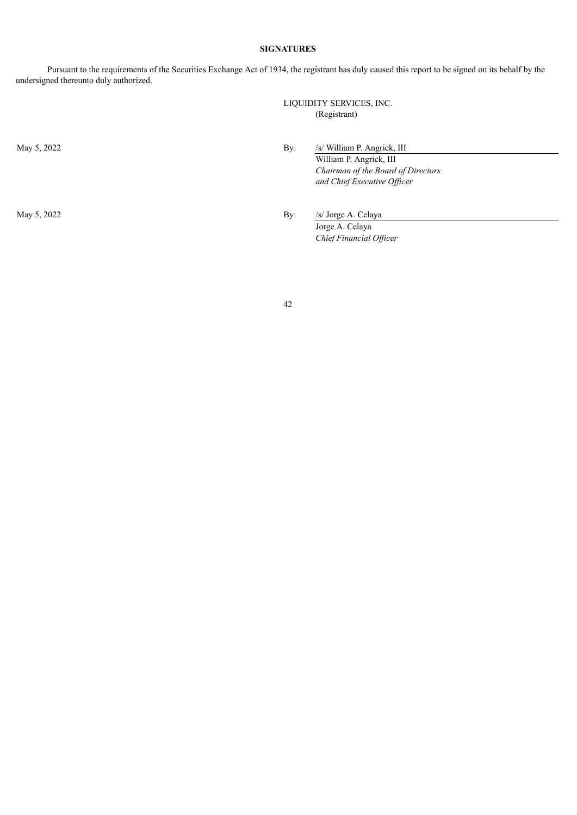### **SIGNATURES**

Pursuant to the requirements of the Securities Exchange Act of 1934, the registrant has duly caused this report to be signed on its behalf by the undersigned thereunto duly authorized.

> LIQUIDITY SERVICES, INC. (Registrant)

May 5, 2022 By: /s/ William P. Angrick, III

William P. Angrick, III *Chairman of the Board of Directors and Chief Executive Of icer*

May 5, 2022 By: /s/ Jorge A. Celaya

Jorge A. Celaya *Chief Financial Of icer*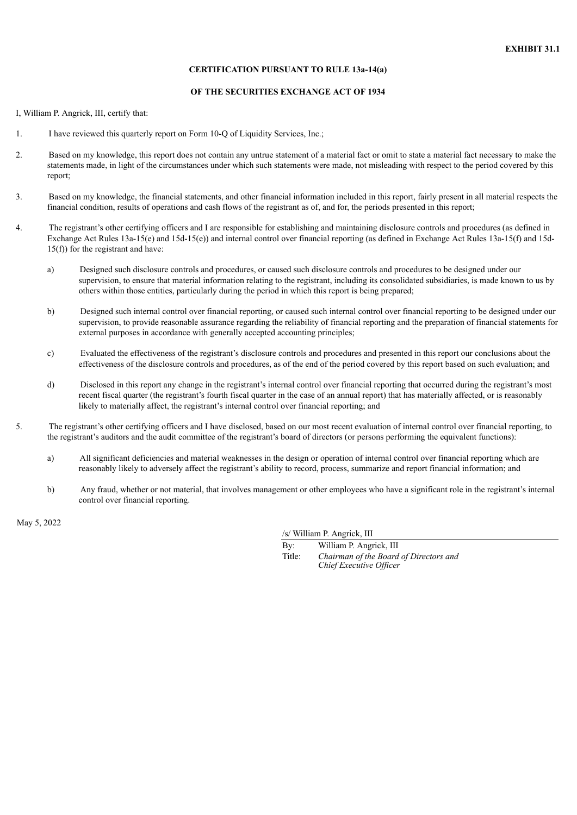#### **CERTIFICATION PURSUANT TO RULE 13a-14(a)**

#### **OF THE SECURITIES EXCHANGE ACT OF 1934**

<span id="page-43-0"></span>I, William P. Angrick, III, certify that:

- 1. I have reviewed this quarterly report on Form 10-Q of Liquidity Services, Inc.;
- 2. Based on my knowledge, this report does not contain any untrue statement of a material fact or omit to state a material fact necessary to make the statements made, in light of the circumstances under which such statements were made, not misleading with respect to the period covered by this report;
- 3. Based on my knowledge, the financial statements, and other financial information included in this report, fairly present in all material respects the financial condition, results of operations and cash flows of the registrant as of, and for, the periods presented in this report;
- 4. The registrant's other certifying officers and I are responsible for establishing and maintaining disclosure controls and procedures (as defined in Exchange Act Rules 13a-15(e) and 15d-15(e)) and internal control over financial reporting (as defined in Exchange Act Rules 13a-15(f) and 15d-15(f)) for the registrant and have:
	- a) Designed such disclosure controls and procedures, or caused such disclosure controls and procedures to be designed under our supervision, to ensure that material information relating to the registrant, including its consolidated subsidiaries, is made known to us by others within those entities, particularly during the period in which this report is being prepared;
	- b) Designed such internal control over financial reporting, or caused such internal control over financial reporting to be designed under our supervision, to provide reasonable assurance regarding the reliability of financial reporting and the preparation of financial statements for external purposes in accordance with generally accepted accounting principles;
	- c) Evaluated the effectiveness of the registrant's disclosure controls and procedures and presented in this report our conclusions about the effectiveness of the disclosure controls and procedures, as of the end of the period covered by this report based on such evaluation; and
	- d) Disclosed in this report any change in the registrant's internal control over financial reporting that occurred during the registrant's most recent fiscal quarter (the registrant's fourth fiscal quarter in the case of an annual report) that has materially affected, or is reasonably likely to materially affect, the registrant's internal control over financial reporting; and
- 5. The registrant's other certifying officers and I have disclosed, based on our most recent evaluation of internal control over financial reporting, to the registrant's auditors and the audit committee of the registrant's board of directors (or persons performing the equivalent functions):
	- a) All significant deficiencies and material weaknesses in the design or operation of internal control over financial reporting which are reasonably likely to adversely affect the registrant's ability to record, process, summarize and report financial information; and
	- b) Any fraud, whether or not material, that involves management or other employees who have a significant role in the registrant's internal control over financial reporting.

May 5, 2022

/s/ William P. Angrick, III

By: William P. Angrick, III Title: *Chairman of the Board of Directors and Chief Executive Of icer*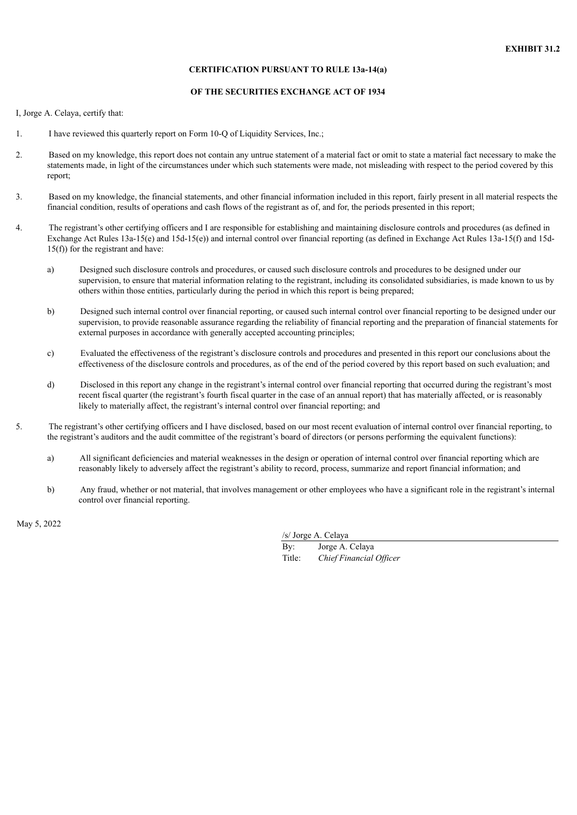#### **CERTIFICATION PURSUANT TO RULE 13a-14(a)**

#### **OF THE SECURITIES EXCHANGE ACT OF 1934**

<span id="page-44-0"></span>I, Jorge A. Celaya, certify that:

- 1. I have reviewed this quarterly report on Form 10-Q of Liquidity Services, Inc.;
- 2. Based on my knowledge, this report does not contain any untrue statement of a material fact or omit to state a material fact necessary to make the statements made, in light of the circumstances under which such statements were made, not misleading with respect to the period covered by this report;
- 3. Based on my knowledge, the financial statements, and other financial information included in this report, fairly present in all material respects the financial condition, results of operations and cash flows of the registrant as of, and for, the periods presented in this report;
- 4. The registrant's other certifying officers and I are responsible for establishing and maintaining disclosure controls and procedures (as defined in Exchange Act Rules 13a-15(e) and 15d-15(e)) and internal control over financial reporting (as defined in Exchange Act Rules 13a-15(f) and 15d-15(f)) for the registrant and have:
	- a) Designed such disclosure controls and procedures, or caused such disclosure controls and procedures to be designed under our supervision, to ensure that material information relating to the registrant, including its consolidated subsidiaries, is made known to us by others within those entities, particularly during the period in which this report is being prepared;
	- b) Designed such internal control over financial reporting, or caused such internal control over financial reporting to be designed under our supervision, to provide reasonable assurance regarding the reliability of financial reporting and the preparation of financial statements for external purposes in accordance with generally accepted accounting principles;
	- c) Evaluated the effectiveness of the registrant's disclosure controls and procedures and presented in this report our conclusions about the effectiveness of the disclosure controls and procedures, as of the end of the period covered by this report based on such evaluation; and
	- d) Disclosed in this report any change in the registrant's internal control over financial reporting that occurred during the registrant's most recent fiscal quarter (the registrant's fourth fiscal quarter in the case of an annual report) that has materially affected, or is reasonably likely to materially affect, the registrant's internal control over financial reporting; and
- 5. The registrant's other certifying officers and I have disclosed, based on our most recent evaluation of internal control over financial reporting, to the registrant's auditors and the audit committee of the registrant's board of directors (or persons performing the equivalent functions):
	- a) All significant deficiencies and material weaknesses in the design or operation of internal control over financial reporting which are reasonably likely to adversely affect the registrant's ability to record, process, summarize and report financial information; and
	- b) Any fraud, whether or not material, that involves management or other employees who have a significant role in the registrant's internal control over financial reporting.

May 5, 2022

/s/ Jorge A. Celaya

By: Jorge A. Celaya Title: *Chief Financial Of icer*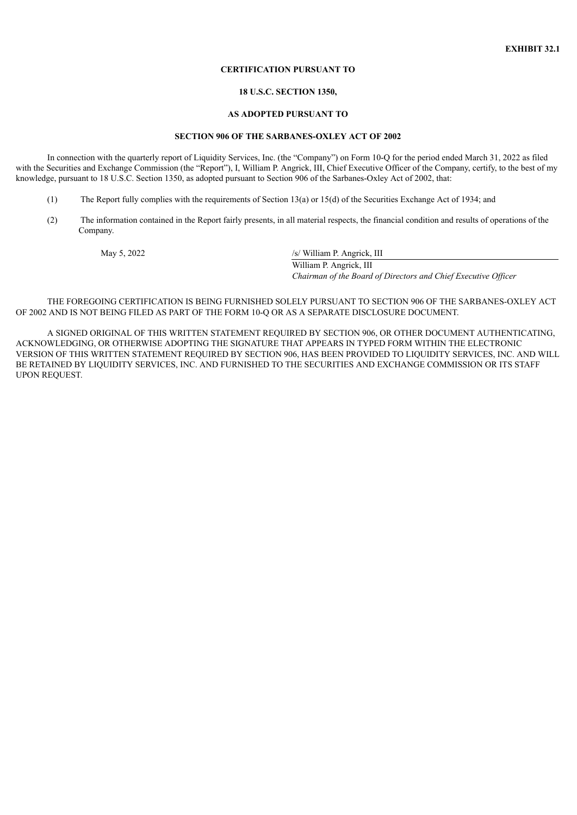#### **CERTIFICATION PURSUANT TO**

#### **18 U.S.C. SECTION 1350,**

#### **AS ADOPTED PURSUANT TO**

#### **SECTION 906 OF THE SARBANES-OXLEY ACT OF 2002**

<span id="page-45-0"></span>In connection with the quarterly report of Liquidity Services, Inc. (the "Company") on Form 10-Q for the period ended March 31, 2022 as filed with the Securities and Exchange Commission (the "Report"), I, William P. Angrick, III, Chief Executive Officer of the Company, certify, to the best of my knowledge, pursuant to 18 U.S.C. Section 1350, as adopted pursuant to Section 906 of the Sarbanes-Oxley Act of 2002, that:

- (1) The Report fully complies with the requirements of Section 13(a) or 15(d) of the Securities Exchange Act of 1934; and
- (2) The information contained in the Report fairly presents, in all material respects, the financial condition and results of operations of the Company.

May 5, 2022 /s/ William P. Angrick, III William P. Angrick, III

*Chairman of the Board of Directors and Chief Executive Of icer*

THE FOREGOING CERTIFICATION IS BEING FURNISHED SOLELY PURSUANT TO SECTION 906 OF THE SARBANES-OXLEY ACT OF 2002 AND IS NOT BEING FILED AS PART OF THE FORM 10-Q OR AS A SEPARATE DISCLOSURE DOCUMENT.

A SIGNED ORIGINAL OF THIS WRITTEN STATEMENT REQUIRED BY SECTION 906, OR OTHER DOCUMENT AUTHENTICATING, ACKNOWLEDGING, OR OTHERWISE ADOPTING THE SIGNATURE THAT APPEARS IN TYPED FORM WITHIN THE ELECTRONIC VERSION OF THIS WRITTEN STATEMENT REQUIRED BY SECTION 906, HAS BEEN PROVIDED TO LIQUIDITY SERVICES, INC. AND WILL BE RETAINED BY LIQUIDITY SERVICES, INC. AND FURNISHED TO THE SECURITIES AND EXCHANGE COMMISSION OR ITS STAFF UPON REQUEST.